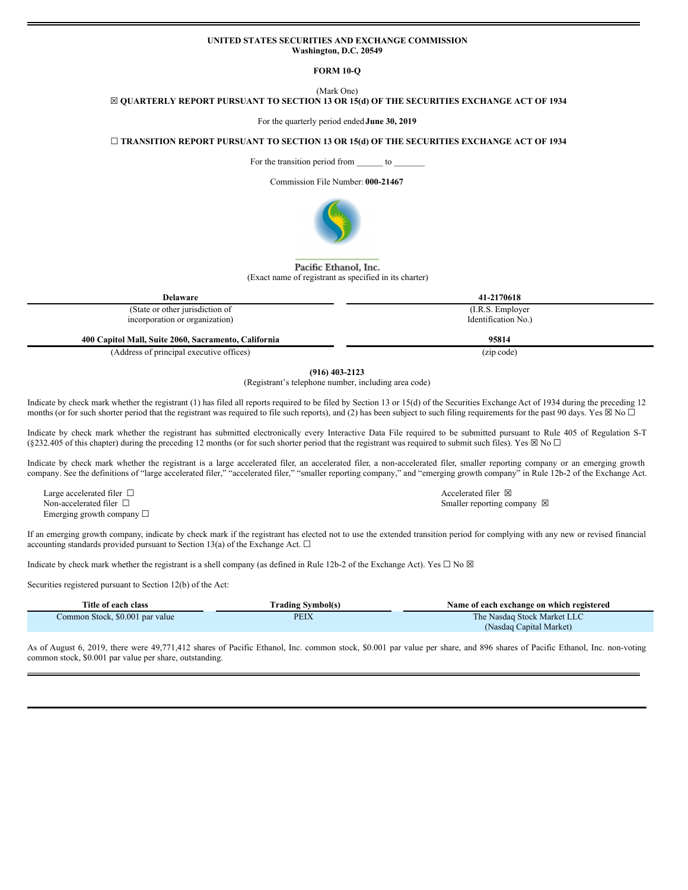### **UNITED STATES SECURITIES AND EXCHANGE COMMISSION Washington, D.C. 20549**

**FORM 10-Q**

(Mark One)

☒ **QUARTERLY REPORT PURSUANT TO SECTION 13 OR 15(d) OF THE SECURITIES EXCHANGE ACT OF 1934**

For the quarterly period ended **June 30, 2019**

☐ **TRANSITION REPORT PURSUANT TO SECTION 13 OR 15(d) OF THE SECURITIES EXCHANGE ACT OF 1934**

For the transition period from \_\_\_\_\_\_\_\_ to \_

Commission File Number: **000-21467**



## Pacific Ethanol, Inc.

(Exact name of registrant as specified in its charter)

| <b>Delaware</b>                                      | 41-2170618          |
|------------------------------------------------------|---------------------|
| (State or other jurisdiction of                      | (I.R.S. Employer)   |
| incorporation or organization)                       | Identification No.) |
| 400 Capitol Mall, Suite 2060, Sacramento, California | 95814               |
| (Address of principal executive offices)             | (zip code)          |

**(916) 403-2123**

(Registrant's telephone number, including area code)

Indicate by check mark whether the registrant (1) has filed all reports required to be filed by Section 13 or 15(d) of the Securities Exchange Act of 1934 during the preceding 12 months (or for such shorter period that the registrant was required to file such reports), and (2) has been subject to such filing requirements for the past 90 days. Yes  $\boxtimes$  No  $\Box$ 

Indicate by check mark whether the registrant has submitted electronically every Interactive Data File required to be submitted pursuant to Rule 405 of Regulation S-T (§232.405 of this chapter) during the preceding 12 months (or for such shorter period that the registrant was required to submit such files). Yes  $\boxtimes$  No  $\Box$ 

Indicate by check mark whether the registrant is a large accelerated filer, an accelerated filer, a non-accelerated filer, smaller reporting company or an emerging growth company. See the definitions of "large accelerated filer," "accelerated filer," "smaller reporting company," and "emerging growth company" in Rule 12b-2 of the Exchange Act.

Large accelerated filer □ <br>
Accelerated filer □ <br>
Accelerated filer □ Non-accelerated filer □ Smaller reporting company ⊠ Emerging growth company ☐

If an emerging growth company, indicate by check mark if the registrant has elected not to use the extended transition period for complying with any new or revised financial accounting standards provided pursuant to Section 13(a) of the Exchange Act.  $\Box$ 

Indicate by check mark whether the registrant is a shell company (as defined in Rule 12b-2 of the Exchange Act). Yes  $\Box$  No  $\boxtimes$ 

Securities registered pursuant to Section 12(b) of the Act:

| Title of each class             | Trading Symbol(s) | Name of each exchange on which registered |
|---------------------------------|-------------------|-------------------------------------------|
| Common Stock, \$0.001 par value | <b>PEIX</b>       | The Nasdaq Stock Market LLC               |
|                                 |                   | (Nasdaq Capital Market)                   |

As of August 6, 2019, there were 49,771,412 shares of Pacific Ethanol, Inc. common stock, \$0.001 par value per share, and 896 shares of Pacific Ethanol, Inc. non-voting common stock, \$0.001 par value per share, outstanding.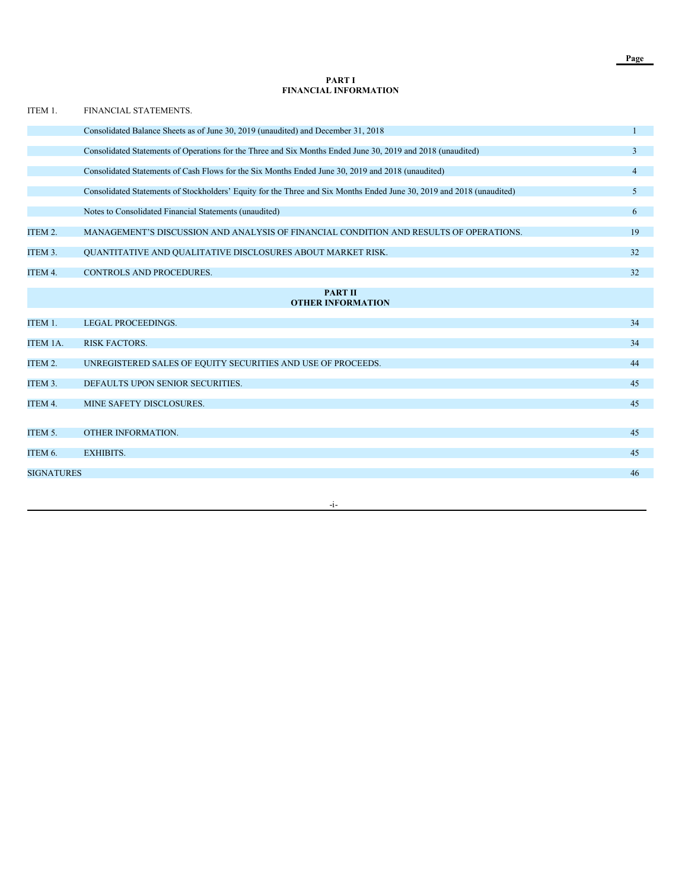#### **PART I FINANCIAL INFORMATION**

| ITEM 1.           | FINANCIAL STATEMENTS.                                                                                                 |                |
|-------------------|-----------------------------------------------------------------------------------------------------------------------|----------------|
|                   | Consolidated Balance Sheets as of June 30, 2019 (unaudited) and December 31, 2018                                     | $\mathbf{1}$   |
|                   | Consolidated Statements of Operations for the Three and Six Months Ended June 30, 2019 and 2018 (unaudited)           | $\overline{3}$ |
|                   | Consolidated Statements of Cash Flows for the Six Months Ended June 30, 2019 and 2018 (unaudited)                     | $\overline{4}$ |
|                   | Consolidated Statements of Stockholders' Equity for the Three and Six Months Ended June 30, 2019 and 2018 (unaudited) | 5              |
|                   | Notes to Consolidated Financial Statements (unaudited)                                                                | 6              |
| ITEM 2.           | MANAGEMENT'S DISCUSSION AND ANALYSIS OF FINANCIAL CONDITION AND RESULTS OF OPERATIONS.                                | 19             |
| ITEM 3.           | QUANTITATIVE AND QUALITATIVE DISCLOSURES ABOUT MARKET RISK.                                                           | 32             |
| ITEM 4.           | <b>CONTROLS AND PROCEDURES.</b>                                                                                       | 32             |
|                   | <b>PART II</b>                                                                                                        |                |
|                   | <b>OTHER INFORMATION</b>                                                                                              |                |
| ITEM 1.           | LEGAL PROCEEDINGS.                                                                                                    | 34             |
| ITEM 1A.          | <b>RISK FACTORS.</b>                                                                                                  | 34             |
| ITEM 2.           | UNREGISTERED SALES OF EQUITY SECURITIES AND USE OF PROCEEDS.                                                          | 44             |
| ITEM 3.           | DEFAULTS UPON SENIOR SECURITIES.                                                                                      | 45             |
| ITEM 4.           | MINE SAFETY DISCLOSURES.                                                                                              | 45             |
| ITEM 5.           | OTHER INFORMATION.                                                                                                    | 45             |
|                   |                                                                                                                       |                |
| ITEM 6.           | <b>EXHIBITS.</b>                                                                                                      | 45             |
| <b>SIGNATURES</b> |                                                                                                                       | 46             |

-i-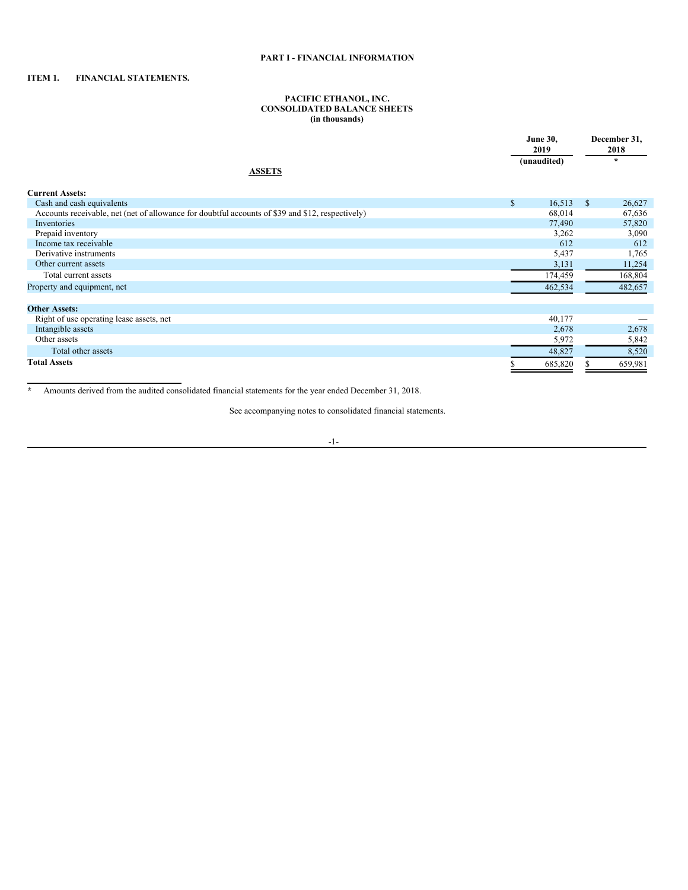# **PART I - FINANCIAL INFORMATION**

# **ITEM 1. FINANCIAL STATEMENTS.**

## **PACIFIC ETHANOL, INC. CONSOLIDATED BALANCE SHEETS (in thousands)**

|                                                                                                  |              | <b>June 30,</b><br>2019 |              | December 31,<br>2018 |
|--------------------------------------------------------------------------------------------------|--------------|-------------------------|--------------|----------------------|
|                                                                                                  | (unaudited)  |                         |              | $\star$              |
| <b>ASSETS</b>                                                                                    |              |                         |              |                      |
| <b>Current Assets:</b>                                                                           |              |                         |              |                      |
| Cash and cash equivalents                                                                        | $\mathbb{S}$ | 16,513                  | $\mathbb{S}$ | 26,627               |
| Accounts receivable, net (net of allowance for doubtful accounts of \$39 and \$12, respectively) |              | 68,014                  |              | 67,636               |
| Inventories                                                                                      |              | 77,490                  |              | 57,820               |
| Prepaid inventory                                                                                |              | 3,262                   |              | 3,090                |
| Income tax receivable                                                                            |              | 612                     |              | 612                  |
| Derivative instruments                                                                           |              | 5,437                   |              | 1,765                |
| Other current assets                                                                             |              | 3,131                   |              | 11,254               |
| Total current assets                                                                             |              | 174,459                 |              | 168,804              |
| Property and equipment, net                                                                      |              | 462,534                 |              | 482,657              |
|                                                                                                  |              |                         |              |                      |
| <b>Other Assets:</b>                                                                             |              |                         |              |                      |
| Right of use operating lease assets, net                                                         |              | 40,177                  |              |                      |
| Intangible assets                                                                                |              | 2,678                   |              | 2,678                |
| Other assets                                                                                     |              | 5,972                   |              | 5,842                |
| Total other assets                                                                               |              | 48,827                  |              | 8,520                |
| <b>Total Assets</b>                                                                              |              | 685,820                 |              | 659,981              |

**\*** Amounts derived from the audited consolidated financial statements for the year ended December 31, 2018.

See accompanying notes to consolidated financial statements.

## -1-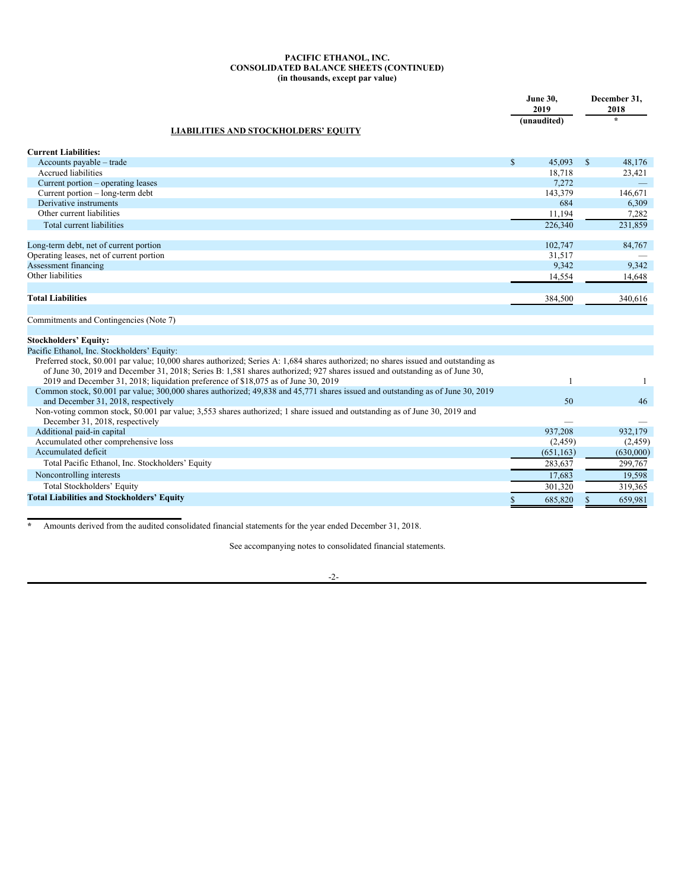## **PACIFIC ETHANOL, INC. CONSOLIDATED BALANCE SHEETS (CONTINUED) (in thousands, except par value)**

|                                                                                                                                                                                                                                                                     |              | <b>June 30,</b><br>2019 |              | December 31,<br>2018 |
|---------------------------------------------------------------------------------------------------------------------------------------------------------------------------------------------------------------------------------------------------------------------|--------------|-------------------------|--------------|----------------------|
| <b>LIABILITIES AND STOCKHOLDERS' EQUITY</b>                                                                                                                                                                                                                         |              | (unaudited)             |              | $\star$              |
| <b>Current Liabilities:</b>                                                                                                                                                                                                                                         |              |                         |              |                      |
| Accounts payable – trade                                                                                                                                                                                                                                            | $\mathbb{S}$ | 45,093                  | $\mathbb{S}$ | 48,176               |
| Accrued liabilities                                                                                                                                                                                                                                                 |              | 18,718                  |              | 23,421               |
| Current portion – operating leases                                                                                                                                                                                                                                  |              | 7.272                   |              |                      |
| Current portion - long-term debt                                                                                                                                                                                                                                    |              | 143,379                 |              | 146,671              |
| Derivative instruments                                                                                                                                                                                                                                              |              | 684                     |              | 6,309                |
| Other current liabilities                                                                                                                                                                                                                                           |              | 11,194                  |              | 7,282                |
| Total current liabilities                                                                                                                                                                                                                                           |              | 226,340                 |              | 231.859              |
| Long-term debt, net of current portion                                                                                                                                                                                                                              |              | 102,747                 |              | 84,767               |
| Operating leases, net of current portion                                                                                                                                                                                                                            |              | 31,517                  |              |                      |
| Assessment financing                                                                                                                                                                                                                                                |              | 9,342                   |              | 9,342                |
| Other liabilities                                                                                                                                                                                                                                                   |              | 14,554                  |              | 14,648               |
|                                                                                                                                                                                                                                                                     |              |                         |              |                      |
| <b>Total Liabilities</b>                                                                                                                                                                                                                                            |              | 384,500                 |              | 340,616              |
| Commitments and Contingencies (Note 7)                                                                                                                                                                                                                              |              |                         |              |                      |
| <b>Stockholders' Equity:</b>                                                                                                                                                                                                                                        |              |                         |              |                      |
| Pacific Ethanol, Inc. Stockholders' Equity:                                                                                                                                                                                                                         |              |                         |              |                      |
| Preferred stock, \$0.001 par value; 10,000 shares authorized; Series A: 1,684 shares authorized; no shares issued and outstanding as<br>of June 30, 2019 and December 31, 2018; Series B: 1,581 shares authorized; 927 shares issued and outstanding as of June 30, |              |                         |              |                      |
| 2019 and December 31, 2018; liquidation preference of \$18,075 as of June 30, 2019                                                                                                                                                                                  |              |                         |              |                      |
| Common stock, \$0.001 par value; 300,000 shares authorized; 49,838 and 45,771 shares issued and outstanding as of June 30, 2019<br>and December 31, 2018, respectively                                                                                              |              | 50                      |              | 46                   |
| Non-voting common stock, \$0.001 par value; 3,553 shares authorized; 1 share issued and outstanding as of June 30, 2019 and<br>December 31, 2018, respectively                                                                                                      |              |                         |              |                      |
| Additional paid-in capital                                                                                                                                                                                                                                          |              | 937.208                 |              | 932,179              |
| Accumulated other comprehensive loss                                                                                                                                                                                                                                |              | (2, 459)                |              | (2, 459)             |
| Accumulated deficit                                                                                                                                                                                                                                                 |              | (651, 163)              |              | (630,000)            |
| Total Pacific Ethanol, Inc. Stockholders' Equity                                                                                                                                                                                                                    |              |                         |              | 299,767              |
|                                                                                                                                                                                                                                                                     |              | 283,637                 |              |                      |
| Noncontrolling interests                                                                                                                                                                                                                                            |              | 17,683                  |              | 19,598               |
| Total Stockholders' Equity                                                                                                                                                                                                                                          |              | 301,320                 |              | 319,365              |
| <b>Total Liabilities and Stockholders' Equity</b>                                                                                                                                                                                                                   | $\mathbf S$  | 685,820                 | $\mathbf{s}$ | 659.981              |

**\*** Amounts derived from the audited consolidated financial statements for the year ended December 31, 2018.

See accompanying notes to consolidated financial statements.

## -2-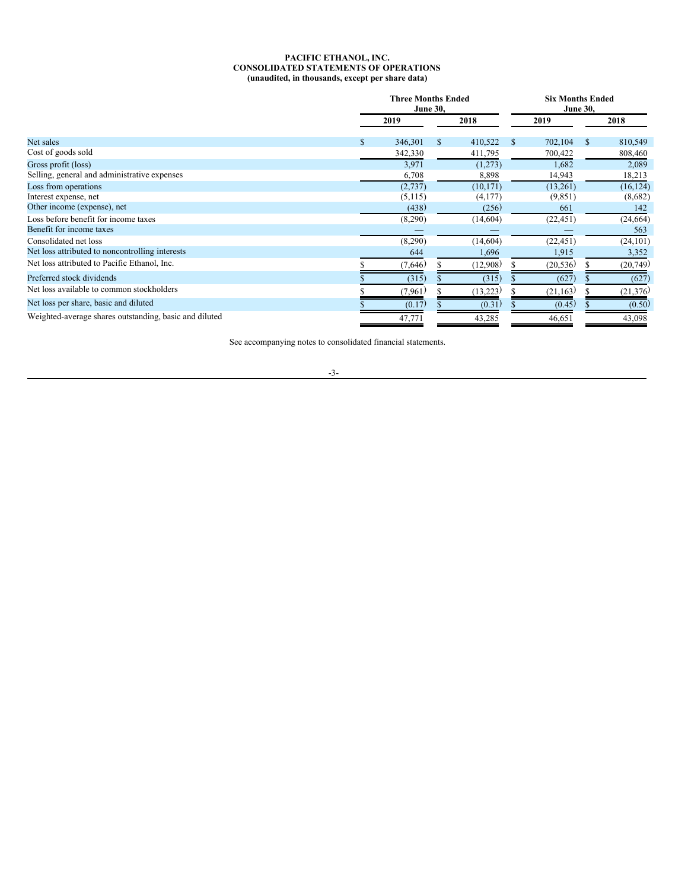### **PACIFIC ETHANOL, INC. CONSOLIDATED STATEMENTS OF OPERATIONS (unaudited, in thousands, except per share data)**

|                                                        |    | <b>Three Months Ended</b><br><b>June 30,</b> |              |           |               | <b>Six Months Ended</b><br><b>June 30,</b> |               |           |  |
|--------------------------------------------------------|----|----------------------------------------------|--------------|-----------|---------------|--------------------------------------------|---------------|-----------|--|
|                                                        |    | 2019                                         |              | 2018      |               | 2019                                       |               | 2018      |  |
| Net sales                                              | S. | 346,301                                      | $\mathbb{S}$ | 410,522   | <sup>\$</sup> | 702,104                                    | <sup>\$</sup> | 810,549   |  |
| Cost of goods sold                                     |    | 342,330                                      |              | 411,795   |               | 700,422                                    |               | 808,460   |  |
| Gross profit (loss)                                    |    | 3,971                                        |              | (1,273)   |               | 1,682                                      |               | 2,089     |  |
| Selling, general and administrative expenses           |    | 6,708                                        |              | 8,898     |               | 14,943                                     |               | 18,213    |  |
| Loss from operations                                   |    | (2, 737)                                     |              | (10, 171) |               | (13,261)                                   |               | (16, 124) |  |
| Interest expense, net                                  |    | (5,115)                                      |              | (4,177)   |               | (9,851)                                    |               | (8,682)   |  |
| Other income (expense), net                            |    | (438)                                        |              | (256)     |               | 661                                        |               | 142       |  |
| Loss before benefit for income taxes                   |    | (8,290)                                      |              | (14,604)  |               | (22, 451)                                  |               | (24, 664) |  |
| Benefit for income taxes                               |    |                                              |              |           |               |                                            |               | 563       |  |
| Consolidated net loss                                  |    | (8,290)                                      |              | (14, 604) |               | (22, 451)                                  |               | (24, 101) |  |
| Net loss attributed to noncontrolling interests        |    | 644                                          |              | 1,696     |               | 1,915                                      |               | 3,352     |  |
| Net loss attributed to Pacific Ethanol, Inc.           |    | (7,646)                                      |              | (12,908)  |               | (20, 536)                                  |               | (20,749)  |  |
| Preferred stock dividends                              |    | (315)                                        |              | (315)     |               | (627)                                      |               | (627)     |  |
| Net loss available to common stockholders              |    | (7,961)                                      |              | (13,223)  |               | (21, 163)                                  |               | (21, 376) |  |
| Net loss per share, basic and diluted                  |    | (0.17)                                       |              | (0.31)    |               | (0.45)                                     |               | (0.50)    |  |
| Weighted-average shares outstanding, basic and diluted |    | 47,771                                       |              | 43,285    |               | 46,651                                     |               | 43,098    |  |

See accompanying notes to consolidated financial statements.

-3-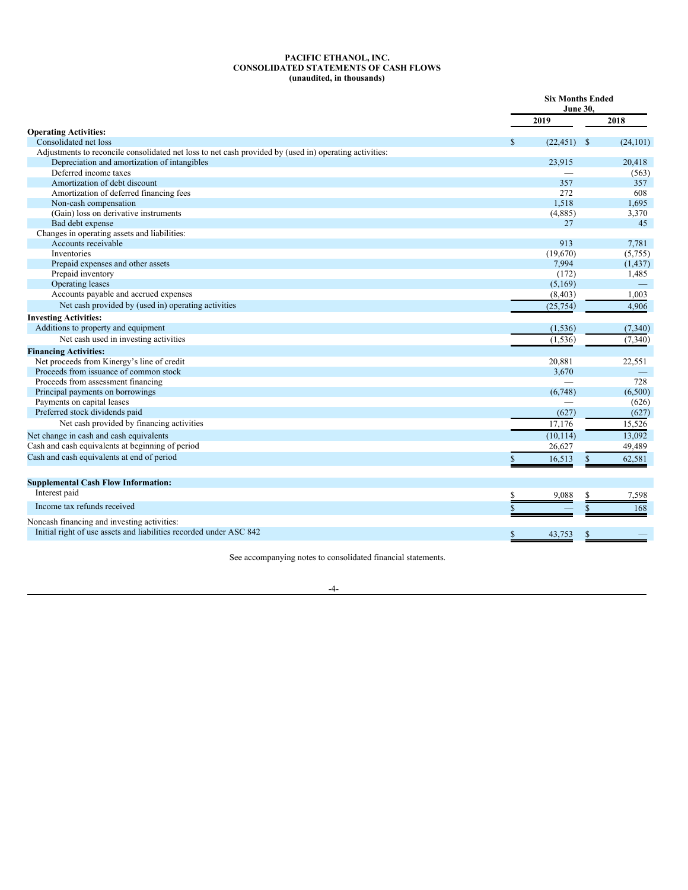### **PACIFIC ETHANOL, INC. CONSOLIDATED STATEMENTS OF CASH FLOWS (unaudited, in thousands)**

|                                                                                                        |   | <b>Six Months Ended</b><br><b>June 30.</b> |               |           |
|--------------------------------------------------------------------------------------------------------|---|--------------------------------------------|---------------|-----------|
|                                                                                                        |   | 2019                                       |               | 2018      |
| <b>Operating Activities:</b>                                                                           |   |                                            |               |           |
| Consolidated net loss                                                                                  | S | (22, 451)                                  | $\mathcal{S}$ | (24, 101) |
| Adjustments to reconcile consolidated net loss to net cash provided by (used in) operating activities: |   |                                            |               |           |
| Depreciation and amortization of intangibles                                                           |   | 23,915                                     |               | 20,418    |
| Deferred income taxes                                                                                  |   |                                            |               | (563)     |
| Amortization of debt discount                                                                          |   | 357                                        |               | 357       |
| Amortization of deferred financing fees                                                                |   | 272                                        |               | 608       |
| Non-cash compensation                                                                                  |   | 1,518                                      |               | 1,695     |
| (Gain) loss on derivative instruments                                                                  |   | (4,885)                                    |               | 3,370     |
| Bad debt expense                                                                                       |   | 27                                         |               | 45        |
| Changes in operating assets and liabilities:                                                           |   |                                            |               |           |
| Accounts receivable                                                                                    |   | 913                                        |               | 7,781     |
| Inventories                                                                                            |   | (19,670)                                   |               | (5,755)   |
| Prepaid expenses and other assets                                                                      |   | 7,994                                      |               | (1, 437)  |
| Prepaid inventory                                                                                      |   | (172)                                      |               | 1,485     |
| Operating leases                                                                                       |   | (5,169)                                    |               |           |
| Accounts payable and accrued expenses                                                                  |   | (8, 403)                                   |               | 1,003     |
| Net cash provided by (used in) operating activities                                                    |   | (25, 754)                                  |               | 4,906     |
| <b>Investing Activities:</b>                                                                           |   |                                            |               |           |
| Additions to property and equipment                                                                    |   | (1, 536)                                   |               | (7,340)   |
| Net cash used in investing activities                                                                  |   | (1, 536)                                   |               | (7,340)   |
| <b>Financing Activities:</b>                                                                           |   |                                            |               |           |
| Net proceeds from Kinergy's line of credit                                                             |   | 20,881                                     |               | 22,551    |
| Proceeds from issuance of common stock                                                                 |   | 3.670                                      |               |           |
| Proceeds from assessment financing                                                                     |   |                                            |               | 728       |
| Principal payments on borrowings                                                                       |   | (6,748)                                    |               | (6,500)   |
| Payments on capital leases                                                                             |   |                                            |               | (626)     |
| Preferred stock dividends paid                                                                         |   | (627)                                      |               | (627)     |
| Net cash provided by financing activities                                                              |   | 17,176                                     |               | 15,526    |
| Net change in cash and cash equivalents                                                                |   | (10, 114)                                  |               | 13,092    |
| Cash and cash equivalents at beginning of period                                                       |   | 26,627                                     |               | 49,489    |
| Cash and cash equivalents at end of period                                                             |   |                                            |               |           |
|                                                                                                        |   | 16,513                                     | \$            | 62,581    |
| <b>Supplemental Cash Flow Information:</b>                                                             |   |                                            |               |           |
| Interest paid                                                                                          | S | 9,088                                      | \$            | 7,598     |
| Income tax refunds received                                                                            |   |                                            |               | 168       |
| Noncash financing and investing activities:                                                            |   |                                            |               |           |
| Initial right of use assets and liabilities recorded under ASC 842                                     | S | 43,753                                     | \$            |           |
|                                                                                                        |   |                                            |               |           |

See accompanying notes to consolidated financial statements.

-4-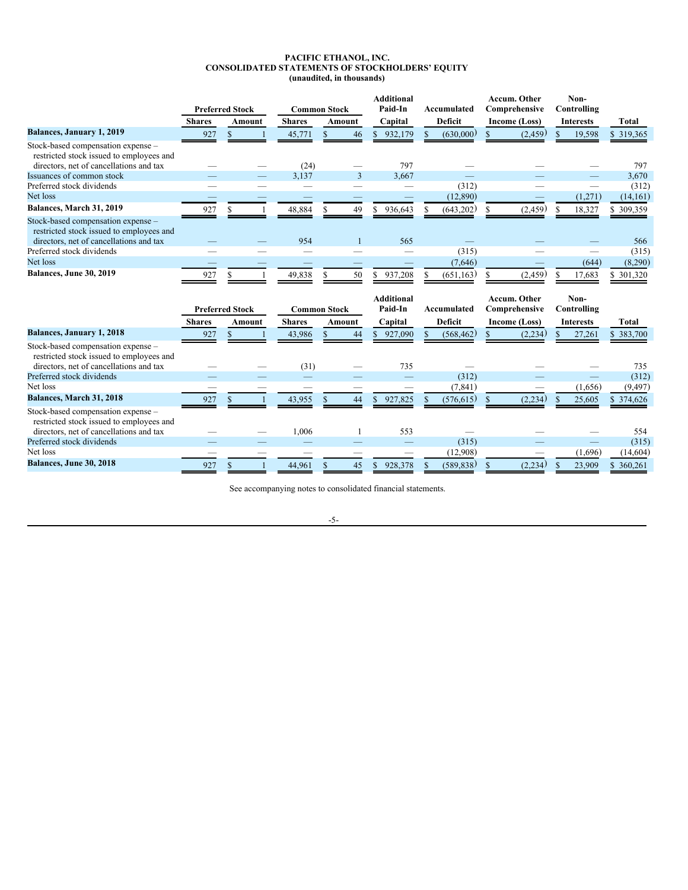### **PACIFIC ETHANOL, INC. CONSOLIDATED STATEMENTS OF STOCKHOLDERS' EQUITY (unaudited, in thousands)**

|                                                                                                                           | <b>Preferred Stock</b> |   |        | <b>Common Stock</b> |          |    | <b>Additional</b><br>Paid-In | Accumulated |               | <b>Accum. Other</b><br>Comprehensive |   | Non-<br>Controlling |              |
|---------------------------------------------------------------------------------------------------------------------------|------------------------|---|--------|---------------------|----------|----|------------------------------|-------------|---------------|--------------------------------------|---|---------------------|--------------|
|                                                                                                                           | <b>Shares</b>          |   | Amount | <b>Shares</b>       | Amount   |    | Capital                      | Deficit     |               | Income (Loss)                        |   | <b>Interests</b>    | <b>Total</b> |
| Balances, January 1, 2019                                                                                                 | 927                    |   |        | 45,771              | <b>S</b> | 46 | 932,179<br>S                 | (630,000)   | \$            | (2, 459)                             | S | 19,598              | \$319,365    |
| Stock-based compensation expense -<br>restricted stock issued to employees and<br>directors, net of cancellations and tax |                        |   |        | (24)                |          |    | 797                          |             |               |                                      |   |                     | 797          |
| Issuances of common stock                                                                                                 |                        |   |        | 3,137               |          | 3  | 3.667                        |             |               |                                      |   |                     | 3,670        |
| Preferred stock dividends                                                                                                 |                        |   |        |                     |          |    |                              | (312)       |               |                                      |   |                     | (312)        |
| Net loss                                                                                                                  |                        |   |        |                     |          |    |                              | (12,890)    |               |                                      |   | (1,271)             | (14, 161)    |
| Balances, March 31, 2019                                                                                                  | 927                    |   |        | 48,884              | S        | 49 | 936,643<br>S                 | (643,202)   |               | (2, 459)                             |   | 18,327              | \$309,359    |
| Stock-based compensation expense -<br>restricted stock issued to employees and<br>directors, net of cancellations and tax |                        |   |        | 954                 |          |    | 565                          |             |               |                                      |   |                     | 566          |
| Preferred stock dividends                                                                                                 |                        |   |        |                     |          |    |                              | (315)       |               |                                      |   |                     | (315)        |
| Net loss                                                                                                                  |                        |   |        |                     |          |    |                              | (7,646)     |               |                                      |   | (644)               | (8,290)      |
| Balances, June 30, 2019                                                                                                   | 927                    |   |        | 49,838              |          | 50 | 937,208<br>S                 | (651, 163)  |               | (2, 459)                             |   | 17,683              | \$301,320    |
|                                                                                                                           | <b>Preferred Stock</b> |   |        | <b>Common Stock</b> |          |    | <b>Additional</b><br>Paid-In | Accumulated |               | <b>Accum. Other</b><br>Comprehensive |   | Non-<br>Controlling |              |
|                                                                                                                           | <b>Shares</b>          |   | Amount | <b>Shares</b>       | Amount   |    | Capital                      | Deficit     |               | Income (Loss)                        |   | <b>Interests</b>    | Total        |
| Balances, January 1, 2018                                                                                                 | 927                    |   |        | 43,986              | \$       | 44 | 927,090<br>\$                | (568, 462)  | $\mathcal{S}$ | (2, 234)                             |   | 27,261              | \$383,700    |
| Stock-based compensation expense -<br>restricted stock issued to employees and<br>directors, net of cancellations and tax |                        |   |        | (31)                |          |    | 735                          |             |               |                                      |   |                     | 735          |
| Preferred stock dividends                                                                                                 |                        |   |        |                     |          |    | -                            | (312)       |               |                                      |   |                     | (312)        |
| Net loss                                                                                                                  |                        |   |        |                     |          |    |                              | (7, 841)    |               |                                      |   | (1,656)             | (9, 497)     |
| Balances, March 31, 2018                                                                                                  | 927                    |   |        | 43,955              | S        | 44 | 927,825<br>\$                | (576, 615)  | <b>S</b>      | (2,234)                              |   | 25,605              | \$374,626    |
| Stock-based compensation expense -<br>restricted stock issued to employees and<br>directors, net of cancellations and tax |                        |   |        | 1,006               |          |    | 553                          |             |               |                                      |   |                     | 554          |
| Preferred stock dividends                                                                                                 |                        |   |        |                     |          |    |                              | (315)       |               |                                      |   |                     | (315)        |
| Net loss                                                                                                                  |                        |   |        |                     |          |    |                              | (12,908)    |               |                                      |   | (1,696)             | (14, 604)    |
| Balances, June 30, 2018                                                                                                   | 927                    | S |        | 44,961              | \$       | 45 | 928,378<br>\$                | (589, 838)  | \$            | (2,234)                              |   | 23.909              | 360,261      |

See accompanying notes to consolidated financial statements.

-5-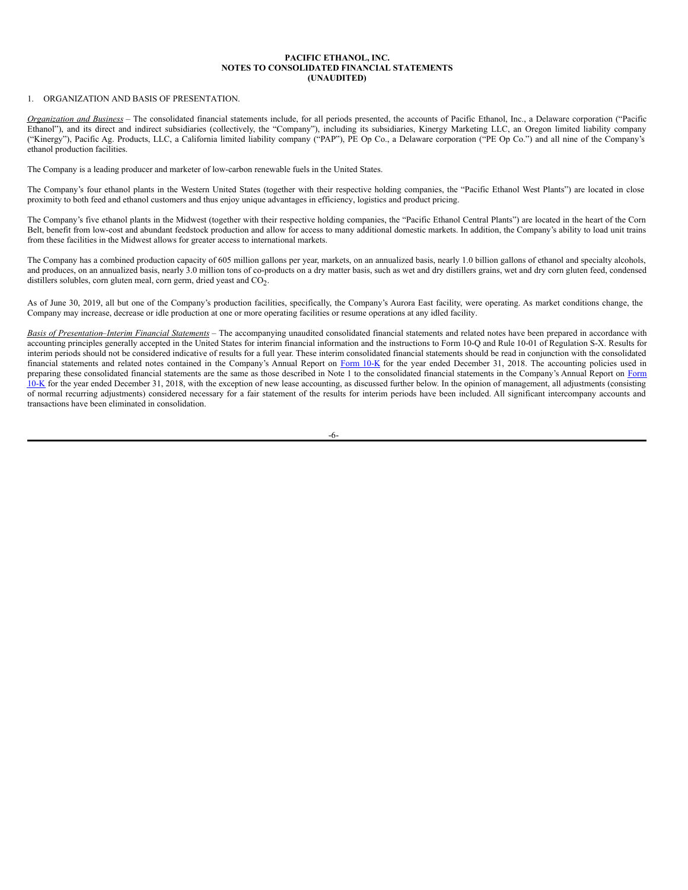### **PACIFIC ETHANOL, INC. NOTES TO CONSOLIDATED FINANCIAL STATEMENTS (UNAUDITED)**

## 1. ORGANIZATION AND BASIS OF PRESENTATION.

*Organization and Business* – The consolidated financial statements include, for all periods presented, the accounts of Pacific Ethanol, Inc., a Delaware corporation ("Pacific Ethanol"), and its direct and indirect subsidiaries (collectively, the "Company"), including its subsidiaries, Kinergy Marketing LLC, an Oregon limited liability company ("Kinergy"), Pacific Ag. Products, LLC, a California limited liability company ("PAP"), PE Op Co., a Delaware corporation ("PE Op Co.") and all nine of the Company's ethanol production facilities.

The Company is a leading producer and marketer of low-carbon renewable fuels in the United States.

The Company's four ethanol plants in the Western United States (together with their respective holding companies, the "Pacific Ethanol West Plants") are located in close proximity to both feed and ethanol customers and thus enjoy unique advantages in efficiency, logistics and product pricing.

The Company's five ethanol plants in the Midwest (together with their respective holding companies, the "Pacific Ethanol Central Plants") are located in the heart of the Corn Belt, benefit from low-cost and abundant feedstock production and allow for access to many additional domestic markets. In addition, the Company's ability to load unit trains from these facilities in the Midwest allows for greater access to international markets.

The Company has a combined production capacity of 605 million gallons per year, markets, on an annualized basis, nearly 1.0 billion gallons of ethanol and specialty alcohols, and produces, on an annualized basis, nearly 3.0 million tons of co-products on a dry matter basis, such as wet and dry distillers grains, wet and dry corn gluten feed, condensed distillers solubles, corn gluten meal, corn germ, dried yeast and CO<sub>2</sub>.

As of June 30, 2019, all but one of the Company's production facilities, specifically, the Company's Aurora East facility, were operating. As market conditions change, the Company may increase, decrease or idle production at one or more operating facilities or resume operations at any idled facility.

*Basis of Presentation*–*Interim Financial Statements* – The accompanying unaudited consolidated financial statements and related notes have been prepared in accordance with accounting principles generally accepted in the United States for interim financial information and the instructions to Form 10-Q and Rule 10-01 of Regulation S-X. Results for interim periods should not be considered indicative of results for a full year. These interim consolidated financial statements should be read in conjunction with the consolidated financial statements and related notes contained in the Company's Annual Report on [Form](http://www.sec.gov/Archives/edgar/data/778164/000161577419004168/s116597_10k.htm) 10-K for the year ended December 31, 2018. The accounting policies used in preparing these consolidated financial statements are the same as those described in Note 1 to the consolidated financial statements in the Company's Annual Report on Form 10-K for the year ended December 31, 2018, with the exception of new lease accounting, as discussed further below. In the opinion of [management,](http://www.sec.gov/Archives/edgar/data/778164/000161577419004168/s116597_10k.htm) all adjustments (consisting of normal recurring adjustments) considered necessary for a fair statement of the results for interim periods have been included. All significant intercompany accounts and transactions have been eliminated in consolidation.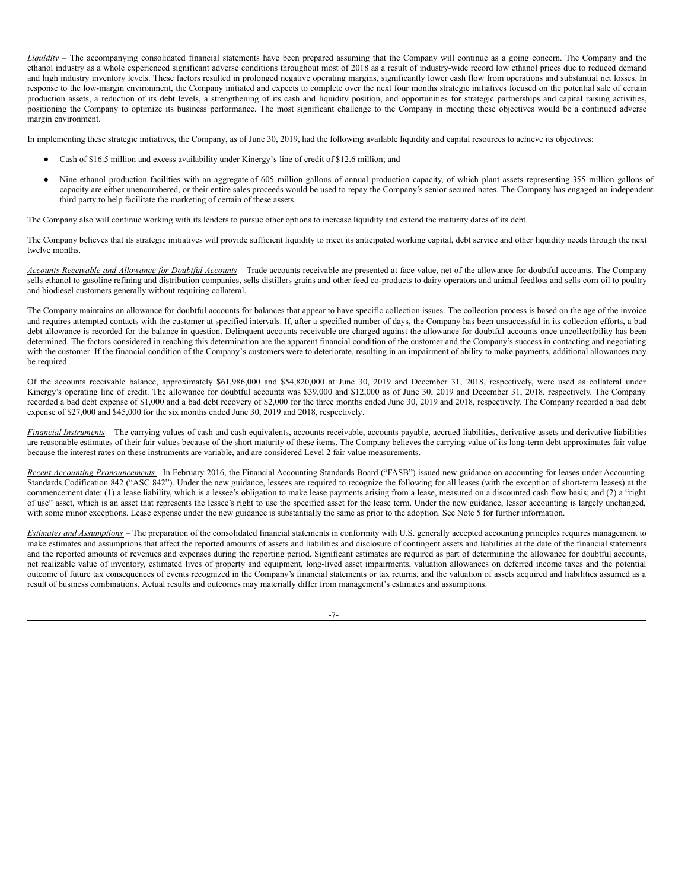*Liquidity* – The accompanying consolidated financial statements have been prepared assuming that the Company will continue as a going concern. The Company and the ethanol industry as a whole experienced significant adverse conditions throughout most of 2018 as a result of industry-wide record low ethanol prices due to reduced demand and high industry inventory levels. These factors resulted in prolonged negative operating margins, significantly lower cash flow from operations and substantial net losses. In response to the low-margin environment, the Company initiated and expects to complete over the next four months strategic initiatives focused on the potential sale of certain production assets, a reduction of its debt levels, a strengthening of its cash and liquidity position, and opportunities for strategic partnerships and capital raising activities, positioning the Company to optimize its business performance. The most significant challenge to the Company in meeting these objectives would be a continued adverse margin environment.

In implementing these strategic initiatives, the Company, as of June 30, 2019, had the following available liquidity and capital resources to achieve its objectives:

- Cash of \$16.5 million and excess availability under Kinergy's line of credit of \$12.6 million; and
- Nine ethanol production facilities with an aggregate of 605 million gallons of annual production capacity, of which plant assets representing 355 million gallons of capacity are either unencumbered, or their entire sales proceeds would be used to repay the Company's senior secured notes. The Company has engaged an independent third party to help facilitate the marketing of certain of these assets.

The Company also will continue working with its lenders to pursue other options to increase liquidity and extend the maturity dates of its debt.

The Company believes that its strategic initiatives will provide sufficient liquidity to meet its anticipated working capital, debt service and other liquidity needs through the next twelve months.

*Accounts Receivable and Allowance for Doubtful Accounts* – Trade accounts receivable are presented at face value, net of the allowance for doubtful accounts. The Company sells ethanol to gasoline refining and distribution companies, sells distillers grains and other feed co-products to dairy operators and animal feedlots and sells corn oil to poultry and biodiesel customers generally without requiring collateral.

The Company maintains an allowance for doubtful accounts for balances that appear to have specific collection issues. The collection process is based on the age of the invoice and requires attempted contacts with the customer at specified intervals. If, after a specified number of days, the Company has been unsuccessful in its collection efforts, a bad debt allowance is recorded for the balance in question. Delinquent accounts receivable are charged against the allowance for doubtful accounts once uncollectibility has been determined. The factors considered in reaching this determination are the apparent financial condition of the customer and the Company's success in contacting and negotiating with the customer. If the financial condition of the Company's customers were to deteriorate, resulting in an impairment of ability to make payments, additional allowances may be required.

Of the accounts receivable balance, approximately \$61,986,000 and \$54,820,000 at June 30, 2019 and December 31, 2018, respectively, were used as collateral under Kinergy's operating line of credit. The allowance for doubtful accounts was \$39,000 and \$12,000 as of June 30, 2019 and December 31, 2018, respectively. The Company recorded a bad debt expense of \$1,000 and a bad debt recovery of \$2,000 for the three months ended June 30, 2019 and 2018, respectively. The Company recorded a bad debt expense of \$27,000 and \$45,000 for the six months ended June 30, 2019 and 2018, respectively.

*Financial Instruments* – The carrying values of cash and cash equivalents, accounts receivable, accounts payable, accrued liabilities, derivative assets and derivative liabilities are reasonable estimates of their fair values because of the short maturity of these items. The Company believes the carrying value of its long-term debt approximates fair value because the interest rates on these instruments are variable, and are considered Level 2 fair value measurements.

*Recent Accounting Pronouncements* – In February 2016, the Financial Accounting Standards Board ("FASB") issued new guidance on accounting for leases under Accounting Standards Codification 842 ("ASC 842"). Under the new guidance, lessees are required to recognize the following for all leases (with the exception of short-term leases) at the commencement date: (1) a lease liability, which is a lessee's obligation to make lease payments arising from a lease, measured on a discounted cash flow basis; and (2) a "right of use" asset, which is an asset that represents the lessee's right to use the specified asset for the lease term. Under the new guidance, lessor accounting is largely unchanged, with some minor exceptions. Lease expense under the new guidance is substantially the same as prior to the adoption. See Note 5 for further information.

*Estimates and Assumptions* – The preparation of the consolidated financial statements in conformity with U.S. generally accepted accounting principles requires management to make estimates and assumptions that affect the reported amounts of assets and liabilities and disclosure of contingent assets and liabilities at the date of the financial statements and the reported amounts of revenues and expenses during the reporting period. Significant estimates are required as part of determining the allowance for doubtful accounts, net realizable value of inventory, estimated lives of property and equipment, long-lived asset impairments, valuation allowances on deferred income taxes and the potential outcome of future tax consequences of events recognized in the Company's financial statements or tax returns, and the valuation of assets acquired and liabilities assumed as a result of business combinations. Actual results and outcomes may materially differ from management's estimates and assumptions.

-7-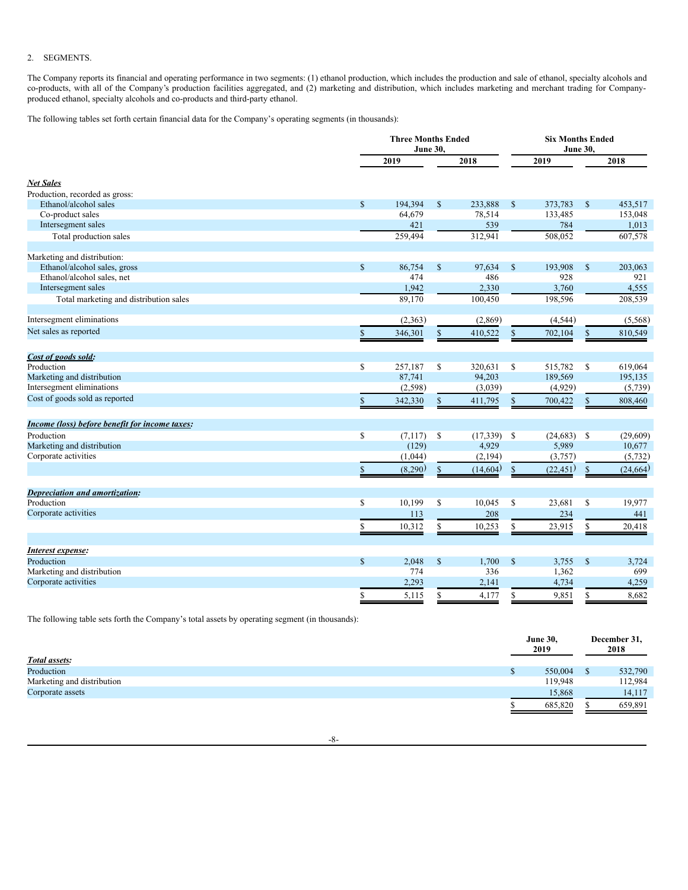## 2. SEGMENTS.

The Company reports its financial and operating performance in two segments: (1) ethanol production, which includes the production and sale of ethanol, specialty alcohols and co-products, with all of the Company's production facilities aggregated, and (2) marketing and distribution, which includes marketing and merchant trading for Companyproduced ethanol, specialty alcohols and co-products and third-party ethanol.

The following tables set forth certain financial data for the Company's operating segments (in thousands):

|                                                |              | <b>Three Months Ended</b><br><b>June 30,</b> |               |           | <b>Six Months Ended</b><br><b>June 30,</b> |           |               |           |
|------------------------------------------------|--------------|----------------------------------------------|---------------|-----------|--------------------------------------------|-----------|---------------|-----------|
|                                                |              | 2019                                         |               | 2018      |                                            | 2019      |               | 2018      |
| <b>Net Sales</b>                               |              |                                              |               |           |                                            |           |               |           |
| Production, recorded as gross:                 |              |                                              |               |           |                                            |           |               |           |
| Ethanol/alcohol sales                          | $\mathbb{S}$ | 194.394                                      | $\mathsf{\$}$ | 233,888   | $\mathsf{\$}$                              | 373,783   | $\mathsf{\$}$ | 453,517   |
| Co-product sales                               |              | 64,679                                       |               | 78,514    |                                            | 133,485   |               | 153,048   |
| Intersegment sales                             |              | 421                                          |               | 539       |                                            | 784       |               | 1,013     |
| Total production sales                         |              | 259,494                                      |               | 312,941   |                                            | 508,052   |               | 607,578   |
| Marketing and distribution:                    |              |                                              |               |           |                                            |           |               |           |
| Ethanol/alcohol sales, gross                   | $\mathbb{S}$ | 86,754                                       | \$            | 97,634    | $\mathsf{\$}$                              | 193,908   | $\mathbb{S}$  | 203.063   |
| Ethanol/alcohol sales, net                     |              | 474                                          |               | 486       |                                            | 928       |               | 921       |
| Intersegment sales                             |              | 1,942                                        |               | 2,330     |                                            | 3,760     |               | 4,555     |
| Total marketing and distribution sales         |              | 89,170                                       |               | 100,450   |                                            | 198,596   |               | 208,539   |
| Intersegment eliminations                      |              | (2,363)                                      |               | (2,869)   |                                            | (4, 544)  |               | (5,568)   |
| Net sales as reported                          | \$           | 346,301                                      | \$            | 410,522   | \$                                         | 702,104   | \$            | 810,549   |
| Cost of goods sold:                            |              |                                              |               |           |                                            |           |               |           |
| Production                                     | \$           | 257,187                                      | \$            | 320,631   | \$                                         | 515,782   | \$            | 619,064   |
| Marketing and distribution                     |              | 87,741                                       |               | 94,203    |                                            | 189,569   |               | 195,135   |
| Intersegment eliminations                      |              | (2, 598)                                     |               | (3,039)   |                                            | (4,929)   |               | (5,739)   |
| Cost of goods sold as reported                 | S            | 342,330                                      | \$            | 411,795   | \$                                         | 700,422   | S             | 808,460   |
| Income (loss) before benefit for income taxes: |              |                                              |               |           |                                            |           |               |           |
| Production                                     | \$           | (7, 117)                                     | \$            | (17, 339) | \$                                         | (24, 683) | $\mathbb{S}$  | (29,609)  |
| Marketing and distribution                     |              | (129)                                        |               | 4,929     |                                            | 5,989     |               | 10,677    |
| Corporate activities                           |              | (1,044)                                      |               | (2, 194)  |                                            | (3,757)   |               | (5, 732)  |
|                                                | S            | (8,290)                                      | $\mathbb{S}$  | (14,604)  | $\mathsf{\$}$                              | (22, 451) | \$            | (24, 664) |
| Depreciation and amortization:                 |              |                                              |               |           |                                            |           |               |           |
| Production                                     | $\mathbb{S}$ | 10,199                                       | \$            | 10,045    | \$                                         | 23,681    | \$            | 19,977    |
| Corporate activities                           |              | 113                                          |               | 208       |                                            | 234       |               | 441       |
|                                                | \$           | 10,312                                       | \$            | 10,253    | \$                                         | 23,915    | \$            | 20,418    |
| Interest expense:                              |              |                                              |               |           |                                            |           |               |           |
| Production                                     | $\mathbb{S}$ | 2,048                                        | $\mathsf{\$}$ | 1,700     | $\mathsf{\$}$                              | 3,755     | $\mathbb S$   | 3,724     |
| Marketing and distribution                     |              | 774                                          |               | 336       |                                            | 1,362     |               | 699       |
| Corporate activities                           |              | 2,293                                        |               | 2,141     |                                            | 4,734     |               | 4,259     |
|                                                | \$           | 5,115                                        | \$            | 4,177     | \$                                         | 9.851     | \$            | 8,682     |

The following table sets forth the Company's total assets by operating segment (in thousands):

|                            | <b>June 30,</b><br>2019 |  | December 31,<br>2018 |
|----------------------------|-------------------------|--|----------------------|
| <b>Total assets:</b>       |                         |  |                      |
| Production                 | 550,004                 |  | 532,790              |
| Marketing and distribution | 119,948                 |  | 112,984              |
| Corporate assets           | 15,868                  |  | 14,117               |
|                            | 685.820                 |  | 659,891              |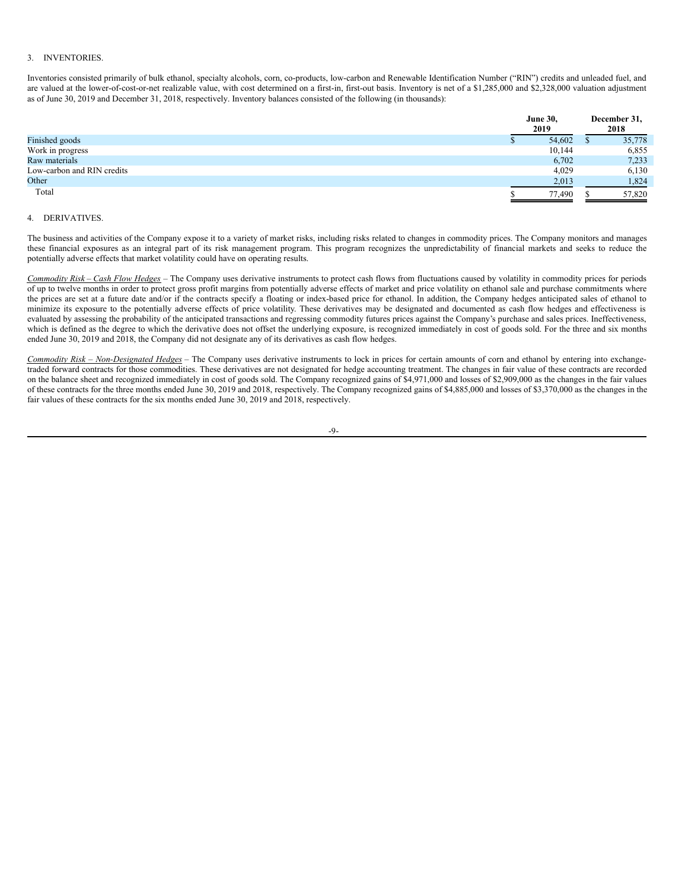## 3. INVENTORIES.

Inventories consisted primarily of bulk ethanol, specialty alcohols, corn, co-products, low-carbon and Renewable Identification Number ("RIN") credits and unleaded fuel, and are valued at the lower-of-cost-or-net realizable value, with cost determined on a first-in, first-out basis. Inventory is net of a \$1,285,000 and \$2,328,000 valuation adjustment as of June 30, 2019 and December 31, 2018, respectively. Inventory balances consisted of the following (in thousands):

|                            | <b>June 30,</b><br>2019 | December 31,<br>2018 |  |
|----------------------------|-------------------------|----------------------|--|
| Finished goods             | 54,602                  | 35,778               |  |
| Work in progress           | 10,144                  | 6,855                |  |
| Raw materials              | 6,702                   | 7,233                |  |
| Low-carbon and RIN credits | 4,029                   | 6,130                |  |
| Other                      | 2,013                   | 1,824                |  |
| Total                      | 77,490                  | 57,820               |  |

### 4. DERIVATIVES.

The business and activities of the Company expose it to a variety of market risks, including risks related to changes in commodity prices. The Company monitors and manages these financial exposures as an integral part of its risk management program. This program recognizes the unpredictability of financial markets and seeks to reduce the potentially adverse effects that market volatility could have on operating results.

*Commodity Risk* – *Cash Flow Hedges* – The Company uses derivative instruments to protect cash flows from fluctuations caused by volatility in commodity prices for periods of up to twelve months in order to protect gross profit margins from potentially adverse effects of market and price volatility on ethanol sale and purchase commitments where the prices are set at a future date and/or if the contracts specify a floating or index-based price for ethanol. In addition, the Company hedges anticipated sales of ethanol to minimize its exposure to the potentially adverse effects of price volatility. These derivatives may be designated and documented as cash flow hedges and effectiveness is evaluated by assessing the probability of the anticipated transactions and regressing commodity futures prices against the Company's purchase and sales prices. Ineffectiveness, which is defined as the degree to which the derivative does not offset the underlying exposure, is recognized immediately in cost of goods sold. For the three and six months ended June 30, 2019 and 2018, the Company did not designate any of its derivatives as cash flow hedges.

*Commodity Risk – Non-Designated Hedges* – The Company uses derivative instruments to lock in prices for certain amounts of corn and ethanol by entering into exchangetraded forward contracts for those commodities. These derivatives are not designated for hedge accounting treatment. The changes in fair value of these contracts are recorded on the balance sheet and recognized immediately in cost of goods sold. The Company recognized gains of \$4,971,000 and losses of \$2,909,000 as the changes in the fair values of these contracts for the three months ended June 30, 2019 and 2018, respectively. The Company recognized gains of \$4,885,000 and losses of \$3,370,000 as the changes in the fair values of these contracts for the six months ended June 30, 2019 and 2018, respectively.

#### -9-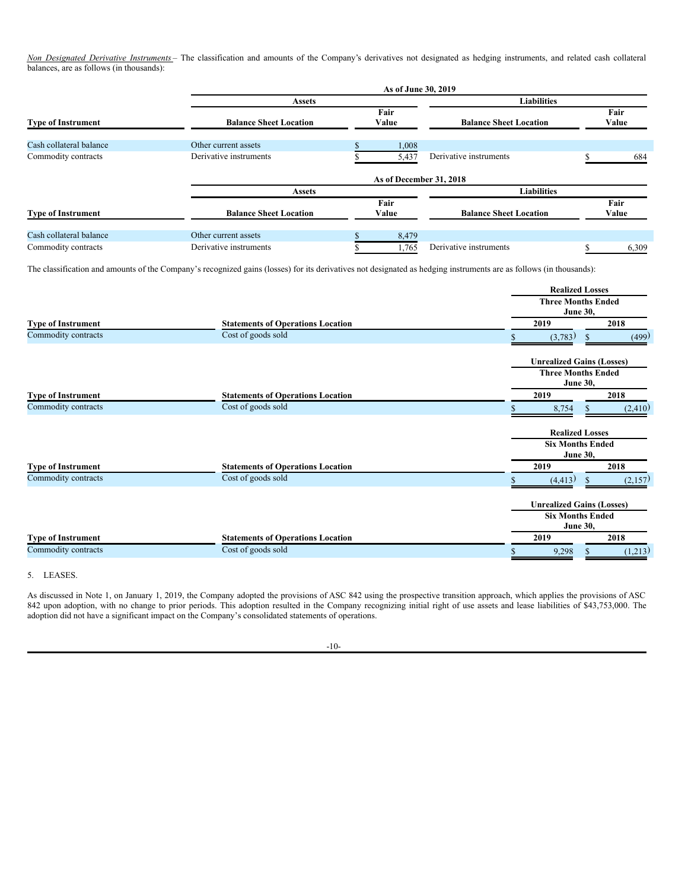*Non Designated Derivative Instruments* – The classification and amounts of the Company's derivatives not designated as hedging instruments, and related cash collateral balances, are as follows (in thousands):

|                           |                               | As of June 30, 2019 |                         |                               |  |               |  |  |  |  |
|---------------------------|-------------------------------|---------------------|-------------------------|-------------------------------|--|---------------|--|--|--|--|
|                           | <b>Assets</b>                 |                     |                         | <b>Liabilities</b>            |  |               |  |  |  |  |
| <b>Type of Instrument</b> | <b>Balance Sheet Location</b> | Fair<br>Value       |                         | <b>Balance Sheet Location</b> |  | Fair<br>Value |  |  |  |  |
| Cash collateral balance   | Other current assets          |                     | 1,008                   |                               |  |               |  |  |  |  |
| Commodity contracts       | Derivative instruments        |                     | 5,437                   | Derivative instruments        |  | 684           |  |  |  |  |
|                           |                               |                     | As of December 31, 2018 |                               |  |               |  |  |  |  |
|                           | <b>Assets</b>                 |                     | <b>Liabilities</b>      |                               |  |               |  |  |  |  |
| <b>Type of Instrument</b> | <b>Balance Sheet Location</b> | Fair<br>Value       |                         | <b>Balance Sheet Location</b> |  | Fair<br>Value |  |  |  |  |
| Cash collateral balance   | Other current assets          |                     | 8,479                   |                               |  |               |  |  |  |  |
| Commodity contracts       | Derivative instruments        |                     | 1,765                   | Derivative instruments        |  | 6,309         |  |  |  |  |

The classification and amounts of the Company's recognized gains (losses) for its derivatives not designated as hedging instruments are as follows (in thousands):

|                           |                                          | <b>Realized Losses</b><br><b>Three Months Ended</b><br><b>June 30,</b> |
|---------------------------|------------------------------------------|------------------------------------------------------------------------|
| <b>Type of Instrument</b> | <b>Statements of Operations Location</b> | 2019<br>2018                                                           |
| Commodity contracts       | Cost of goods sold                       | (3,783)<br>(499)<br><sup>\$</sup>                                      |
|                           |                                          | <b>Unrealized Gains (Losses)</b>                                       |
|                           |                                          | <b>Three Months Ended</b><br><b>June 30,</b>                           |
| <b>Type of Instrument</b> | <b>Statements of Operations Location</b> | 2019<br>2018                                                           |
| Commodity contracts       | Cost of goods sold                       | (2, 410)<br>8,754                                                      |
|                           |                                          | <b>Realized Losses</b>                                                 |
|                           |                                          | <b>Six Months Ended</b><br><b>June 30,</b>                             |
| <b>Type of Instrument</b> | <b>Statements of Operations Location</b> | 2019<br>2018                                                           |
| Commodity contracts       | Cost of goods sold                       | (4, 413)<br>(2,157)                                                    |
|                           |                                          | <b>Unrealized Gains (Losses)</b>                                       |
|                           |                                          | <b>Six Months Ended</b><br><b>June 30,</b>                             |
| <b>Type of Instrument</b> | <b>Statements of Operations Location</b> | 2019<br>2018                                                           |
| Commodity contracts       | Cost of goods sold                       | (1,213)<br>9,298                                                       |

5. LEASES.

As discussed in Note 1, on January 1, 2019, the Company adopted the provisions of ASC 842 using the prospective transition approach, which applies the provisions of ASC 842 upon adoption, with no change to prior periods. This adoption resulted in the Company recognizing initial right of use assets and lease liabilities of \$43,753,000. The adoption did not have a significant impact on the Company's consolidated statements of operations.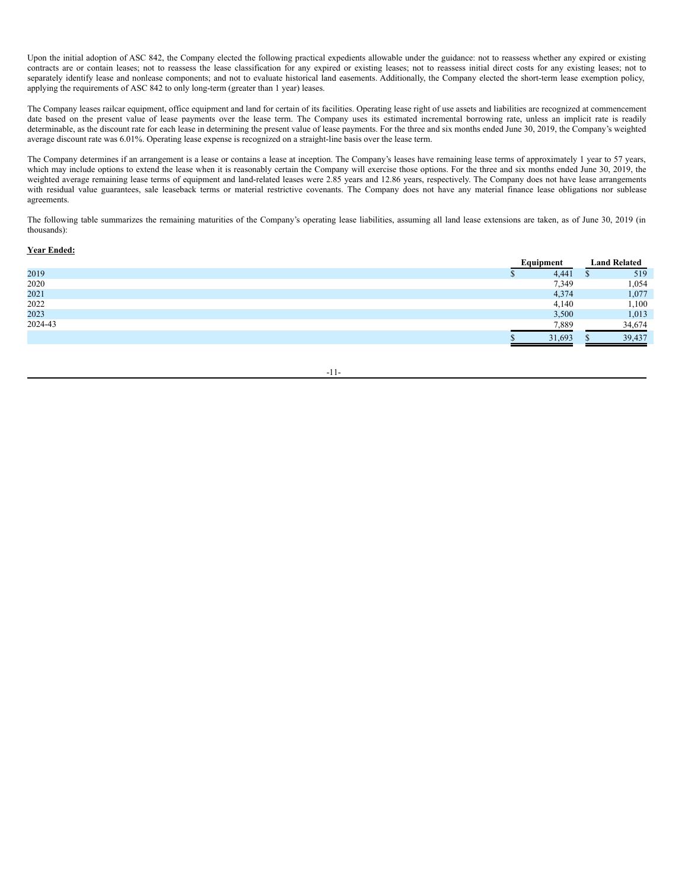Upon the initial adoption of ASC 842, the Company elected the following practical expedients allowable under the guidance: not to reassess whether any expired or existing contracts are or contain leases; not to reassess the lease classification for any expired or existing leases; not to reassess initial direct costs for any existing leases; not to separately identify lease and nonlease components; and not to evaluate historical land easements. Additionally, the Company elected the short-term lease exemption policy, applying the requirements of ASC 842 to only long-term (greater than 1 year) leases.

The Company leases railcar equipment, office equipment and land for certain of its facilities. Operating lease right of use assets and liabilities are recognized at commencement date based on the present value of lease payments over the lease term. The Company uses its estimated incremental borrowing rate, unless an implicit rate is readily determinable, as the discount rate for each lease in determining the present value of lease payments. For the three and six months ended June 30, 2019, the Company's weighted average discount rate was 6.01%. Operating lease expense is recognized on a straight-line basis over the lease term.

The Company determines if an arrangement is a lease or contains a lease at inception. The Company's leases have remaining lease terms of approximately 1 year to 57 years, which may include options to extend the lease when it is reasonably certain the Company will exercise those options. For the three and six months ended June 30, 2019, the weighted average remaining lease terms of equipment and land-related leases were 2.85 years and 12.86 years, respectively. The Company does not have lease arrangements with residual value guarantees, sale leaseback terms or material restrictive covenants. The Company does not have any material finance lease obligations nor sublease agreements.

The following table summarizes the remaining maturities of the Company's operating lease liabilities, assuming all land lease extensions are taken, as of June 30, 2019 (in thousands):

## **Year Ended:**

|         | Equipment | <b>Land Related</b> |
|---------|-----------|---------------------|
| 2019    | 4,441     | 519                 |
| 2020    | 7,349     | 1,054               |
| 2021    | 4,374     | 1,077               |
| 2022    | 4,140     | 1,100               |
| 2023    | 3,500     | 1,013               |
| 2024-43 | 7,889     | 34,674              |
|         | 31,693    | 39,437              |

-11-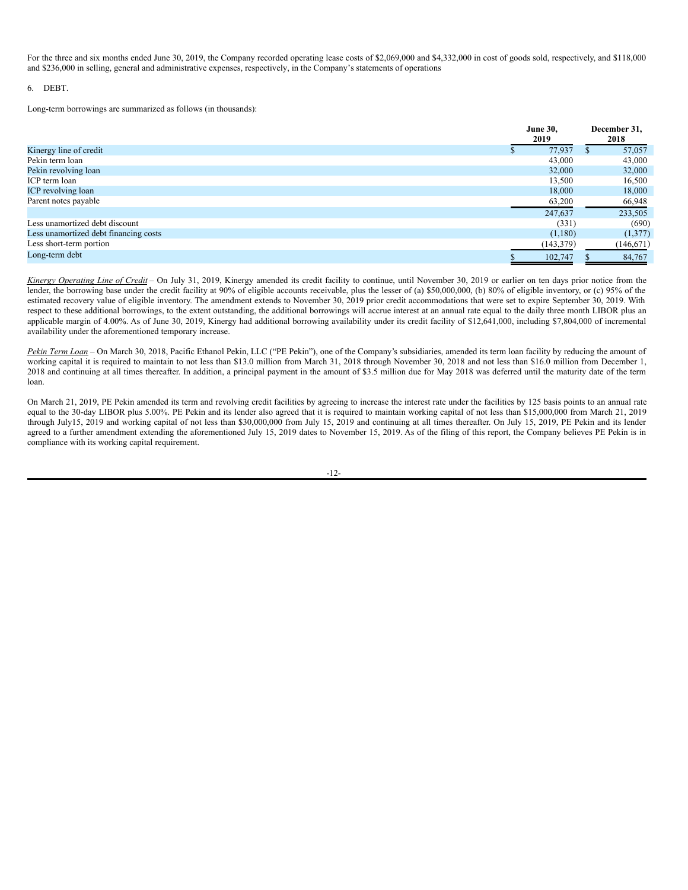For the three and six months ended June 30, 2019, the Company recorded operating lease costs of \$2,069,000 and \$4,332,000 in cost of goods sold, respectively, and \$118,000 and \$236,000 in selling, general and administrative expenses, respectively, in the Company's statements of operations

## 6. DEBT.

Long-term borrowings are summarized as follows (in thousands):

|                                       | <b>June 30,</b><br>2019 | December 31,<br>2018 |
|---------------------------------------|-------------------------|----------------------|
| Kinergy line of credit                | 77.937                  | 57,057               |
| Pekin term loan                       | 43,000                  | 43,000               |
| Pekin revolving loan                  | 32,000                  | 32,000               |
| ICP term loan                         | 13.500                  | 16,500               |
| ICP revolving loan                    | 18,000                  | 18,000               |
| Parent notes payable                  | 63,200                  | 66,948               |
|                                       | 247,637                 | 233,505              |
| Less unamortized debt discount        | (331)                   | (690)                |
| Less unamortized debt financing costs | (1,180)                 | (1,377)              |
| Less short-term portion               | (143, 379)              | (146, 671)           |
| Long-term debt                        | 102,747                 | 84,767               |

*Kinergy Operating Line of Credit* – On July 31, 2019, Kinergy amended its credit facility to continue, until November 30, 2019 or earlier on ten days prior notice from the lender, the borrowing base under the credit facility at 90% of eligible accounts receivable, plus the lesser of (a) \$50,000,000, (b) 80% of eligible inventory, or (c) 95% of the estimated recovery value of eligible inventory. The amendment extends to November 30, 2019 prior credit accommodations that were set to expire September 30, 2019. With respect to these additional borrowings, to the extent outstanding, the additional borrowings will accrue interest at an annual rate equal to the daily three month LIBOR plus an applicable margin of 4.00%. As of June 30, 2019, Kinergy had additional borrowing availability under its credit facility of \$12,641,000, including \$7,804,000 of incremental availability under the aforementioned temporary increase.

*Pekin Term Loan* – On March 30, 2018, Pacific Ethanol Pekin, LLC ("PE Pekin"), one of the Company's subsidiaries, amended its term loan facility by reducing the amount of working capital it is required to maintain to not less than \$13.0 million from March 31, 2018 through November 30, 2018 and not less than \$16.0 million from December 1, 2018 and continuing at all times thereafter. In addition, a principal payment in the amount of \$3.5 million due for May 2018 was deferred until the maturity date of the term loan.

On March 21, 2019, PE Pekin amended its term and revolving credit facilities by agreeing to increase the interest rate under the facilities by 125 basis points to an annual rate equal to the 30-day LIBOR plus 5.00%. PE Pekin and its lender also agreed that it is required to maintain working capital of not less than \$15,000,000 from March 21, 2019 through July15, 2019 and working capital of not less than \$30,000,000 from July 15, 2019 and continuing at all times thereafter. On July 15, 2019, PE Pekin and its lender agreed to a further amendment extending the aforementioned July 15, 2019 dates to November 15, 2019. As of the filing of this report, the Company believes PE Pekin is in compliance with its working capital requirement.

#### -12-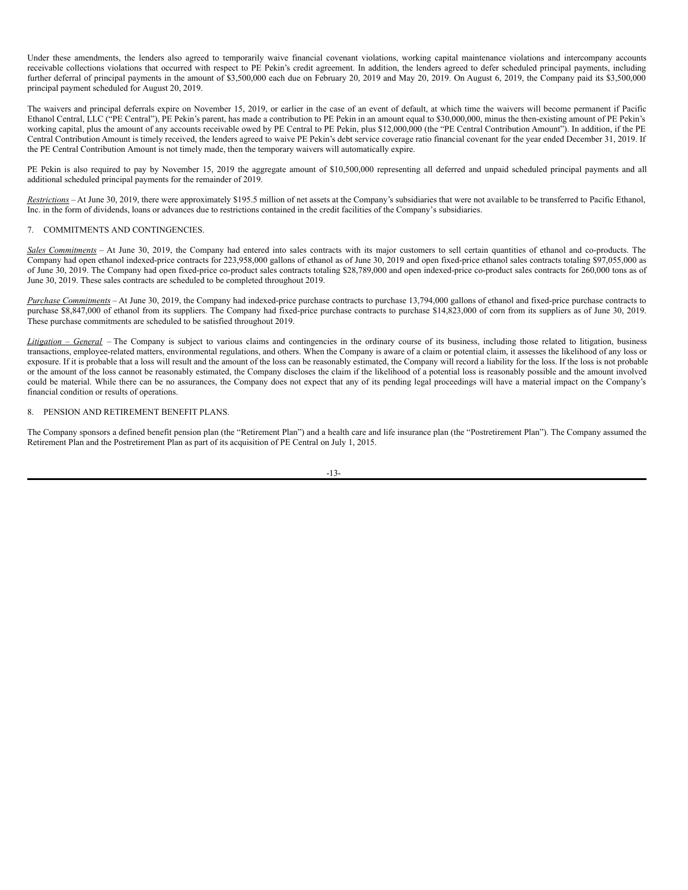Under these amendments, the lenders also agreed to temporarily waive financial covenant violations, working capital maintenance violations and intercompany accounts receivable collections violations that occurred with respect to PE Pekin's credit agreement. In addition, the lenders agreed to defer scheduled principal payments, including further deferral of principal payments in the amount of \$3,500,000 each due on February 20, 2019 and May 20, 2019. On August 6, 2019, the Company paid its \$3,500,000 principal payment scheduled for August 20, 2019.

The waivers and principal deferrals expire on November 15, 2019, or earlier in the case of an event of default, at which time the waivers will become permanent if Pacific Ethanol Central, LLC ("PE Central"), PE Pekin's parent, has made a contribution to PE Pekin in an amount equal to \$30,000,000, minus the then-existing amount of PE Pekin's working capital, plus the amount of any accounts receivable owed by PE Central to PE Pekin, plus \$12,000,000 (the "PE Central Contribution Amount"). In addition, if the PE Central Contribution Amount is timely received, the lenders agreed to waive PE Pekin's debt service coverage ratio financial covenant for the year ended December 31, 2019. If the PE Central Contribution Amount is not timely made, then the temporary waivers will automatically expire.

PE Pekin is also required to pay by November 15, 2019 the aggregate amount of \$10,500,000 representing all deferred and unpaid scheduled principal payments and all additional scheduled principal payments for the remainder of 2019.

*Restrictions* – At June 30, 2019, there were approximately \$195.5 million of net assets at the Company's subsidiaries that were not available to be transferred to Pacific Ethanol, Inc. in the form of dividends, loans or advances due to restrictions contained in the credit facilities of the Company's subsidiaries.

## 7. COMMITMENTS AND CONTINGENCIES.

*Sales Commitments* – At June 30, 2019, the Company had entered into sales contracts with its major customers to sell certain quantities of ethanol and co-products. The Company had open ethanol indexed-price contracts for 223,958,000 gallons of ethanol as of June 30, 2019 and open fixed-price ethanol sales contracts totaling \$97,055,000 as of June 30, 2019. The Company had open fixed-price co-product sales contracts totaling \$28,789,000 and open indexed-price co-product sales contracts for 260,000 tons as of June 30, 2019. These sales contracts are scheduled to be completed throughout 2019.

*Purchase Commitments* – At June 30, 2019, the Company had indexed-price purchase contracts to purchase 13,794,000 gallons of ethanol and fixed-price purchase contracts to purchase \$8,847,000 of ethanol from its suppliers. The Company had fixed-price purchase contracts to purchase \$14,823,000 of corn from its suppliers as of June 30, 2019. These purchase commitments are scheduled to be satisfied throughout 2019.

*Litigation – General* – The Company is subject to various claims and contingencies in the ordinary course of its business, including those related to litigation, business transactions, employee-related matters, environmental regulations, and others. When the Company is aware of a claim or potential claim, it assesses the likelihood of any loss or exposure. If it is probable that a loss will result and the amount of the loss can be reasonably estimated, the Company will record a liability for the loss. If the loss is not probable or the amount of the loss cannot be reasonably estimated, the Company discloses the claim if the likelihood of a potential loss is reasonably possible and the amount involved could be material. While there can be no assurances, the Company does not expect that any of its pending legal proceedings will have a material impact on the Company's financial condition or results of operations.

## 8. PENSION AND RETIREMENT BENEFIT PLANS.

The Company sponsors a defined benefit pension plan (the "Retirement Plan") and a health care and life insurance plan (the "Postretirement Plan"). The Company assumed the Retirement Plan and the Postretirement Plan as part of its acquisition of PE Central on July 1, 2015.

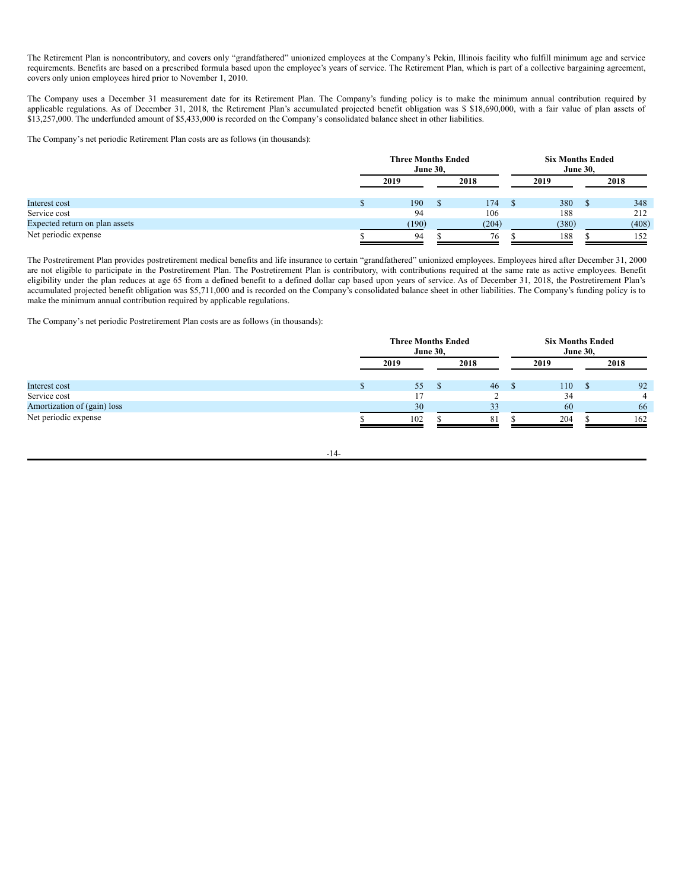The Retirement Plan is noncontributory, and covers only "grandfathered" unionized employees at the Company's Pekin, Illinois facility who fulfill minimum age and service requirements. Benefits are based on a prescribed formula based upon the employee's years of service. The Retirement Plan, which is part of a collective bargaining agreement, covers only union employees hired prior to November 1, 2010.

The Company uses a December 31 measurement date for its Retirement Plan. The Company's funding policy is to make the minimum annual contribution required by applicable regulations. As of December 31, 2018, the Retirement Plan's accumulated projected benefit obligation was \$ \$18,690,000, with a fair value of plan assets of \$13,257,000. The underfunded amount of \$5,433,000 is recorded on the Company's consolidated balance sheet in other liabilities.

The Company's net periodic Retirement Plan costs are as follows (in thousands):

|                                | <b>Three Months Ended</b><br><b>June 30,</b> |       |  | <b>Six Months Ended</b><br><b>June 30,</b> |  |       |  |       |
|--------------------------------|----------------------------------------------|-------|--|--------------------------------------------|--|-------|--|-------|
|                                |                                              | 2019  |  | 2018                                       |  | 2019  |  | 2018  |
| Interest cost                  | æ                                            | 190   |  | 174                                        |  | 380   |  | 348   |
| Service cost                   |                                              | 94    |  | 106                                        |  | 188   |  | 212   |
| Expected return on plan assets |                                              | (190) |  | (204)                                      |  | (380) |  | (408) |
| Net periodic expense           |                                              | 94    |  | 76                                         |  | 188   |  | 152   |

The Postretirement Plan provides postretirement medical benefits and life insurance to certain "grandfathered" unionized employees. Employees hired after December 31, 2000 are not eligible to participate in the Postretirement Plan. The Postretirement Plan is contributory, with contributions required at the same rate as active employees. Benefit eligibility under the plan reduces at age 65 from a defined benefit to a defined dollar cap based upon years of service. As of December 31, 2018, the Postretirement Plan's accumulated projected benefit obligation was \$5,711,000 and is recorded on the Company's consolidated balance sheet in other liabilities. The Company's funding policy is to make the minimum annual contribution required by applicable regulations.

The Company's net periodic Postretirement Plan costs are as follows (in thousands):

|                             | <b>Three Months Ended</b><br><b>June 30,</b> |      |  |      | <b>Six Months Ended</b><br><b>June 30,</b> |      |  |      |
|-----------------------------|----------------------------------------------|------|--|------|--------------------------------------------|------|--|------|
|                             |                                              | 2019 |  | 2018 |                                            | 2019 |  | 2018 |
| Interest cost               |                                              | 55   |  | 46   |                                            | 110  |  | 92   |
| Service cost                |                                              |      |  |      |                                            | 34   |  |      |
| Amortization of (gain) loss |                                              | 30   |  | 33   |                                            | 60   |  | 66   |
| Net periodic expense        |                                              | 102  |  | 81   |                                            | 204  |  | 162  |

-14-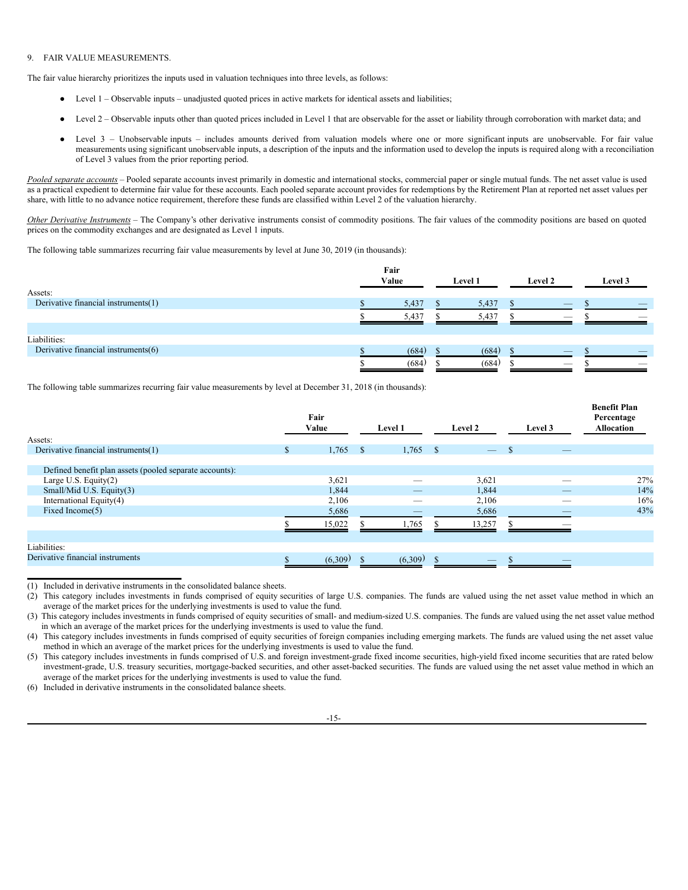## 9. FAIR VALUE MEASUREMENTS.

The fair value hierarchy prioritizes the inputs used in valuation techniques into three levels, as follows:

- $\bullet$  Level 1 Observable inputs unadjusted quoted prices in active markets for identical assets and liabilities;
- Level 2 Observable inputs other than quoted prices included in Level 1 that are observable for the asset or liability through corroboration with market data; and
- Level 3 Unobservable inputs includes amounts derived from valuation models where one or more significant inputs are unobservable. For fair value measurements using significant unobservable inputs, a description of the inputs and the information used to develop the inputs is required along with a reconciliation of Level 3 values from the prior reporting period.

*Pooled separate accounts* – Pooled separate accounts invest primarily in domestic and international stocks, commercial paper or single mutual funds. The net asset value is used as a practical expedient to determine fair value for these accounts. Each pooled separate account provides for redemptions by the Retirement Plan at reported net asset values per share, with little to no advance notice requirement, therefore these funds are classified within Level 2 of the valuation hierarchy.

*Other Derivative Instruments* – The Company's other derivative instruments consist of commodity positions. The fair values of the commodity positions are based on quoted prices on the commodity exchanges and are designated as Level 1 inputs.

The following table summarizes recurring fair value measurements by level at June 30, 2019 (in thousands):

| Assets:                             | Fair<br>Value | Level 1 | <b>Level 2</b>                  | Level 3 |
|-------------------------------------|---------------|---------|---------------------------------|---------|
| Derivative financial instruments(1) | 5,437         | 5,437   | $\hspace{0.1mm}-\hspace{0.1mm}$ |         |
|                                     | 5,437         | 5,437   | _                               |         |
| Liabilities:                        |               |         |                                 |         |
| Derivative financial instruments(6) | (684)         | (684)   | $-$                             |         |
|                                     | (684)         | (684)   | _                               |         |

The following table summarizes recurring fair value measurements by level at December 31, 2018 (in thousands):

| Assets:                                                 |    | Fair<br>Value |      | Level 1 |      | Level 2 | Level 3 | <b>Benefit Plan</b><br>Percentage<br>Allocation |
|---------------------------------------------------------|----|---------------|------|---------|------|---------|---------|-------------------------------------------------|
| Derivative financial instruments(1)                     | S. | 1,765         | - \$ | 1,765   | - \$ |         |         |                                                 |
|                                                         |    |               |      |         |      |         |         |                                                 |
| Defined benefit plan assets (pooled separate accounts): |    |               |      |         |      |         |         |                                                 |
| Large U.S. Equity(2)                                    |    | 3,621         |      | -       |      | 3,621   |         | 27%                                             |
| Small/Mid U.S. Equity(3)                                |    | 1,844         |      |         |      | 1,844   |         | 14%                                             |
| International Equity(4)                                 |    | 2,106         |      | _       |      | 2,106   | --      | 16%                                             |
| Fixed Income(5)                                         |    | 5,686         |      | _       |      | 5,686   | _       | 43%                                             |
|                                                         |    | 15,022        |      | 1.765   |      | 13,257  |         |                                                 |
|                                                         |    |               |      |         |      |         |         |                                                 |
| Liabilities:                                            |    |               |      |         |      |         |         |                                                 |
| Derivative financial instruments                        |    | (6,309)       |      | (6,309) |      |         |         |                                                 |

(1) Included in derivative instruments in the consolidated balance sheets.

(2) This category includes investments in funds comprised of equity securities of large U.S. companies. The funds are valued using the net asset value method in which an average of the market prices for the underlying investments is used to value the fund.

(3) This category includes investments in funds comprised of equity securities of small- and medium-sized U.S. companies. The funds are valued using the net asset value method in which an average of the market prices for the underlying investments is used to value the fund.

(4) This category includes investments in funds comprised of equity securities of foreign companies including emerging markets. The funds are valued using the net asset value method in which an average of the market prices for the underlying investments is used to value the fund.

(5) This category includes investments in funds comprised of U.S. and foreign investment-grade fixed income securities, high-yield fixed income securities that are rated below investment-grade, U.S. treasury securities, mortgage-backed securities, and other asset-backed securities. The funds are valued using the net asset value method in which an average of the market prices for the underlying investments is used to value the fund.

(6) Included in derivative instruments in the consolidated balance sheets.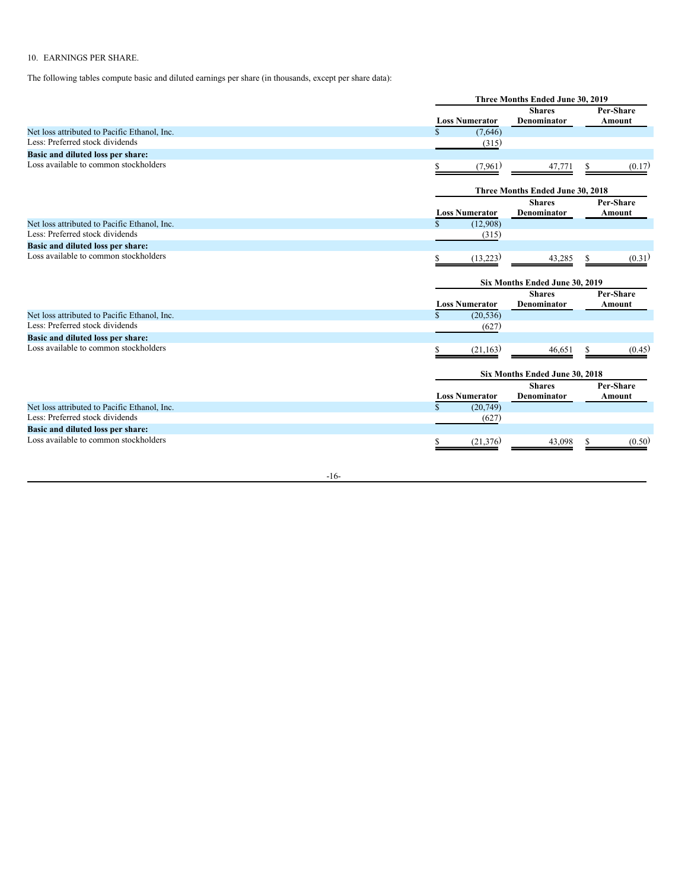# 10. EARNINGS PER SHARE.

The following tables compute basic and diluted earnings per share (in thousands, except per share data):

|                                              |                           | Three Months Ended June 30, 2019    |                            |  |  |  |
|----------------------------------------------|---------------------------|-------------------------------------|----------------------------|--|--|--|
|                                              | <b>Loss Numerator</b>     | <b>Shares</b><br>Denominator        | Per-Share<br><b>Amount</b> |  |  |  |
| Net loss attributed to Pacific Ethanol, Inc. | $\mathcal{S}$<br>(7,646)  |                                     |                            |  |  |  |
| Less: Preferred stock dividends              | (315)                     |                                     |                            |  |  |  |
| Basic and diluted loss per share:            |                           |                                     |                            |  |  |  |
| Loss available to common stockholders        | (7,961)<br>S.             | 47,771                              | (0.17)<br>\$               |  |  |  |
|                                              |                           | Three Months Ended June 30, 2018    |                            |  |  |  |
|                                              | <b>Loss Numerator</b>     | <b>Shares</b><br>Denominator        | Per-Share<br>Amount        |  |  |  |
| Net loss attributed to Pacific Ethanol, Inc. | (12,908)                  |                                     |                            |  |  |  |
| Less: Preferred stock dividends              | (315)                     |                                     |                            |  |  |  |
| Basic and diluted loss per share:            |                           |                                     |                            |  |  |  |
| Loss available to common stockholders        | (13,223)                  | 43,285                              | (0.31)                     |  |  |  |
|                                              |                           | Six Months Ended June 30, 2019      |                            |  |  |  |
|                                              | <b>Loss Numerator</b>     | <b>Shares</b><br><b>Denominator</b> | Per-Share<br>Amount        |  |  |  |
| Net loss attributed to Pacific Ethanol. Inc. | (20, 536)                 |                                     |                            |  |  |  |
| Less: Preferred stock dividends              | (627)                     |                                     |                            |  |  |  |
| Basic and diluted loss per share:            |                           |                                     |                            |  |  |  |
| Loss available to common stockholders        | (21, 163)                 | 46,651                              | (0.45)                     |  |  |  |
|                                              |                           | Six Months Ended June 30, 2018      |                            |  |  |  |
|                                              |                           | <b>Shares</b>                       | Per-Share                  |  |  |  |
|                                              | <b>Loss Numerator</b>     | Denominator                         | Amount                     |  |  |  |
| Net loss attributed to Pacific Ethanol, Inc. | $\mathbf{s}$<br>(20, 749) |                                     |                            |  |  |  |
| Less: Preferred stock dividends              | (627)                     |                                     |                            |  |  |  |
| Basic and diluted loss per share:            |                           |                                     |                            |  |  |  |
| Loss available to common stockholders        | (21, 376)                 | 43,098                              | (0.50)<br><sup>\$</sup>    |  |  |  |

-16-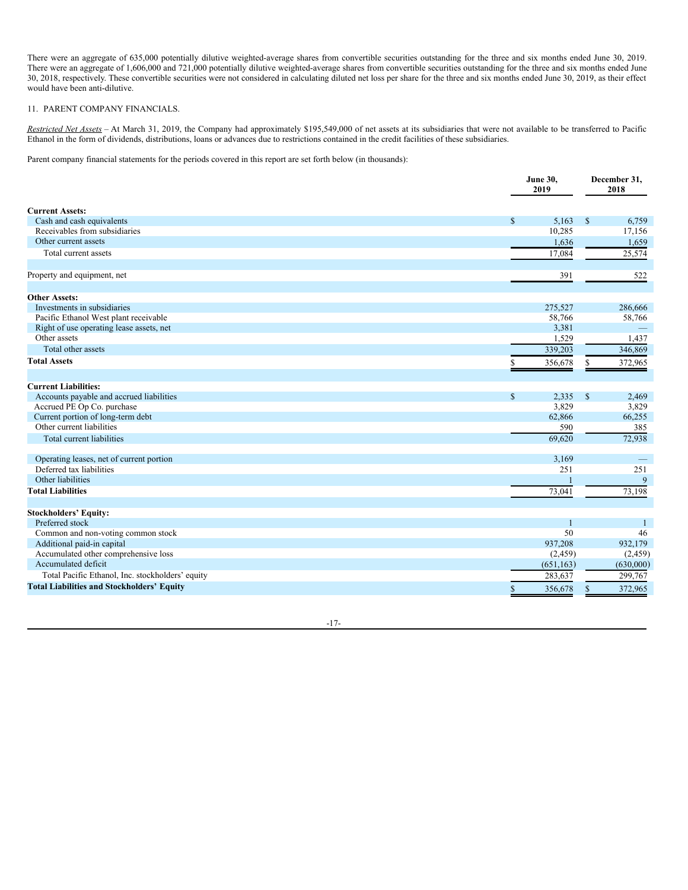There were an aggregate of 635,000 potentially dilutive weighted-average shares from convertible securities outstanding for the three and six months ended June 30, 2019. There were an aggregate of 1,606,000 and 721,000 potentially dilutive weighted-average shares from convertible securities outstanding for the three and six months ended June 30, 2018, respectively. These convertible securities were not considered in calculating diluted net loss per share for the three and six months ended June 30, 2019, as their effect would have been anti-dilutive.

## 11. PARENT COMPANY FINANCIALS.

*Restricted Net Assets –* At March 31, 2019, the Company had approximately \$195,549,000 of net assets at its subsidiaries that were not available to be transferred to Pacific Ethanol in the form of dividends, distributions, loans or advances due to restrictions contained in the credit facilities of these subsidiaries.

Parent company financial statements for the periods covered in this report are set forth below (in thousands):

|                                                   | <b>June 30,</b><br>2019 | December 31,<br>2018  |
|---------------------------------------------------|-------------------------|-----------------------|
| <b>Current Assets:</b>                            |                         |                       |
| Cash and cash equivalents                         | $\mathbb{S}$<br>5,163   | $\mathbb{S}$<br>6,759 |
| Receivables from subsidiaries                     | 10,285                  | 17,156                |
| Other current assets                              | 1,636                   | 1,659                 |
| Total current assets                              | 17,084                  | 25,574                |
| Property and equipment, net                       | 391                     | 522                   |
| <b>Other Assets:</b>                              |                         |                       |
| Investments in subsidiaries                       | 275,527                 | 286,666               |
| Pacific Ethanol West plant receivable             | 58,766                  | 58,766                |
| Right of use operating lease assets, net          | 3,381                   |                       |
| Other assets                                      | 1,529                   | 1,437                 |
| Total other assets                                | 339,203                 | 346,869               |
| <b>Total Assets</b>                               | 356,678                 | 372,965<br>\$         |
| <b>Current Liabilities:</b>                       |                         |                       |
| Accounts payable and accrued liabilities          | $\mathbb{S}$<br>2,335   | $\mathbb{S}$<br>2,469 |
| Accrued PE Op Co. purchase                        | 3,829                   | 3,829                 |
| Current portion of long-term debt                 | 62,866                  | 66,255                |
| Other current liabilities                         | 590                     | 385                   |
| Total current liabilities                         | 69,620                  | 72,938                |
| Operating leases, net of current portion          | 3,169                   |                       |
| Deferred tax liabilities                          | 251                     | 251                   |
| Other liabilities                                 |                         | 9                     |
| <b>Total Liabilities</b>                          | 73,041                  | 73,198                |
| <b>Stockholders' Equity:</b>                      |                         |                       |
| Preferred stock                                   | $\mathbf{1}$            |                       |
| Common and non-voting common stock                | 50                      | 46                    |
| Additional paid-in capital                        | 937,208                 | 932,179               |
| Accumulated other comprehensive loss              | (2, 459)                | (2, 459)              |
| Accumulated deficit                               | (651, 163)              | (630,000)             |
| Total Pacific Ethanol, Inc. stockholders' equity  | 283,637                 | 299,767               |
| <b>Total Liabilities and Stockholders' Equity</b> | 356,678                 | 372,965               |

-17-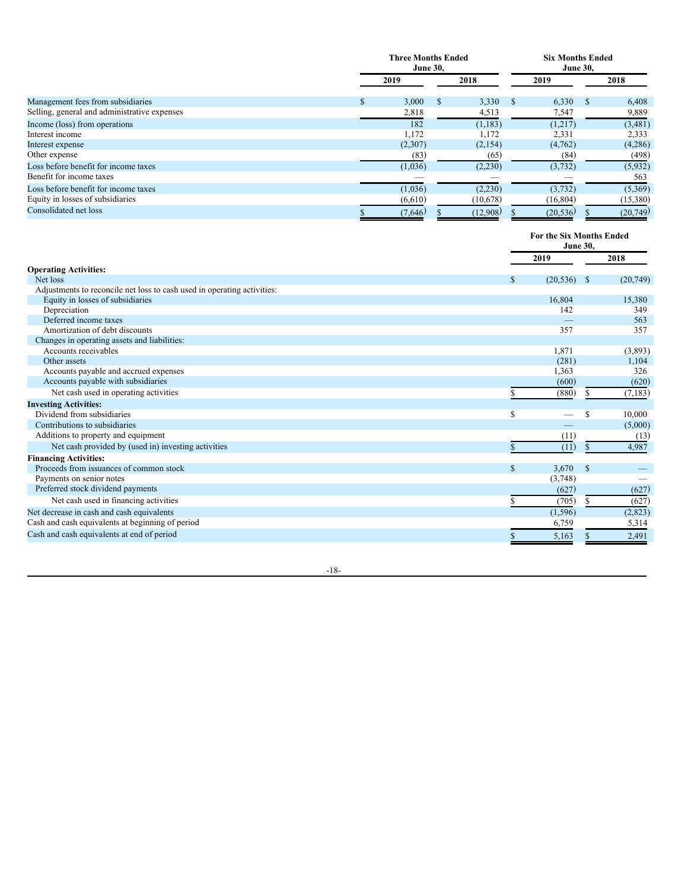|                                              |    | <b>Three Months Ended</b><br><b>June 30.</b> |     | <b>Six Months Ended</b><br><b>June 30.</b> |    |           |          |           |
|----------------------------------------------|----|----------------------------------------------|-----|--------------------------------------------|----|-----------|----------|-----------|
|                                              |    | 2019                                         |     | 2018                                       |    | 2019      |          | 2018      |
| Management fees from subsidiaries            | S. | 3.000                                        | \$. | 3,330                                      | -S | 6,330     | <b>S</b> | 6,408     |
| Selling, general and administrative expenses |    | 2,818                                        |     | 4,513                                      |    | 7,547     |          | 9,889     |
| Income (loss) from operations                |    | 182                                          |     | (1, 183)                                   |    | (1,217)   |          | (3,481)   |
| Interest income                              |    | 1,172                                        |     | 1,172                                      |    | 2,331     |          | 2,333     |
| Interest expense                             |    | (2,307)                                      |     | (2.154)                                    |    | (4,762)   |          | (4,286)   |
| Other expense                                |    | (83)                                         |     | (65)                                       |    | (84)      |          | (498)     |
| Loss before benefit for income taxes         |    | (1,036)                                      |     | (2,230)                                    |    | (3,732)   |          | (5,932)   |
| Benefit for income taxes                     |    |                                              |     |                                            |    |           |          | 563       |
| Loss before benefit for income taxes         |    | (1,036)                                      |     | (2,230)                                    |    | (3,732)   |          | (5,369)   |
| Equity in losses of subsidiaries             |    | (6,610)                                      |     | (10,678)                                   |    | (16, 804) |          | (15,380)  |
| Consolidated net loss                        |    | (7,646)                                      |     | (12,908)                                   |    | (20, 536) |          | (20, 749) |

|                                                                         |      | <b>For the Six Months Ended</b><br><b>June 30,</b> |          |
|-------------------------------------------------------------------------|------|----------------------------------------------------|----------|
|                                                                         | 2019 |                                                    | 2018     |
| <b>Operating Activities:</b>                                            |      |                                                    |          |
| Net loss                                                                | S    | (20, 536)<br>-S                                    | (20,749) |
| Adjustments to reconcile net loss to cash used in operating activities: |      |                                                    |          |
| Equity in losses of subsidiaries                                        |      | 16,804                                             | 15,380   |
| Depreciation                                                            |      | 142                                                | 349      |
| Deferred income taxes                                                   |      |                                                    | 563      |
| Amortization of debt discounts                                          |      | 357                                                | 357      |
| Changes in operating assets and liabilities:                            |      |                                                    |          |
| Accounts receivables                                                    |      | 1,871                                              | (3,893)  |
| Other assets                                                            |      | (281)                                              | 1,104    |
| Accounts payable and accrued expenses                                   |      | 1,363                                              | 326      |
| Accounts payable with subsidiaries                                      |      | (600)                                              | (620)    |
| Net cash used in operating activities                                   |      | (880)<br>S.                                        | (7,183)  |
| <b>Investing Activities:</b>                                            |      |                                                    |          |
| Dividend from subsidiaries                                              | \$   | \$                                                 | 10,000   |
| Contributions to subsidiaries                                           |      |                                                    | (5,000)  |
| Additions to property and equipment                                     |      | (11)                                               | (13)     |
| Net cash provided by (used in) investing activities                     |      | (11)<br><sup>\$</sup>                              | 4,987    |
| <b>Financing Activities:</b>                                            |      |                                                    |          |
| Proceeds from issuances of common stock                                 | \$.  | 3,670<br>$\mathbb{S}$                              |          |
| Payments on senior notes                                                |      | (3,748)                                            |          |
| Preferred stock dividend payments                                       |      | (627)                                              | (627)    |
| Net cash used in financing activities                                   |      | (705)<br>S.                                        | (627)    |
| Net decrease in cash and cash equivalents                               |      | (1, 596)                                           | (2,823)  |
| Cash and cash equivalents at beginning of period                        |      | 6,759                                              | 5,314    |
| Cash and cash equivalents at end of period                              |      | 5,163<br>S                                         | 2,491    |
|                                                                         |      |                                                    |          |

# -18-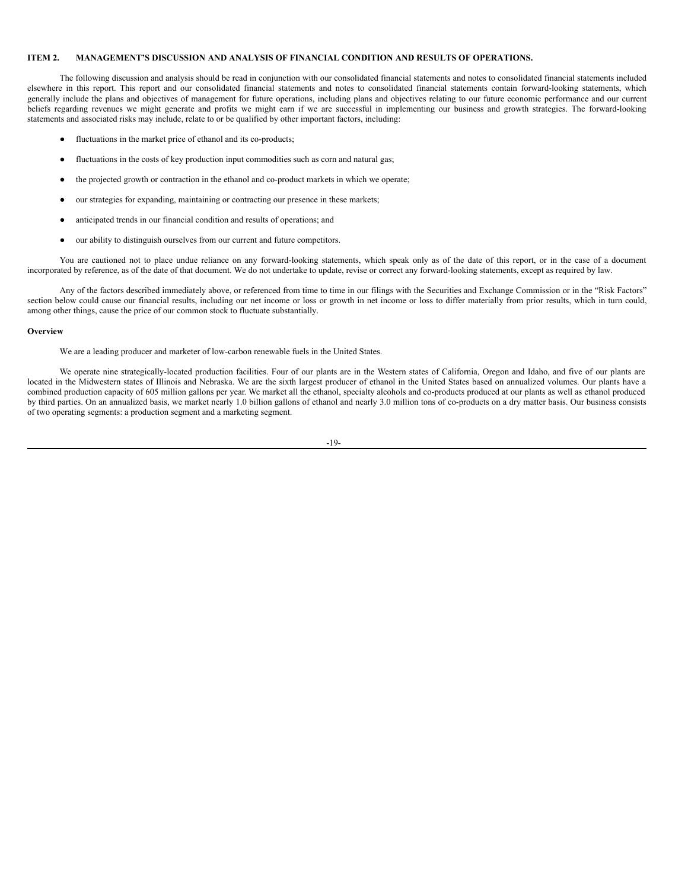## **ITEM 2. MANAGEMENT'S DISCUSSION AND ANALYSIS OF FINANCIAL CONDITION AND RESULTS OF OPERATIONS.**

The following discussion and analysis should be read in conjunction with our consolidated financial statements and notes to consolidated financial statements included elsewhere in this report. This report and our consolidated financial statements and notes to consolidated financial statements contain forward-looking statements, which generally include the plans and objectives of management for future operations, including plans and objectives relating to our future economic performance and our current beliefs regarding revenues we might generate and profits we might earn if we are successful in implementing our business and growth strategies. The forward-looking statements and associated risks may include, relate to or be qualified by other important factors, including:

- fluctuations in the market price of ethanol and its co-products;
- fluctuations in the costs of key production input commodities such as corn and natural gas;
- the projected growth or contraction in the ethanol and co-product markets in which we operate;
- our strategies for expanding, maintaining or contracting our presence in these markets;
- anticipated trends in our financial condition and results of operations; and
- our ability to distinguish ourselves from our current and future competitors.

You are cautioned not to place undue reliance on any forward-looking statements, which speak only as of the date of this report, or in the case of a document incorporated by reference, as of the date of that document. We do not undertake to update, revise or correct any forward-looking statements, except as required by law.

Any of the factors described immediately above, or referenced from time to time in our filings with the Securities and Exchange Commission or in the "Risk Factors" section below could cause our financial results, including our net income or loss or growth in net income or loss to differ materially from prior results, which in turn could, among other things, cause the price of our common stock to fluctuate substantially.

#### **Overview**

We are a leading producer and marketer of low-carbon renewable fuels in the United States.

We operate nine strategically-located production facilities. Four of our plants are in the Western states of California, Oregon and Idaho, and five of our plants are located in the Midwestern states of Illinois and Nebraska. We are the sixth largest producer of ethanol in the United States based on annualized volumes. Our plants have a combined production capacity of 605 million gallons per year. We market all the ethanol, specialty alcohols and co-products produced at our plants as well as ethanol produced by third parties. On an annualized basis, we market nearly 1.0 billion gallons of ethanol and nearly 3.0 million tons of co-products on a dry matter basis. Our business consists of two operating segments: a production segment and a marketing segment.

$$
-19-
$$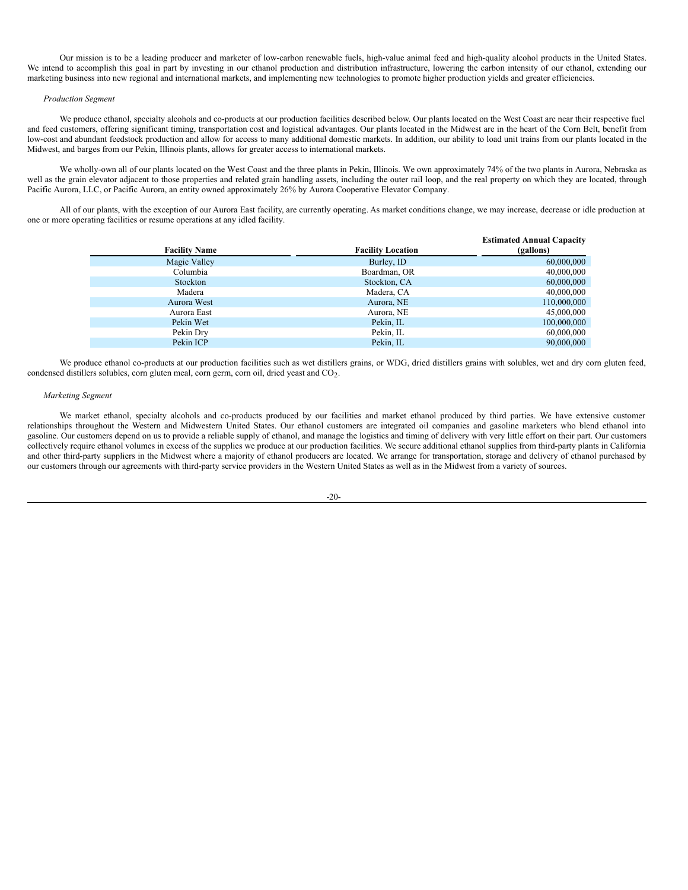Our mission is to be a leading producer and marketer of low-carbon renewable fuels, high-value animal feed and high-quality alcohol products in the United States. We intend to accomplish this goal in part by investing in our ethanol production and distribution infrastructure, lowering the carbon intensity of our ethanol, extending our marketing business into new regional and international markets, and implementing new technologies to promote higher production yields and greater efficiencies.

## *Production Segment*

We produce ethanol, specialty alcohols and co-products at our production facilities described below. Our plants located on the West Coast are near their respective fuel and feed customers, offering significant timing, transportation cost and logistical advantages. Our plants located in the Midwest are in the heart of the Corn Belt, benefit from low-cost and abundant feedstock production and allow for access to many additional domestic markets. In addition, our ability to load unit trains from our plants located in the Midwest, and barges from our Pekin, Illinois plants, allows for greater access to international markets.

We wholly-own all of our plants located on the West Coast and the three plants in Pekin, Illinois. We own approximately 74% of the two plants in Aurora, Nebraska as well as the grain elevator adjacent to those properties and related grain handling assets, including the outer rail loop, and the real property on which they are located, through Pacific Aurora, LLC, or Pacific Aurora, an entity owned approximately 26% by Aurora Cooperative Elevator Company.

All of our plants, with the exception of our Aurora East facility, are currently operating. As market conditions change, we may increase, decrease or idle production at one or more operating facilities or resume operations at any idled facility.

|                      |                          | <b>Estimated Annual Capacity</b> |
|----------------------|--------------------------|----------------------------------|
| <b>Facility Name</b> | <b>Facility Location</b> | (gallons)                        |
| Magic Valley         | Burley, ID               | 60,000,000                       |
| Columbia             | Boardman, OR             | 40,000,000                       |
| Stockton             | Stockton, CA             | 60,000,000                       |
| Madera               | Madera, CA               | 40,000,000                       |
| Aurora West          | Aurora, NE               | 110,000,000                      |
| Aurora East          | Aurora, NE               | 45,000,000                       |
| Pekin Wet            | Pekin, IL                | 100,000,000                      |
| Pekin Dry            | Pekin, IL                | 60,000,000                       |
| Pekin ICP            | Pekin, IL                | 90,000,000                       |

We produce ethanol co-products at our production facilities such as wet distillers grains, or WDG, dried distillers grains with solubles, wet and dry corn gluten feed, condensed distillers solubles, corn gluten meal, corn germ, corn oil, dried yeast and  $CO_2$ .

## *Marketing Segment*

We market ethanol, specialty alcohols and co-products produced by our facilities and market ethanol produced by third parties. We have extensive customer relationships throughout the Western and Midwestern United States. Our ethanol customers are integrated oil companies and gasoline marketers who blend ethanol into gasoline. Our customers depend on us to provide a reliable supply of ethanol, and manage the logistics and timing of delivery with very little effort on their part. Our customers collectively require ethanol volumes in excess of the supplies we produce at our production facilities. We secure additional ethanol supplies from third-party plants in California and other third-party suppliers in the Midwest where a majority of ethanol producers are located. We arrange for transportation, storage and delivery of ethanol purchased by our customers through our agreements with third-party service providers in the Western United States as well as in the Midwest from a variety of sources.

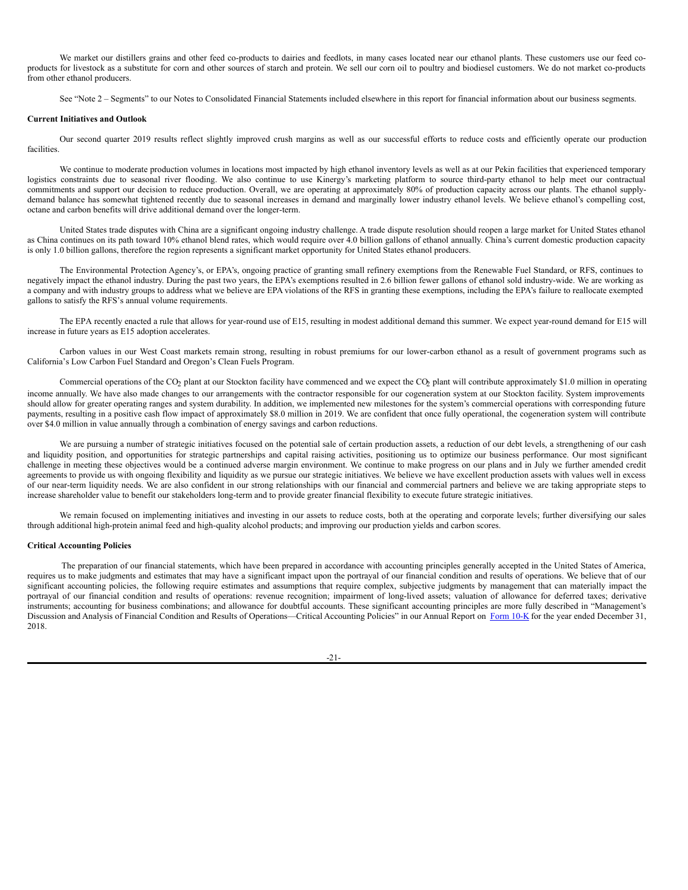We market our distillers grains and other feed co-products to dairies and feedlots, in many cases located near our ethanol plants. These customers use our feed coproducts for livestock as a substitute for corn and other sources of starch and protein. We sell our corn oil to poultry and biodiesel customers. We do not market co-products from other ethanol producers.

See "Note 2 – Segments" to our Notes to Consolidated Financial Statements included elsewhere in this report for financial information about our business segments.

#### **Current Initiatives and Outlook**

Our second quarter 2019 results reflect slightly improved crush margins as well as our successful efforts to reduce costs and efficiently operate our production facilities.

We continue to moderate production volumes in locations most impacted by high ethanol inventory levels as well as at our Pekin facilities that experienced temporary logistics constraints due to seasonal river flooding. We also continue to use Kinergy's marketing platform to source third-party ethanol to help meet our contractual commitments and support our decision to reduce production. Overall, we are operating at approximately 80% of production capacity across our plants. The ethanol supplydemand balance has somewhat tightened recently due to seasonal increases in demand and marginally lower industry ethanol levels. We believe ethanol's compelling cost, octane and carbon benefits will drive additional demand over the longer-term.

United States trade disputes with China are a significant ongoing industry challenge. A trade dispute resolution should reopen a large market for United States ethanol as China continues on its path toward 10% ethanol blend rates, which would require over 4.0 billion gallons of ethanol annually. China's current domestic production capacity is only 1.0 billion gallons, therefore the region represents a significant market opportunity for United States ethanol producers.

The Environmental Protection Agency's, or EPA's, ongoing practice of granting small refinery exemptions from the Renewable Fuel Standard, or RFS, continues to negatively impact the ethanol industry. During the past two years, the EPA's exemptions resulted in 2.6 billion fewer gallons of ethanol sold industry-wide. We are working as a company and with industry groups to address what we believe are EPA violations of the RFS in granting these exemptions, including the EPA's failure to reallocate exempted gallons to satisfy the RFS's annual volume requirements.

The EPA recently enacted a rule that allows for year-round use of E15, resulting in modest additional demand this summer. We expect year-round demand for E15 will increase in future years as E15 adoption accelerates.

Carbon values in our West Coast markets remain strong, resulting in robust premiums for our lower-carbon ethanol as a result of government programs such as California's Low Carbon Fuel Standard and Oregon's Clean Fuels Program.

Commercial operations of the CO<sub>2</sub> plant at our Stockton facility have commenced and we expect the CO<sub>2</sub> plant will contribute approximately \$1.0 million in operating income annually. We have also made changes to our arrangements with the contractor responsible for our cogeneration system at our Stockton facility. System improvements should allow for greater operating ranges and system durability. In addition, we implemented new milestones for the system's commercial operations with corresponding future payments, resulting in a positive cash flow impact of approximately \$8.0 million in 2019. We are confident that once fully operational, the cogeneration system will contribute over \$4.0 million in value annually through a combination of energy savings and carbon reductions.

We are pursuing a number of strategic initiatives focused on the potential sale of certain production assets, a reduction of our debt levels, a strengthening of our cash and liquidity position, and opportunities for strategic partnerships and capital raising activities, positioning us to optimize our business performance. Our most significant challenge in meeting these objectives would be a continued adverse margin environment. We continue to make progress on our plans and in July we further amended credit agreements to provide us with ongoing flexibility and liquidity as we pursue our strategic initiatives. We believe we have excellent production assets with values well in excess of our near-term liquidity needs. We are also confident in our strong relationships with our financial and commercial partners and believe we are taking appropriate steps to increase shareholder value to benefit our stakeholders long-term and to provide greater financial flexibility to execute future strategic initiatives.

We remain focused on implementing initiatives and investing in our assets to reduce costs, both at the operating and corporate levels; further diversifying our sales through additional high-protein animal feed and high-quality alcohol products; and improving our production yields and carbon scores.

## **Critical Accounting Policies**

The preparation of our financial statements, which have been prepared in accordance with accounting principles generally accepted in the United States of America, requires us to make judgments and estimates that may have a significant impact upon the portrayal of our financial condition and results of operations. We believe that of our significant accounting policies, the following require estimates and assumptions that require complex, subjective judgments by management that can materially impact the portrayal of our financial condition and results of operations: revenue recognition; impairment of long-lived assets; valuation of allowance for deferred taxes; derivative instruments; accounting for business combinations; and allowance for doubtful accounts. These significant accounting principles are more fully described in "Management's Discussion and Analysis of Financial Condition and Results of Operations—Critical Accounting Policies" in our Annual Report on [Form](http://www.sec.gov/Archives/edgar/data/778164/000161577419004168/s116597_10k.htm) 10-K for the year ended December 31, 2018.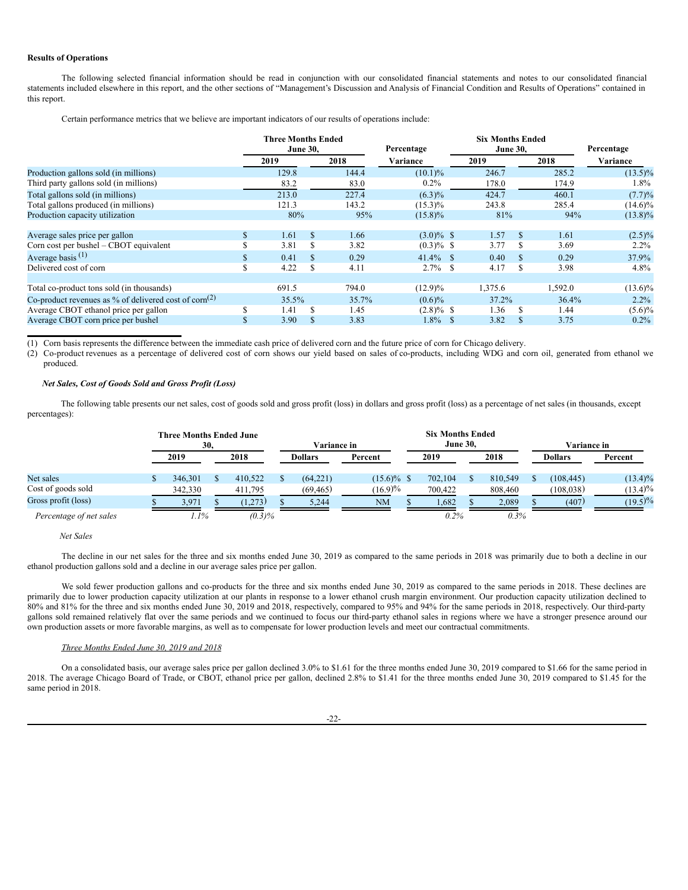## **Results of Operations**

The following selected financial information should be read in conjunction with our consolidated financial statements and notes to our consolidated financial statements included elsewhere in this report, and the other sections of "Management's Discussion and Analysis of Financial Condition and Results of Operations" contained in this report.

Certain performance metrics that we believe are important indicators of our results of operations include:

|                                                                   |    | <b>Three Months Ended</b><br><b>June 30,</b> |                    |       | Percentage   | <b>Six Months Ended</b><br><b>June 30,</b> | Percentage |               |         |            |
|-------------------------------------------------------------------|----|----------------------------------------------|--------------------|-------|--------------|--------------------------------------------|------------|---------------|---------|------------|
|                                                                   |    | 2019                                         |                    | 2018  | Variance     |                                            | 2019       |               | 2018    | Variance   |
| Production gallons sold (in millions)                             |    | 129.8                                        |                    | 144.4 | $(10.1)\%$   |                                            | 246.7      |               | 285.2   | $(13.5)\%$ |
| Third party gallons sold (in millions)                            |    | 83.2                                         |                    | 83.0  | $0.2\%$      |                                            | 178.0      |               | 174.9   | 1.8%       |
| Total gallons sold (in millions)                                  |    | 213.0                                        |                    | 227.4 | $(6.3)\%$    |                                            | 424.7      |               | 460.1   | (7.7)%     |
| Total gallons produced (in millions)                              |    | 121.3                                        |                    | 143.2 | $(15.3)\%$   |                                            | 243.8      |               | 285.4   | $(14.6)\%$ |
| Production capacity utilization                                   |    | 80%                                          |                    | 95%   | $(15.8)\%$   |                                            | 81%        |               | 94%     | $(13.8)\%$ |
|                                                                   |    |                                              |                    |       |              |                                            |            |               |         |            |
| Average sales price per gallon                                    |    | 1.61                                         | $\mathbf{\hat{x}}$ | 1.66  | $(3.0)\%$ \$ |                                            | 1.57       | <sup>\$</sup> | 1.61    | $(2.5)\%$  |
| Corn cost per bushel – CBOT equivalent                            |    | 3.81                                         | ъ                  | 3.82  | $(0.3)\%$ \$ |                                            | 3.77       |               | 3.69    | $2.2\%$    |
| Average basis $(1)$                                               |    | 0.41                                         | <sup>\$</sup>      | 0.29  | $41.4\%$ \$  |                                            | 0.40       | <sup>\$</sup> | 0.29    | 37.9%      |
| Delivered cost of corn                                            | ъ. | 4.22                                         | £.                 | 4.11  | $2.7\%$ \$   |                                            | 4.17       | \$.           | 3.98    | 4.8%       |
|                                                                   |    |                                              |                    |       |              |                                            |            |               |         |            |
| Total co-product tons sold (in thousands)                         |    | 691.5                                        |                    | 794.0 | $(12.9)\%$   |                                            | 1,375.6    |               | 1,592.0 | $(13.6)\%$ |
| Co-product revenues as % of delivered cost of corn <sup>(2)</sup> |    | 35.5%                                        |                    | 35.7% | $(0.6)\%$    |                                            | $37.2\%$   |               | 36.4%   | $2.2\%$    |
| Average CBOT ethanol price per gallon                             |    | 1.41                                         | \$.                | 1.45  | $(2.8)\%$ \$ |                                            | 1.36       | <b>S</b>      | 1.44    | $(5.6)\%$  |
| Average CBOT corn price per bushel                                |    | 3.90                                         | \$.                | 3.83  | $1.8\%$ \$   |                                            | 3.82       |               | 3.75    | $0.2\%$    |

(1) Corn basis represents the difference between the immediate cash price of delivered corn and the future price of corn for Chicago delivery.

(2) Co-product revenues as a percentage of delivered cost of corn shows our yield based on sales of co-products, including WDG and corn oil, generated from ethanol we produced.

## *Net Sales, Cost of Goods Sold and Gross Profit (Loss)*

The following table presents our net sales, cost of goods sold and gross profit (loss) in dollars and gross profit (loss) as a percentage of net sales (in thousands, except percentages):

|                         | <b>Three Months Ended June</b> | 30. |           | Variance in |               | <b>Six Months Ended</b><br><b>June 30.</b> |         | Variance in    |            |
|-------------------------|--------------------------------|-----|-----------|-------------|---------------|--------------------------------------------|---------|----------------|------------|
|                         | 2019                           |     | 2018      | Dollars     | Percent       | 2019                                       | 2018    | <b>Dollars</b> | Percent    |
| Net sales               | 346,301                        |     | 410.522   | (64, 221)   | $(15.6)\%$ \$ | 702,104                                    | 810.549 | (108, 445)     | $(13.4)\%$ |
| Cost of goods sold      | 342,330                        |     | 411,795   | (69, 465)   | $(16.9)\%$    | 700,422                                    | 808,460 | (108, 038)     | $(13.4)\%$ |
| Gross profit (loss)     | 3.971                          |     | (1,273)   | 5,244       | <b>NM</b>     | 1,682                                      | 2.089   | (407)          | $(19.5)\%$ |
| Percentage of net sales | 1.1%                           |     | $(0.3)\%$ |             |               | 0.2%                                       | 0.3%    |                |            |

*Net Sales*

The decline in our net sales for the three and six months ended June 30, 2019 as compared to the same periods in 2018 was primarily due to both a decline in our ethanol production gallons sold and a decline in our average sales price per gallon.

We sold fewer production gallons and co-products for the three and six months ended June 30, 2019 as compared to the same periods in 2018. These declines are primarily due to lower production capacity utilization at our plants in response to a lower ethanol crush margin environment. Our production capacity utilization declined to 80% and 81% for the three and six months ended June 30, 2019 and 2018, respectively, compared to 95% and 94% for the same periods in 2018, respectively. Our third-party gallons sold remained relatively flat over the same periods and we continued to focus our third-party ethanol sales in regions where we have a stronger presence around our own production assets or more favorable margins, as well as to compensate for lower production levels and meet our contractual commitments.

## *Three Months Ended June 30, 2019 and 2018*

On a consolidated basis, our average sales price per gallon declined 3.0% to \$1.61 for the three months ended June 30, 2019 compared to \$1.66 for the same period in 2018. The average Chicago Board of Trade, or CBOT, ethanol price per gallon, declined 2.8% to \$1.41 for the three months ended June 30, 2019 compared to \$1.45 for the same period in 2018.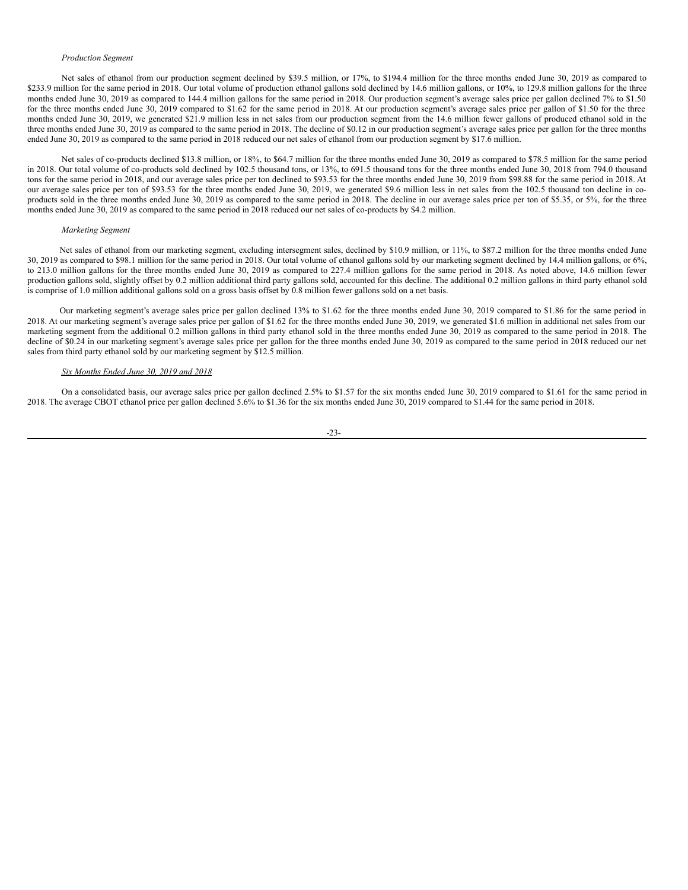#### *Production Segment*

Net sales of ethanol from our production segment declined by \$39.5 million, or 17%, to \$194.4 million for the three months ended June 30, 2019 as compared to \$233.9 million for the same period in 2018. Our total volume of production ethanol gallons sold declined by 14.6 million gallons, or 10%, to 129.8 million gallons for the three months ended June 30, 2019 as compared to 144.4 million gallons for the same period in 2018. Our production segment's average sales price per gallon declined 7% to \$1.50 for the three months ended June 30, 2019 compared to \$1.62 for the same period in 2018. At our production segment's average sales price per gallon of \$1.50 for the three months ended June 30, 2019, we generated \$21.9 million less in net sales from our production segment from the 14.6 million fewer gallons of produced ethanol sold in the three months ended June 30, 2019 as compared to the same period in 2018. The decline of \$0.12 in our production segment's average sales price per gallon for the three months ended June 30, 2019 as compared to the same period in 2018 reduced our net sales of ethanol from our production segment by \$17.6 million.

Net sales of co-products declined \$13.8 million, or 18%, to \$64.7 million for the three months ended June 30, 2019 as compared to \$78.5 million for the same period in 2018. Our total volume of co-products sold declined by 102.5 thousand tons, or 13%, to 691.5 thousand tons for the three months ended June 30, 2018 from 794.0 thousand tons for the same period in 2018, and our average sales price per ton declined to \$93.53 for the three months ended June 30, 2019 from \$98.88 for the same period in 2018. At our average sales price per ton of \$93.53 for the three months ended June 30, 2019, we generated \$9.6 million less in net sales from the 102.5 thousand ton decline in coproducts sold in the three months ended June 30, 2019 as compared to the same period in 2018. The decline in our average sales price per ton of \$5.35, or 5%, for the three months ended June 30, 2019 as compared to the same period in 2018 reduced our net sales of co-products by \$4.2 million.

#### *Marketing Segment*

Net sales of ethanol from our marketing segment, excluding intersegment sales, declined by \$10.9 million, or 11%, to \$87.2 million for the three months ended June 30, 2019 as compared to \$98.1 million for the same period in 2018. Our total volume of ethanol gallons sold by our marketing segment declined by 14.4 million gallons, or 6%, to 213.0 million gallons for the three months ended June 30, 2019 as compared to 227.4 million gallons for the same period in 2018. As noted above, 14.6 million fewer production gallons sold, slightly offset by 0.2 million additional third party gallons sold, accounted for this decline. The additional 0.2 million gallons in third party ethanol sold is comprise of 1.0 million additional gallons sold on a gross basis offset by 0.8 million fewer gallons sold on a net basis.

Our marketing segment's average sales price per gallon declined 13% to \$1.62 for the three months ended June 30, 2019 compared to \$1.86 for the same period in 2018. At our marketing segment's average sales price per gallon of \$1.62 for the three months ended June 30, 2019, we generated \$1.6 million in additional net sales from our marketing segment from the additional 0.2 million gallons in third party ethanol sold in the three months ended June 30, 2019 as compared to the same period in 2018. The decline of \$0.24 in our marketing segment's average sales price per gallon for the three months ended June 30, 2019 as compared to the same period in 2018 reduced our net sales from third party ethanol sold by our marketing segment by \$12.5 million.

## *Six Months Ended June 30, 2019 and 2018*

On a consolidated basis, our average sales price per gallon declined 2.5% to \$1.57 for the six months ended June 30, 2019 compared to \$1.61 for the same period in 2018. The average CBOT ethanol price per gallon declined 5.6% to \$1.36 for the six months ended June 30, 2019 compared to \$1.44 for the same period in 2018.

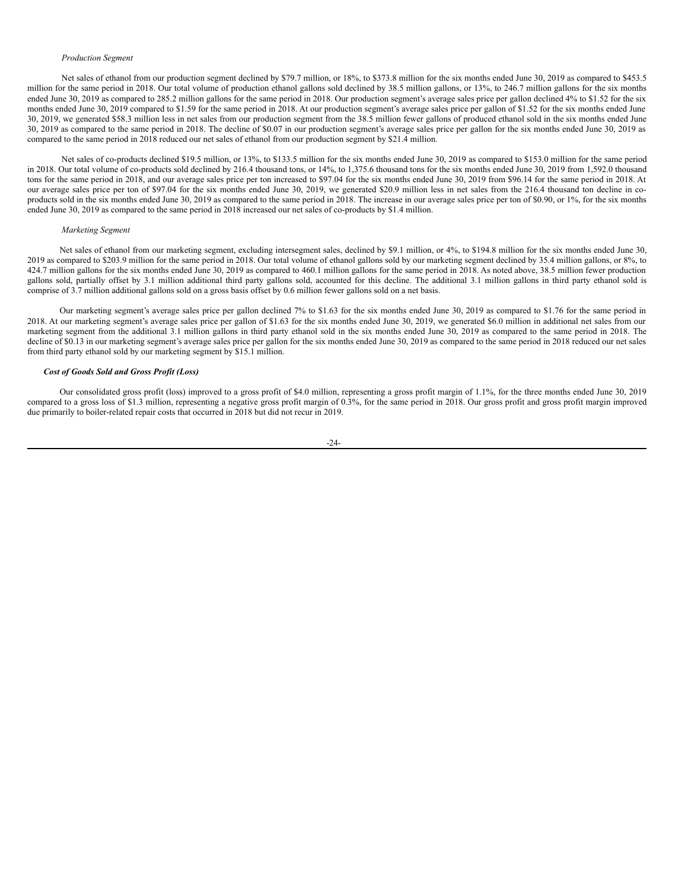#### *Production Segment*

Net sales of ethanol from our production segment declined by \$79.7 million, or 18%, to \$373.8 million for the six months ended June 30, 2019 as compared to \$453.5 million for the same period in 2018. Our total volume of production ethanol gallons sold declined by 38.5 million gallons, or 13%, to 246.7 million gallons for the six months ended June 30, 2019 as compared to 285.2 million gallons for the same period in 2018. Our production segment's average sales price per gallon declined 4% to \$1.52 for the six months ended June 30, 2019 compared to \$1.59 for the same period in 2018. At our production segment's average sales price per gallon of \$1.52 for the six months ended June 30, 2019, we generated \$58.3 million less in net sales from our production segment from the 38.5 million fewer gallons of produced ethanol sold in the six months ended June 30, 2019 as compared to the same period in 2018. The decline of \$0.07 in our production segment's average sales price per gallon for the six months ended June 30, 2019 as compared to the same period in 2018 reduced our net sales of ethanol from our production segment by \$21.4 million.

Net sales of co-products declined \$19.5 million, or 13%, to \$133.5 million for the six months ended June 30, 2019 as compared to \$153.0 million for the same period in 2018. Our total volume of co-products sold declined by 216.4 thousand tons, or 14%, to 1,375.6 thousand tons for the six months ended June 30, 2019 from 1,592.0 thousand tons for the same period in 2018, and our average sales price per ton increased to \$97.04 for the six months ended June 30, 2019 from \$96.14 for the same period in 2018. At our average sales price per ton of \$97.04 for the six months ended June 30, 2019, we generated \$20.9 million less in net sales from the 216.4 thousand ton decline in coproducts sold in the six months ended June 30, 2019 as compared to the same period in 2018. The increase in our average sales price per ton of \$0.90, or 1%, for the six months ended June 30, 2019 as compared to the same period in 2018 increased our net sales of co-products by \$1.4 million.

#### *Marketing Segment*

Net sales of ethanol from our marketing segment, excluding intersegment sales, declined by \$9.1 million, or 4%, to \$194.8 million for the six months ended June 30, 2019 as compared to \$203.9 million for the same period in 2018. Our total volume of ethanol gallons sold by our marketing segment declined by 35.4 million gallons, or 8%, to 424.7 million gallons for the six months ended June 30, 2019 as compared to 460.1 million gallons for the same period in 2018. As noted above, 38.5 million fewer production gallons sold, partially offset by 3.1 million additional third party gallons sold, accounted for this decline. The additional 3.1 million gallons in third party ethanol sold is comprise of 3.7 million additional gallons sold on a gross basis offset by 0.6 million fewer gallons sold on a net basis.

Our marketing segment's average sales price per gallon declined 7% to \$1.63 for the six months ended June 30, 2019 as compared to \$1.76 for the same period in 2018. At our marketing segment's average sales price per gallon of \$1.63 for the six months ended June 30, 2019, we generated \$6.0 million in additional net sales from our marketing segment from the additional 3.1 million gallons in third party ethanol sold in the six months ended June 30, 2019 as compared to the same period in 2018. The decline of \$0.13 in our marketing segment's average sales price per gallon for the six months ended June 30, 2019 as compared to the same period in 2018 reduced our net sales from third party ethanol sold by our marketing segment by  $$15.1$  million.

## *Cost of Goods Sold and Gross Profit (Loss)*

Our consolidated gross profit (loss) improved to a gross profit of \$4.0 million, representing a gross profit margin of 1.1%, for the three months ended June 30, 2019 compared to a gross loss of \$1.3 million, representing a negative gross profit margin of 0.3%, for the same period in 2018. Our gross profit and gross profit margin improved due primarily to boiler-related repair costs that occurred in 2018 but did not recur in 2019.

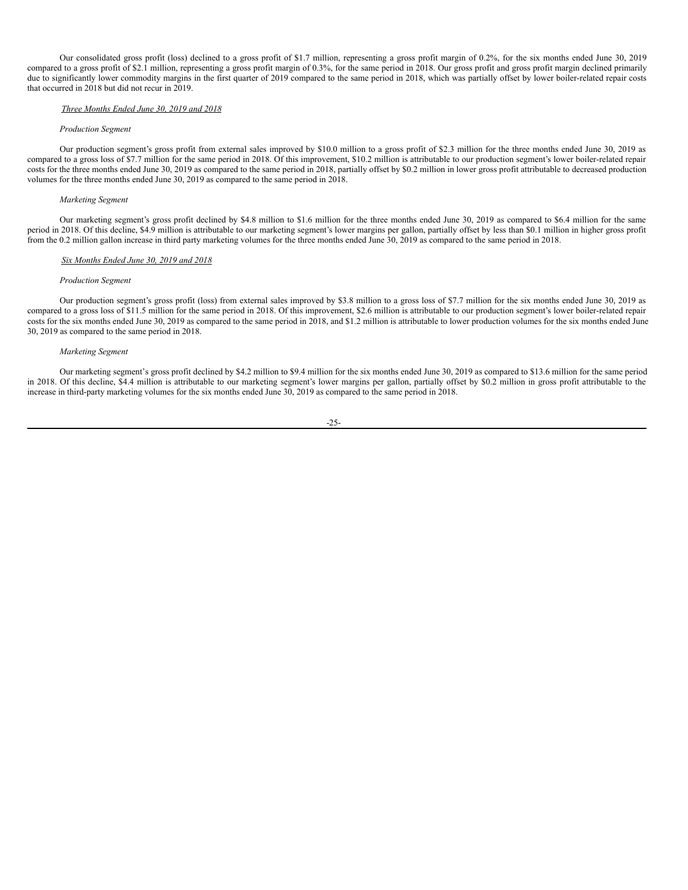Our consolidated gross profit (loss) declined to a gross profit of \$1.7 million, representing a gross profit margin of 0.2%, for the six months ended June 30, 2019 compared to a gross profit of \$2.1 million, representing a gross profit margin of 0.3%, for the same period in 2018. Our gross profit and gross profit margin declined primarily due to significantly lower commodity margins in the first quarter of 2019 compared to the same period in 2018, which was partially offset by lower boiler-related repair costs that occurred in 2018 but did not recur in 2019.

#### *Three Months Ended June 30, 2019 and 2018*

### *Production Segment*

Our production segment's gross profit from external sales improved by \$10.0 million to a gross profit of \$2.3 million for the three months ended June 30, 2019 as compared to a gross loss of \$7.7 million for the same period in 2018. Of this improvement, \$10.2 million is attributable to our production segment's lower boiler-related repair costs for the three months ended June 30, 2019 as compared to the same period in 2018, partially offset by \$0.2 million in lower gross profit attributable to decreased production volumes for the three months ended June 30, 2019 as compared to the same period in 2018.

## *Marketing Segment*

Our marketing segment's gross profit declined by \$4.8 million to \$1.6 million for the three months ended June 30, 2019 as compared to \$6.4 million for the same period in 2018. Of this decline, \$4.9 million is attributable to our marketing segment's lower margins per gallon, partially offset by less than \$0.1 million in higher gross profit from the 0.2 million gallon increase in third party marketing volumes for the three months ended June 30, 2019 as compared to the same period in 2018.

### *Six Months Ended June 30, 2019 and 2018*

#### *Production Segment*

Our production segment's gross profit (loss) from external sales improved by \$3.8 million to a gross loss of \$7.7 million for the six months ended June 30, 2019 as compared to a gross loss of \$11.5 million for the same period in 2018. Of this improvement, \$2.6 million is attributable to our production segment's lower boiler-related repair costs for the six months ended June 30, 2019 as compared to the same period in 2018, and \$1.2 million is attributable to lower production volumes for the six months ended June 30, 2019 as compared to the same period in 2018.

### *Marketing Segment*

Our marketing segment's gross profit declined by \$4.2 million to \$9.4 million for the six months ended June 30, 2019 as compared to \$13.6 million for the same period in 2018. Of this decline, \$4.4 million is attributable to our marketing segment's lower margins per gallon, partially offset by \$0.2 million in gross profit attributable to the increase in third-party marketing volumes for the six months ended June 30, 2019 as compared to the same period in 2018.

$$
-25-
$$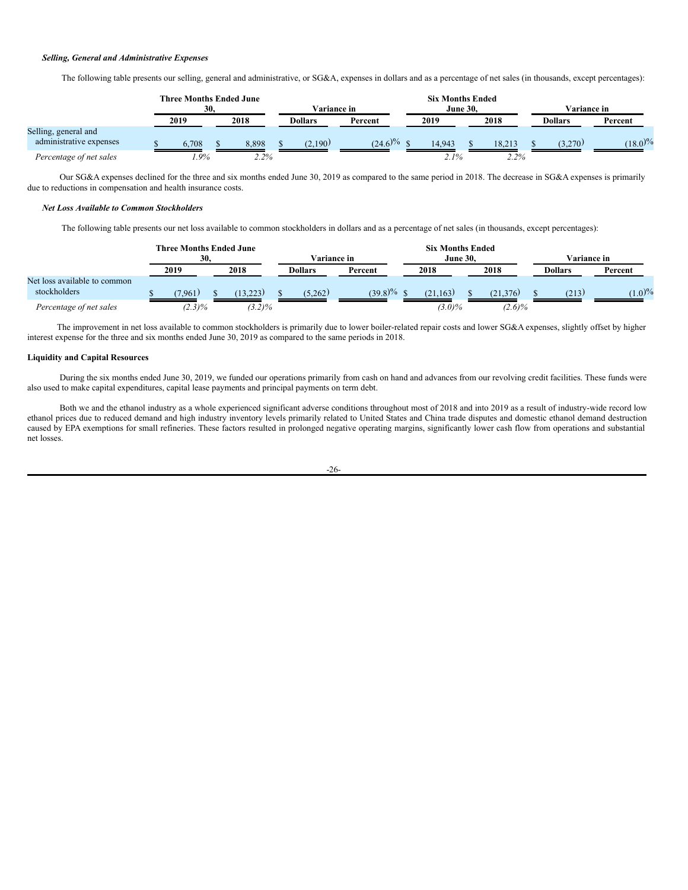#### *Selling, General and Administrative Expenses*

The following table presents our selling, general and administrative, or SG&A, expenses in dollars and as a percentage of net sales (in thousands, except percentages):

|                                                 | <b>Three Months Ended June</b><br>30. |  |         |  | Variance in |            | <b>Six Months Ended</b><br><b>June 30.</b> |        |  |        |  | Variance in    |            |  |
|-------------------------------------------------|---------------------------------------|--|---------|--|-------------|------------|--------------------------------------------|--------|--|--------|--|----------------|------------|--|
|                                                 | 2019                                  |  | 2018    |  | Dollars     | Percent    |                                            | 2019   |  | 2018   |  | <b>Dollars</b> | Percent    |  |
| Selling, general and<br>administrative expenses | 6.708                                 |  | 8,898   |  | (2,190)     | $(24.6)\%$ |                                            | 14.943 |  | 18.213 |  | (3,270)        | $(18.0)$ % |  |
| Percentage of net sales                         | . 9%                                  |  | $2.2\%$ |  |             |            |                                            | 2.1%   |  | 2.2%   |  |                |            |  |

Our SG&A expenses declined for the three and six months ended June 30, 2019 as compared to the same period in 2018. The decrease in SG&A expenses is primarily due to reductions in compensation and health insurance costs.

## *Net Loss Available to Common Stockholders*

The following table presents our net loss available to common stockholders in dollars and as a percentage of net sales (in thousands, except percentages):

|                                              | <b>Three Months Ended June</b><br>30. |           |  |           |  | Variance in    |            | <b>Six Months Ended</b><br><b>June 30.</b> |           | √ariance in |         |           |  |
|----------------------------------------------|---------------------------------------|-----------|--|-----------|--|----------------|------------|--------------------------------------------|-----------|-------------|---------|-----------|--|
|                                              |                                       | 2019      |  | 2018      |  | <b>Dollars</b> | Percent    | 2018                                       | 2018      |             | Dollars | Percent   |  |
| Net loss available to common<br>stockholders |                                       | 7.961     |  | (13.223)  |  | (5.262)        | $(39.8)\%$ | (21.163)                                   | (21.376)  |             | (213)   | $(1.0)$ % |  |
| Percentage of net sales                      |                                       | $(2.3)\%$ |  | $(3.2)\%$ |  |                |            | $(3.0)\%$                                  | $(2.6)\%$ |             |         |           |  |

The improvement in net loss available to common stockholders is primarily due to lower boiler-related repair costs and lower SG&A expenses, slightly offset by higher interest expense for the three and six months ended June 30, 2019 as compared to the same periods in 2018.

## **Liquidity and Capital Resources**

During the six months ended June 30, 2019, we funded our operations primarily from cash on hand and advances from our revolving credit facilities. These funds were also used to make capital expenditures, capital lease payments and principal payments on term debt.

Both we and the ethanol industry as a whole experienced significant adverse conditions throughout most of 2018 and into 2019 as a result of industry-wide record low ethanol prices due to reduced demand and high industry inventory levels primarily related to United States and China trade disputes and domestic ethanol demand destruction caused by EPA exemptions for small refineries. These factors resulted in prolonged negative operating margins, significantly lower cash flow from operations and substantial net losses.

#### -26-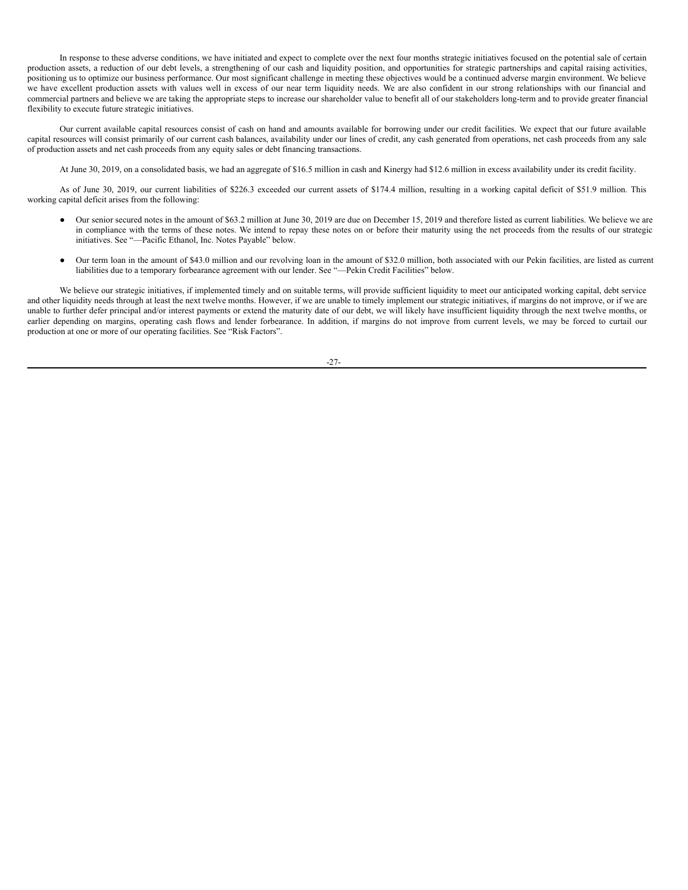In response to these adverse conditions, we have initiated and expect to complete over the next four months strategic initiatives focused on the potential sale of certain production assets, a reduction of our debt levels, a strengthening of our cash and liquidity position, and opportunities for strategic partnerships and capital raising activities, positioning us to optimize our business performance. Our most significant challenge in meeting these objectives would be a continued adverse margin environment. We believe we have excellent production assets with values well in excess of our near term liquidity needs. We are also confident in our strong relationships with our financial and commercial partners and believe we are taking the appropriate steps to increase our shareholder value to benefit all of our stakeholders long-term and to provide greater financial flexibility to execute future strategic initiatives.

Our current available capital resources consist of cash on hand and amounts available for borrowing under our credit facilities. We expect that our future available capital resources will consist primarily of our current cash balances, availability under our lines of credit, any cash generated from operations, net cash proceeds from any sale of production assets and net cash proceeds from any equity sales or debt financing transactions.

At June 30, 2019, on a consolidated basis, we had an aggregate of \$16.5 million in cash and Kinergy had \$12.6 million in excess availability under its credit facility.

As of June 30, 2019, our current liabilities of \$226.3 exceeded our current assets of \$174.4 million, resulting in a working capital deficit of \$51.9 million. This working capital deficit arises from the following:

- Our senior secured notes in the amount of \$63.2 million at June 30, 2019 are due on December 15, 2019 and therefore listed as current liabilities. We believe we are in compliance with the terms of these notes. We intend to repay these notes on or before their maturity using the net proceeds from the results of our strategic initiatives. See "—Pacific Ethanol, Inc. Notes Payable" below.
- Our term loan in the amount of \$43.0 million and our revolving loan in the amount of \$32.0 million, both associated with our Pekin facilities, are listed as current liabilities due to a temporary forbearance agreement with our lender. See "—Pekin Credit Facilities" below.

We believe our strategic initiatives, if implemented timely and on suitable terms, will provide sufficient liquidity to meet our anticipated working capital, debt service and other liquidity needs through at least the next twelve months. However, if we are unable to timely implement our strategic initiatives, if margins do not improve, or if we are unable to further defer principal and/or interest payments or extend the maturity date of our debt, we will likely have insufficient liquidity through the next twelve months, or earlier depending on margins, operating cash flows and lender forbearance. In addition, if margins do not improve from current levels, we may be forced to curtail our production at one or more of our operating facilities. See "Risk Factors".

-27-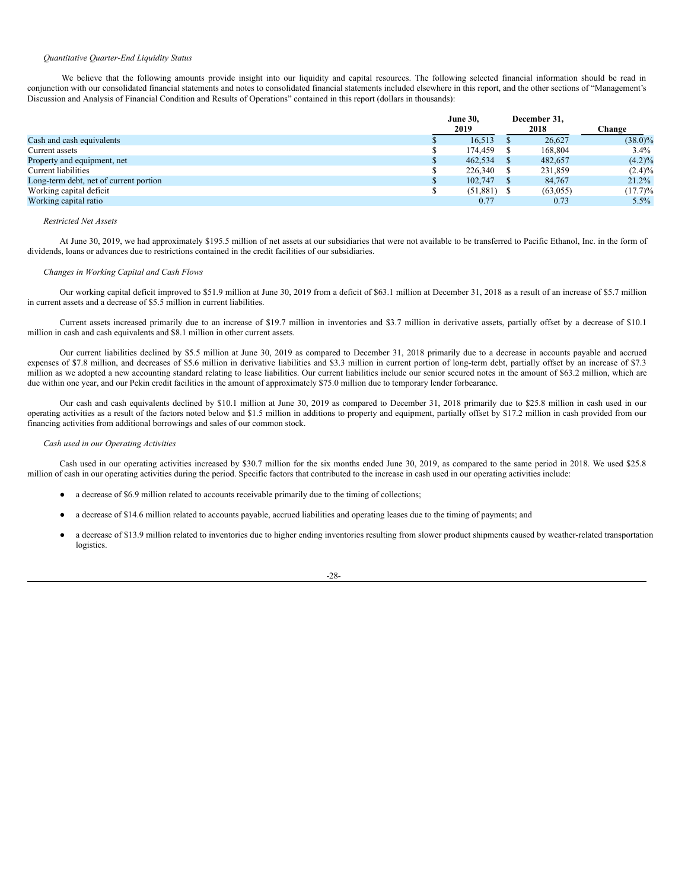### *Quantitative Quarter-End Liquidity Status*

We believe that the following amounts provide insight into our liquidity and capital resources. The following selected financial information should be read in conjunction with our consolidated financial statements and notes to consolidated financial statements included elsewhere in this report, and the other sections of "Management's Discussion and Analysis of Financial Condition and Results of Operations" contained in this report (dollars in thousands):

|                                        | <b>June 30.</b> |  | December 31, |            |  |
|----------------------------------------|-----------------|--|--------------|------------|--|
|                                        | 2019            |  | 2018         | Change     |  |
| Cash and cash equivalents              | 16.513          |  | 26,627       | $(38.0)\%$ |  |
| Current assets                         | 174.459         |  | 168,804      | $3.4\%$    |  |
| Property and equipment, net            | 462,534         |  | 482,657      | $(4.2)\%$  |  |
| Current liabilities                    | 226,340         |  | 231,859      | $(2.4)\%$  |  |
| Long-term debt, net of current portion | 102.747         |  | 84.767       | 21.2%      |  |
| Working capital deficit                | (51,881)        |  | (63, 055)    | $(17.7)\%$ |  |
| Working capital ratio                  | 0.77            |  | 0.73         | $5.5\%$    |  |

## *Restricted Net Assets*

At June 30, 2019, we had approximately \$195.5 million of net assets at our subsidiaries that were not available to be transferred to Pacific Ethanol, Inc. in the form of dividends, loans or advances due to restrictions contained in the credit facilities of our subsidiaries.

### *Changes in Working Capital and Cash Flows*

Our working capital deficit improved to \$51.9 million at June 30, 2019 from a deficit of \$63.1 million at December 31, 2018 as a result of an increase of \$5.7 million in current assets and a decrease of \$5.5 million in current liabilities.

Current assets increased primarily due to an increase of \$19.7 million in inventories and \$3.7 million in derivative assets, partially offset by a decrease of \$10.1 million in cash and cash equivalents and \$8.1 million in other current assets.

Our current liabilities declined by \$5.5 million at June 30, 2019 as compared to December 31, 2018 primarily due to a decrease in accounts payable and accrued expenses of \$7.8 million, and decreases of \$5.6 million in derivative liabilities and \$3.3 million in current portion of long-term debt, partially offset by an increase of \$7.3 million as we adopted a new accounting standard relating to lease liabilities. Our current liabilities include our senior secured notes in the amount of \$63.2 million, which are due within one year, and our Pekin credit facilities in the amount of approximately \$75.0 million due to temporary lender forbearance.

Our cash and cash equivalents declined by \$10.1 million at June 30, 2019 as compared to December 31, 2018 primarily due to \$25.8 million in cash used in our operating activities as a result of the factors noted below and \$1.5 million in additions to property and equipment, partially offset by \$17.2 million in cash provided from our financing activities from additional borrowings and sales of our common stock.

## *Cash used in our Operating Activities*

Cash used in our operating activities increased by \$30.7 million for the six months ended June 30, 2019, as compared to the same period in 2018. We used \$25.8 million of cash in our operating activities during the period. Specific factors that contributed to the increase in cash used in our operating activities include:

- a decrease of \$6.9 million related to accounts receivable primarily due to the timing of collections;
- a decrease of \$14.6 million related to accounts payable, accrued liabilities and operating leases due to the timing of payments; and
- a decrease of \$13.9 million related to inventories due to higher ending inventories resulting from slower product shipments caused by weather-related transportation logistics.

#### -28-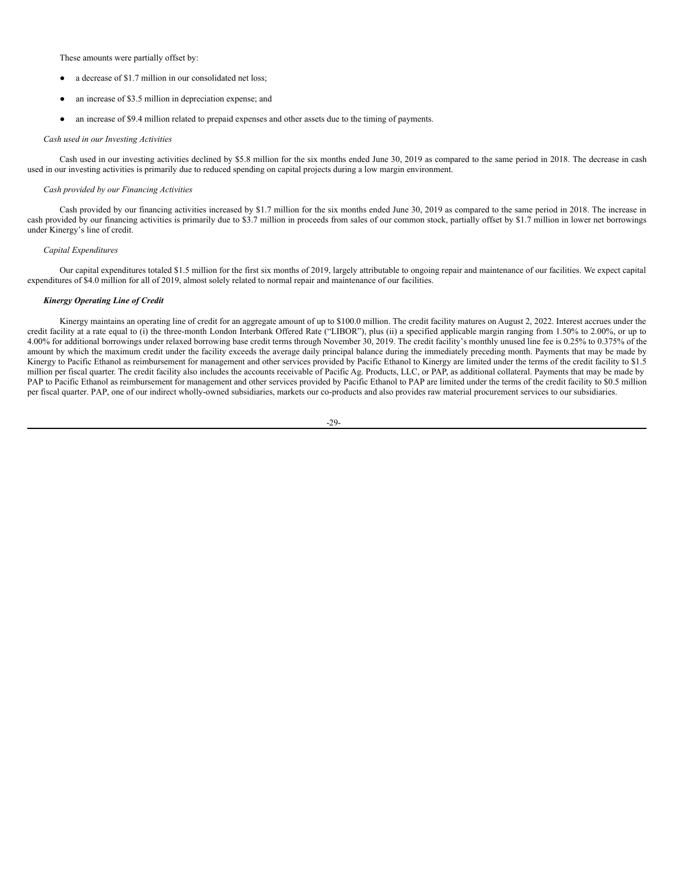These amounts were partially offset by:

- a decrease of \$1.7 million in our consolidated net loss;
- an increase of \$3.5 million in depreciation expense; and
- an increase of \$9.4 million related to prepaid expenses and other assets due to the timing of payments.

#### *Cash used in our Investing Activities*

Cash used in our investing activities declined by \$5.8 million for the six months ended June 30, 2019 as compared to the same period in 2018. The decrease in cash used in our investing activities is primarily due to reduced spending on capital projects during a low margin environment.

#### *Cash provided by our Financing Activities*

Cash provided by our financing activities increased by \$1.7 million for the six months ended June 30, 2019 as compared to the same period in 2018. The increase in cash provided by our financing activities is primarily due to \$3.7 million in proceeds from sales of our common stock, partially offset by \$1.7 million in lower net borrowings under Kinergy's line of credit.

## *Capital Expenditures*

Our capital expenditures totaled \$1.5 million for the first six months of 2019, largely attributable to ongoing repair and maintenance of our facilities. We expect capital expenditures of \$4.0 million for all of 2019, almost solely related to normal repair and maintenance of our facilities.

#### *Kinergy Operating Line of Credit*

Kinergy maintains an operating line of credit for an aggregate amount of up to \$100.0 million. The credit facility matures on August 2, 2022. Interest accrues under the credit facility at a rate equal to (i) the three-month London Interbank Offered Rate ("LIBOR"), plus (ii) a specified applicable margin ranging from 1.50% to 2.00%, or up to 4.00% for additional borrowings under relaxed borrowing base credit terms through November 30, 2019. The credit facility's monthly unused line fee is 0.25% to 0.375% of the amount by which the maximum credit under the facility exceeds the average daily principal balance during the immediately preceding month. Payments that may be made by Kinergy to Pacific Ethanol as reimbursement for management and other services provided by Pacific Ethanol to Kinergy are limited under the terms of the credit facility to \$1.5 million per fiscal quarter. The credit facility also includes the accounts receivable of Pacific Ag. Products, LLC, or PAP, as additional collateral. Payments that may be made by PAP to Pacific Ethanol as reimbursement for management and other services provided by Pacific Ethanol to PAP are limited under the terms of the credit facility to \$0.5 million per fiscal quarter. PAP, one of our indirect wholly-owned subsidiaries, markets our co-products and also provides raw material procurement services to our subsidiaries.

$$
-29-
$$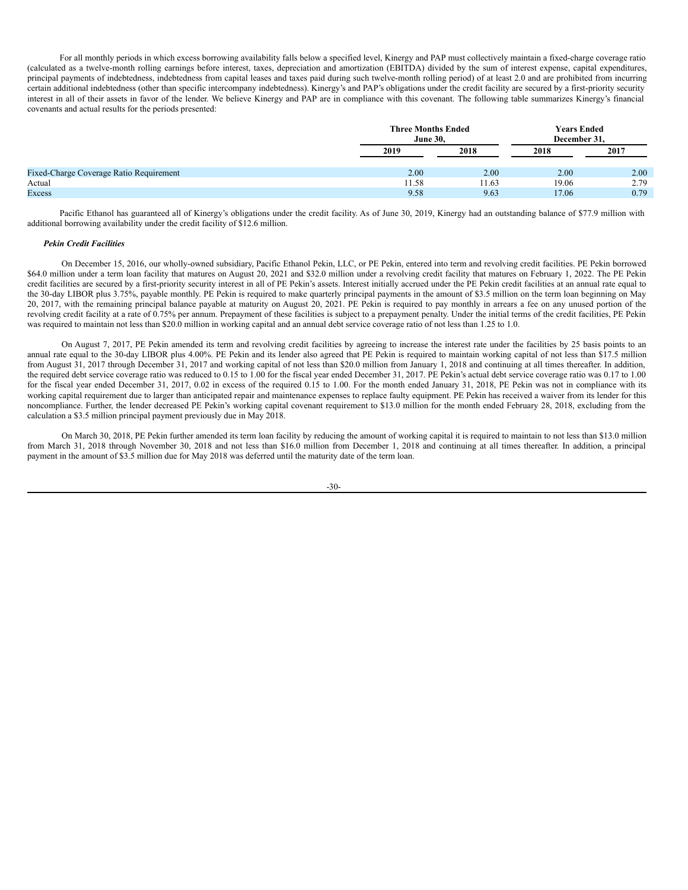For all monthly periods in which excess borrowing availability falls below a specified level, Kinergy and PAP must collectively maintain a fixed-charge coverage ratio (calculated as a twelve-month rolling earnings before interest, taxes, depreciation and amortization (EBITDA) divided by the sum of interest expense, capital expenditures, principal payments of indebtedness, indebtedness from capital leases and taxes paid during such twelve-month rolling period) of at least 2.0 and are prohibited from incurring certain additional indebtedness (other than specific intercompany indebtedness). Kinergy's and PAP's obligations under the credit facility are secured by a first-priority security interest in all of their assets in favor of the lender. We believe Kinergy and PAP are in compliance with this covenant. The following table summarizes Kinergy's financial covenants and actual results for the periods presented:

|                                         |       | <b>Three Months Ended</b><br><b>June 30.</b> |       | <b>Years Ended</b><br>December 31. |
|-----------------------------------------|-------|----------------------------------------------|-------|------------------------------------|
|                                         | 2019  | 2018                                         | 2018  | 2017                               |
| Fixed-Charge Coverage Ratio Requirement | 2.00  | 2.00                                         | 2.00  | 2.00                               |
| Actual                                  | 11.58 | 1.63                                         | 19.06 | 2.79                               |
| Excess                                  | 9.58  | 9.63                                         | 17.06 | 0.79                               |

Pacific Ethanol has guaranteed all of Kinergy's obligations under the credit facility. As of June 30, 2019, Kinergy had an outstanding balance of \$77.9 million with additional borrowing availability under the credit facility of \$12.6 million.

## *Pekin Credit Facilities*

On December 15, 2016, our wholly-owned subsidiary, Pacific Ethanol Pekin, LLC, or PE Pekin, entered into term and revolving credit facilities. PE Pekin borrowed \$64.0 million under a term loan facility that matures on August 20, 2021 and \$32.0 million under a revolving credit facility that matures on February 1, 2022. The PE Pekin credit facilities are secured by a first-priority security interest in all of PE Pekin's assets. Interest initially accrued under the PE Pekin credit facilities at an annual rate equal to the 30-day LIBOR plus 3.75%, payable monthly. PE Pekin is required to make quarterly principal payments in the amount of \$3.5 million on the term loan beginning on May 20, 2017, with the remaining principal balance payable at maturity on August 20, 2021. PE Pekin is required to pay monthly in arrears a fee on any unused portion of the revolving credit facility at a rate of 0.75% per annum. Prepayment of these facilities is subject to a prepayment penalty. Under the initial terms of the credit facilities, PE Pekin was required to maintain not less than \$20.0 million in working capital and an annual debt service coverage ratio of not less than 1.25 to 1.0.

On August 7, 2017, PE Pekin amended its term and revolving credit facilities by agreeing to increase the interest rate under the facilities by 25 basis points to an annual rate equal to the 30-day LIBOR plus 4.00%. PE Pekin and its lender also agreed that PE Pekin is required to maintain working capital of not less than \$17.5 million from August 31, 2017 through December 31, 2017 and working capital of not less than \$20.0 million from January 1, 2018 and continuing at all times thereafter. In addition, the required debt service coverage ratio was reduced to 0.15 to 1.00 for the fiscal year ended December 31, 2017. PE Pekin's actual debt service coverage ratio was 0.17 to 1.00 for the fiscal year ended December 31, 2017, 0.02 in excess of the required 0.15 to 1.00. For the month ended January 31, 2018, PE Pekin was not in compliance with its working capital requirement due to larger than anticipated repair and maintenance expenses to replace faulty equipment. PE Pekin has received a waiver from its lender for this noncompliance. Further, the lender decreased PE Pekin's working capital covenant requirement to \$13.0 million for the month ended February 28, 2018, excluding from the calculation a \$3.5 million principal payment previously due in May 2018.

On March 30, 2018, PE Pekin further amended its term loan facility by reducing the amount of working capital it is required to maintain to not less than \$13.0 million from March 31, 2018 through November 30, 2018 and not less than \$16.0 million from December 1, 2018 and continuing at all times thereafter. In addition, a principal payment in the amount of \$3.5 million due for May 2018 was deferred until the maturity date of the term loan.

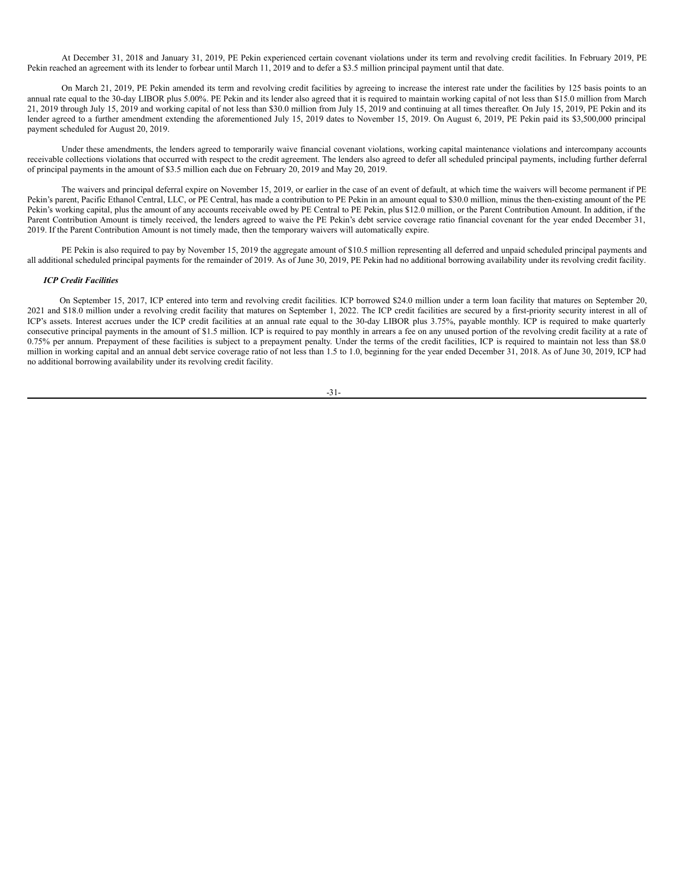At December 31, 2018 and January 31, 2019, PE Pekin experienced certain covenant violations under its term and revolving credit facilities. In February 2019, PE Pekin reached an agreement with its lender to forbear until March 11, 2019 and to defer a \$3.5 million principal payment until that date.

On March 21, 2019, PE Pekin amended its term and revolving credit facilities by agreeing to increase the interest rate under the facilities by 125 basis points to an annual rate equal to the 30-day LIBOR plus 5.00%. PE Pekin and its lender also agreed that it is required to maintain working capital of not less than \$15.0 million from March 21, 2019 through July 15, 2019 and working capital of not less than \$30.0 million from July 15, 2019 and continuing at all times thereafter. On July 15, 2019, PE Pekin and its lender agreed to a further amendment extending the aforementioned July 15, 2019 dates to November 15, 2019. On August 6, 2019, PE Pekin paid its \$3,500,000 principal payment scheduled for August 20, 2019.

Under these amendments, the lenders agreed to temporarily waive financial covenant violations, working capital maintenance violations and intercompany accounts receivable collections violations that occurred with respect to the credit agreement. The lenders also agreed to defer all scheduled principal payments, including further deferral of principal payments in the amount of \$3.5 million each due on February 20, 2019 and May 20, 2019.

The waivers and principal deferral expire on November 15, 2019, or earlier in the case of an event of default, at which time the waivers will become permanent if PE Pekin's parent, Pacific Ethanol Central, LLC, or PE Central, has made a contribution to PE Pekin in an amount equal to \$30.0 million, minus the then-existing amount of the PE Pekin's working capital, plus the amount of any accounts receivable owed by PE Central to PE Pekin, plus \$12.0 million, or the Parent Contribution Amount. In addition, if the Parent Contribution Amount is timely received, the lenders agreed to waive the PE Pekin's debt service coverage ratio financial covenant for the year ended December 31, 2019. If the Parent Contribution Amount is not timely made, then the temporary waivers will automatically expire.

PE Pekin is also required to pay by November 15, 2019 the aggregate amount of \$10.5 million representing all deferred and unpaid scheduled principal payments and all additional scheduled principal payments for the remainder of 2019. As of June 30, 2019, PE Pekin had no additional borrowing availability under its revolving credit facility.

### *ICP Credit Facilities*

On September 15, 2017, ICP entered into term and revolving credit facilities. ICP borrowed \$24.0 million under a term loan facility that matures on September 20, 2021 and \$18.0 million under a revolving credit facility that matures on September 1, 2022. The ICP credit facilities are secured by a first-priority security interest in all of ICP's assets. Interest accrues under the ICP credit facilities at an annual rate equal to the 30-day LIBOR plus 3.75%, payable monthly. ICP is required to make quarterly consecutive principal payments in the amount of \$1.5 million. ICP is required to pay monthly in arrears a fee on any unused portion of the revolving credit facility at a rate of 0.75% per annum. Prepayment of these facilities is subject to a prepayment penalty. Under the terms of the credit facilities, ICP is required to maintain not less than \$8.0 million in working capital and an annual debt service coverage ratio of not less than 1.5 to 1.0, beginning for the year ended December 31, 2018. As of June 30, 2019, ICP had no additional borrowing availability under its revolving credit facility.

$$
-31-
$$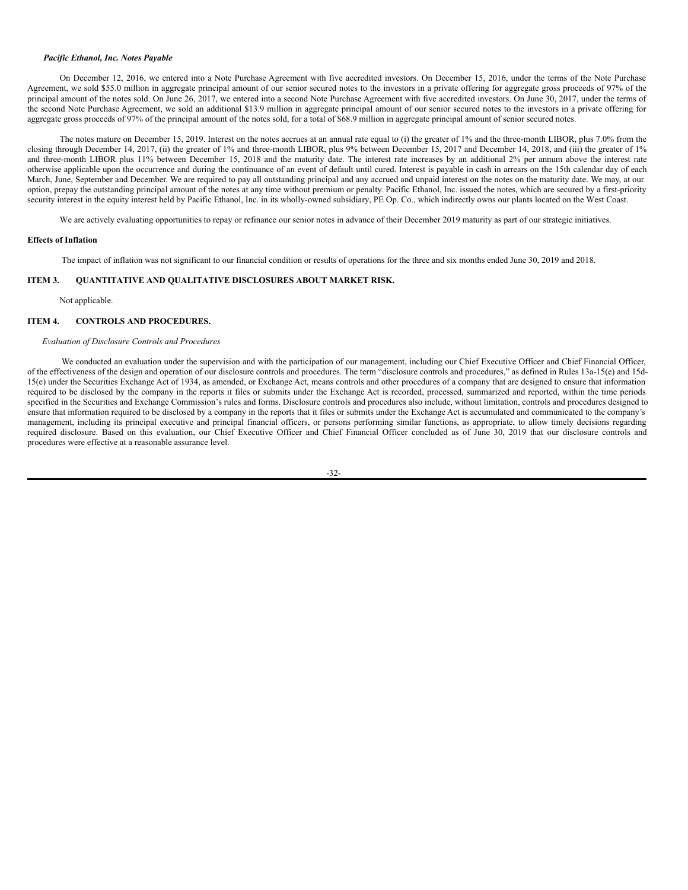#### *Pacific Ethanol, Inc. Notes Payable*

On December 12, 2016, we entered into a Note Purchase Agreement with five accredited investors. On December 15, 2016, under the terms of the Note Purchase Agreement, we sold \$55.0 million in aggregate principal amount of our senior secured notes to the investors in a private offering for aggregate gross proceeds of 97% of the principal amount of the notes sold. On June 26, 2017, we entered into a second Note Purchase Agreement with five accredited investors. On June 30, 2017, under the terms of the second Note Purchase Agreement, we sold an additional \$13.9 million in aggregate principal amount of our senior secured notes to the investors in a private offering for aggregate gross proceeds of 97% of the principal amount of the notes sold, for a total of \$68.9 million in aggregate principal amount of senior secured notes.

The notes mature on December 15, 2019. Interest on the notes accrues at an annual rate equal to (i) the greater of 1% and the three-month LIBOR, plus 7.0% from the closing through December 14, 2017, (ii) the greater of 1% and three-month LIBOR, plus 9% between December 15, 2017 and December 14, 2018, and (iii) the greater of 1% and three-month LIBOR plus 11% between December 15, 2018 and the maturity date. The interest rate increases by an additional 2% per annum above the interest rate otherwise applicable upon the occurrence and during the continuance of an event of default until cured. Interest is payable in cash in arrears on the 15th calendar day of each March, June, September and December. We are required to pay all outstanding principal and any accrued and unpaid interest on the notes on the maturity date. We may, at our option, prepay the outstanding principal amount of the notes at any time without premium or penalty. Pacific Ethanol, Inc. issued the notes, which are secured by a first-priority security interest in the equity interest held by Pacific Ethanol, Inc. in its wholly-owned subsidiary, PE Op. Co., which indirectly owns our plants located on the West Coast.

We are actively evaluating opportunities to repay or refinance our senior notes in advance of their December 2019 maturity as part of our strategic initiatives.

## **Effects of Inflation**

The impact of inflation was not significant to our financial condition or results of operations for the three and six months ended June 30, 2019 and 2018.

### **ITEM 3. QUANTITATIVE AND QUALITATIVE DISCLOSURES ABOUT MARKET RISK.**

Not applicable.

## **ITEM 4. CONTROLS AND PROCEDURES.**

## *Evaluation of Disclosure Controls and Procedures*

We conducted an evaluation under the supervision and with the participation of our management, including our Chief Executive Officer and Chief Financial Officer, of the effectiveness of the design and operation of our disclosure controls and procedures. The term "disclosure controls and procedures," as defined in Rules 13a-15(e) and 15d-15(e) under the Securities Exchange Act of 1934, as amended, or Exchange Act, means controls and other procedures of a company that are designed to ensure that information required to be disclosed by the company in the reports it files or submits under the Exchange Act is recorded, processed, summarized and reported, within the time periods specified in the Securities and Exchange Commission's rules and forms. Disclosure controls and procedures also include, without limitation, controls and procedures designed to ensure that information required to be disclosed by a company in the reports that it files or submits under the Exchange Act is accumulated and communicated to the company's management, including its principal executive and principal financial officers, or persons performing similar functions, as appropriate, to allow timely decisions regarding required disclosure. Based on this evaluation, our Chief Executive Officer and Chief Financial Officer concluded as of June 30, 2019 that our disclosure controls and procedures were effective at a reasonable assurance level.

#### -32-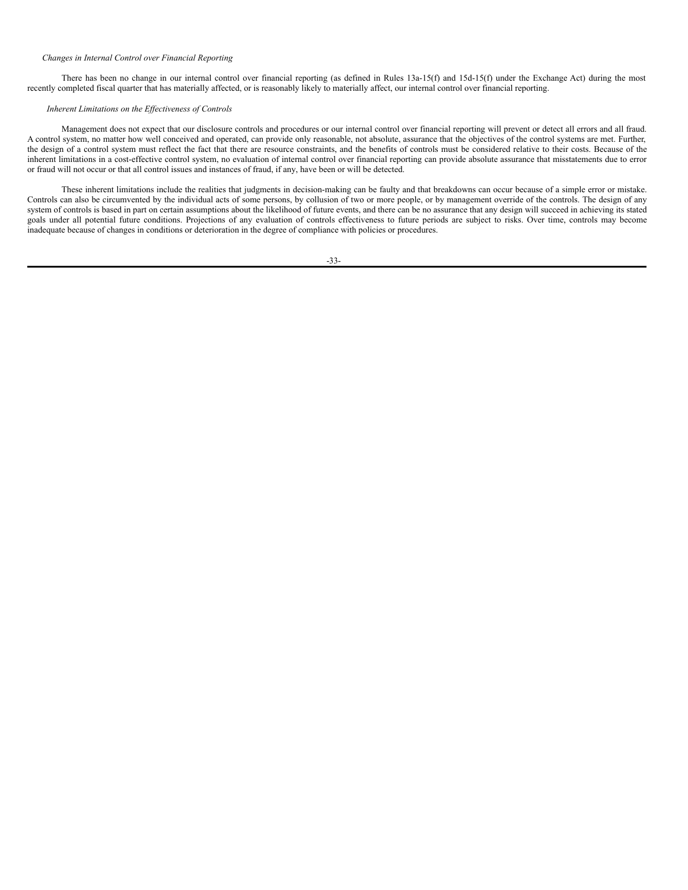#### *Changes in Internal Control over Financial Reporting*

There has been no change in our internal control over financial reporting (as defined in Rules 13a-15(f) and 15d-15(f) under the Exchange Act) during the most recently completed fiscal quarter that has materially affected, or is reasonably likely to materially affect, our internal control over financial reporting.

## *Inherent Limitations on the Ef ectiveness of Controls*

Management does not expect that our disclosure controls and procedures or our internal control over financial reporting will prevent or detect all errors and all fraud. A control system, no matter how well conceived and operated, can provide only reasonable, not absolute, assurance that the objectives of the control systems are met. Further, the design of a control system must reflect the fact that there are resource constraints, and the benefits of controls must be considered relative to their costs. Because of the inherent limitations in a cost-effective control system, no evaluation of internal control over financial reporting can provide absolute assurance that misstatements due to error or fraud will not occur or that all control issues and instances of fraud, if any, have been or will be detected.

These inherent limitations include the realities that judgments in decision-making can be faulty and that breakdowns can occur because of a simple error or mistake. Controls can also be circumvented by the individual acts of some persons, by collusion of two or more people, or by management override of the controls. The design of any system of controls is based in part on certain assumptions about the likelihood of future events, and there can be no assurance that any design will succeed in achieving its stated goals under all potential future conditions. Projections of any evaluation of controls effectiveness to future periods are subject to risks. Over time, controls may become inadequate because of changes in conditions or deterioration in the degree of compliance with policies or procedures.

-33-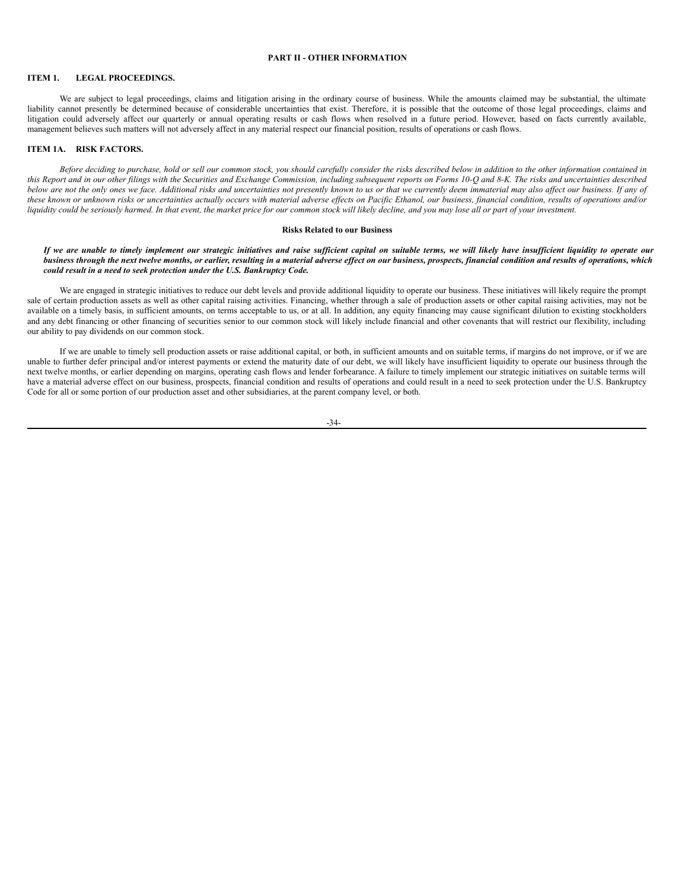## **PART II - OTHER INFORMATION**

## **ITEM 1. LEGAL PROCEEDINGS.**

We are subject to legal proceedings, claims and litigation arising in the ordinary course of business. While the amounts claimed may be substantial, the ultimate liability cannot presently be determined because of considerable uncertainties that exist. Therefore, it is possible that the outcome of those legal proceedings, claims and litigation could adversely affect our quarterly or annual operating results or cash flows when resolved in a future period. However, based on facts currently available, management believes such matters will not adversely affect in any material respect our financial position, results of operations or cash flows.

## **ITEM 1A. RISK FACTORS.**

Before deciding to purchase, hold or sell our common stock, you should carefully consider the risks described below in addition to the other information contained in this Report and in our other filings with the Securities and Exchange Commission, including subsequent reports on Forms 10-O and 8-K. The risks and uncertainties described below are not the only ones we face. Additional risks and uncertainties not presently known to us or that we currently deem immaterial may also affect our business. If any of these known or unknown risks or uncertainties actually occurs with material adverse effects on Pacific Ethanol, our business, financial condition, results of operations and/or liquidity could be seriously harmed. In that event, the market price for our common stock will likely decline, and you may lose all or part of your investment.

### **Risks Related to our Business**

If we are unable to timely implement our strategic initiatives and raise sufficient capital on suitable terms, we will likely have insufficient liquidity to operate our business through the next twelve months, or earlier, resulting in a material adverse effect on our business, prospects, financial condition and results of operations, which *could result in a need to seek protection under the U.S. Bankruptcy Code.*

We are engaged in strategic initiatives to reduce our debt levels and provide additional liquidity to operate our business. These initiatives will likely require the prompt sale of certain production assets as well as other capital raising activities. Financing, whether through a sale of production assets or other capital raising activities, may not be available on a timely basis, in sufficient amounts, on terms acceptable to us, or at all. In addition, any equity financing may cause significant dilution to existing stockholders and any debt financing or other financing of securities senior to our common stock will likely include financial and other covenants that will restrict our flexibility, including our ability to pay dividends on our common stock.

If we are unable to timely sell production assets or raise additional capital, or both, in sufficient amounts and on suitable terms, if margins do not improve, or if we are unable to further defer principal and/or interest payments or extend the maturity date of our debt, we will likely have insufficient liquidity to operate our business through the next twelve months, or earlier depending on margins, operating cash flows and lender forbearance. A failure to timely implement our strategic initiatives on suitable terms will have a material adverse effect on our business, prospects, financial condition and results of operations and could result in a need to seek protection under the U.S. Bankruptcy Code for all or some portion of our production asset and other subsidiaries, at the parent company level, or both.

-34-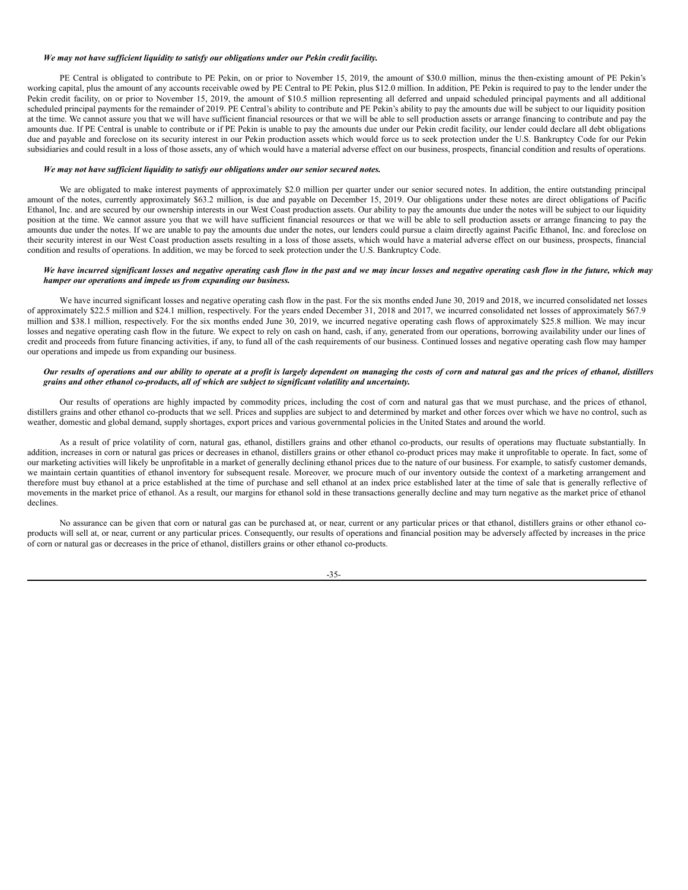#### *We may not have suf icient liquidity to satisfy our obligations under our Pekin credit facility.*

PE Central is obligated to contribute to PE Pekin, on or prior to November 15, 2019, the amount of \$30.0 million, minus the then-existing amount of PE Pekin's working capital, plus the amount of any accounts receivable owed by PE Central to PE Pekin, plus \$12.0 million. In addition, PE Pekin is required to pay to the lender under the Pekin credit facility, on or prior to November 15, 2019, the amount of \$10.5 million representing all deferred and unpaid scheduled principal payments and all additional scheduled principal payments for the remainder of 2019. PE Central's ability to contribute and PE Pekin's ability to pay the amounts due will be subject to our liquidity position at the time. We cannot assure you that we will have sufficient financial resources or that we will be able to sell production assets or arrange financing to contribute and pay the amounts due. If PE Central is unable to contribute or if PE Pekin is unable to pay the amounts due under our Pekin credit facility, our lender could declare all debt obligations due and payable and foreclose on its security interest in our Pekin production assets which would force us to seek protection under the U.S. Bankruptcy Code for our Pekin subsidiaries and could result in a loss of those assets, any of which would have a material adverse effect on our business, prospects, financial condition and results of operations.

## *We may not have suf icient liquidity to satisfy our obligations under our senior secured notes.*

We are obligated to make interest payments of approximately \$2.0 million per quarter under our senior secured notes. In addition, the entire outstanding principal amount of the notes, currently approximately \$63.2 million, is due and payable on December 15, 2019. Our obligations under these notes are direct obligations of Pacific Ethanol, Inc. and are secured by our ownership interests in our West Coast production assets. Our ability to pay the amounts due under the notes will be subject to our liquidity position at the time. We cannot assure you that we will have sufficient financial resources or that we will be able to sell production assets or arrange financing to pay the amounts due under the notes. If we are unable to pay the amounts due under the notes, our lenders could pursue a claim directly against Pacific Ethanol, Inc. and foreclose on their security interest in our West Coast production assets resulting in a loss of those assets, which would have a material adverse effect on our business, prospects, financial condition and results of operations. In addition, we may be forced to seek protection under the U.S. Bankruptcy Code.

## We have incurred significant losses and negative operating cash flow in the past and we may incur losses and negative operating cash flow in the future, which may *hamper our operations and impede us from expanding our business.*

We have incurred significant losses and negative operating cash flow in the past. For the six months ended June 30, 2019 and 2018, we incurred consolidated net losses of approximately \$22.5 million and \$24.1 million, respectively. For the years ended December 31, 2018 and 2017, we incurred consolidated net losses of approximately \$67.9 million and \$38.1 million, respectively. For the six months ended June 30, 2019, we incurred negative operating cash flows of approximately \$25.8 million. We may incur losses and negative operating cash flow in the future. We expect to rely on cash on hand, cash, if any, generated from our operations, borrowing availability under our lines of credit and proceeds from future financing activities, if any, to fund all of the cash requirements of our business. Continued losses and negative operating cash flow may hamper our operations and impede us from expanding our business.

## Our results of operations and our ability to operate at a profit is largely dependent on managing the costs of corn and natural gas and the prices of ethanol, distillers *grains and other ethanol co-products, all of which are subject to significant volatility and uncertainty.*

Our results of operations are highly impacted by commodity prices, including the cost of corn and natural gas that we must purchase, and the prices of ethanol, distillers grains and other ethanol co-products that we sell. Prices and supplies are subject to and determined by market and other forces over which we have no control, such as weather, domestic and global demand, supply shortages, export prices and various governmental policies in the United States and around the world.

As a result of price volatility of corn, natural gas, ethanol, distillers grains and other ethanol co-products, our results of operations may fluctuate substantially. In addition, increases in corn or natural gas prices or decreases in ethanol, distillers grains or other ethanol co-product prices may make it unprofitable to operate. In fact, some of our marketing activities will likely be unprofitable in a market of generally declining ethanol prices due to the nature of our business. For example, to satisfy customer demands, we maintain certain quantities of ethanol inventory for subsequent resale. Moreover, we procure much of our inventory outside the context of a marketing arrangement and therefore must buy ethanol at a price established at the time of purchase and sell ethanol at an index price established later at the time of sale that is generally reflective of movements in the market price of ethanol. As a result, our margins for ethanol sold in these transactions generally decline and may turn negative as the market price of ethanol declines.

No assurance can be given that corn or natural gas can be purchased at, or near, current or any particular prices or that ethanol, distillers grains or other ethanol coproducts will sell at, or near, current or any particular prices. Consequently, our results of operations and financial position may be adversely affected by increases in the price of corn or natural gas or decreases in the price of ethanol, distillers grains or other ethanol co-products.

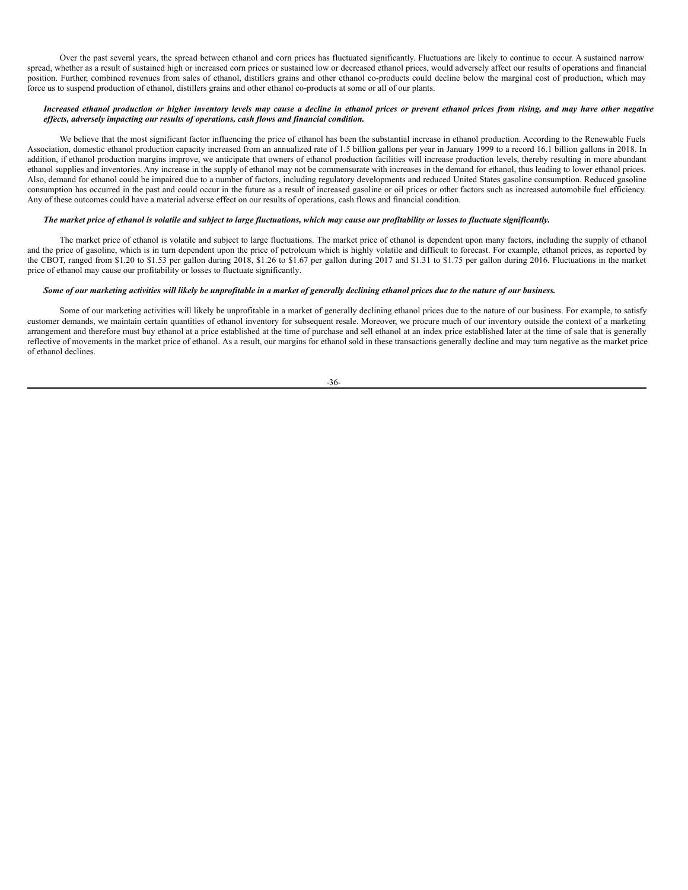Over the past several years, the spread between ethanol and corn prices has fluctuated significantly. Fluctuations are likely to continue to occur. A sustained narrow spread, whether as a result of sustained high or increased corn prices or sustained low or decreased ethanol prices, would adversely affect our results of operations and financial position. Further, combined revenues from sales of ethanol, distillers grains and other ethanol co-products could decline below the marginal cost of production, which may force us to suspend production of ethanol, distillers grains and other ethanol co-products at some or all of our plants.

### Increased ethanol production or higher inventory levels may cause a decline in ethanol prices or prevent ethanol prices from rising, and may have other negative *ef ects, adversely impacting our results of operations, cash flows and financial condition.*

We believe that the most significant factor influencing the price of ethanol has been the substantial increase in ethanol production. According to the Renewable Fuels Association, domestic ethanol production capacity increased from an annualized rate of 1.5 billion gallons per year in January 1999 to a record 16.1 billion gallons in 2018. In addition, if ethanol production margins improve, we anticipate that owners of ethanol production facilities will increase production levels, thereby resulting in more abundant ethanol supplies and inventories. Any increase in the supply of ethanol may not be commensurate with increases in the demand for ethanol, thus leading to lower ethanol prices. Also, demand for ethanol could be impaired due to a number of factors, including regulatory developments and reduced United States gasoline consumption. Reduced gasoline consumption has occurred in the past and could occur in the future as a result of increased gasoline or oil prices or other factors such as increased automobile fuel efficiency. Any of these outcomes could have a material adverse effect on our results of operations, cash flows and financial condition.

## The market price of ethanol is volatile and subject to large fluctuations, which may cause our profitability or losses to fluctuate significantly.

The market price of ethanol is volatile and subject to large fluctuations. The market price of ethanol is dependent upon many factors, including the supply of ethanol and the price of gasoline, which is in turn dependent upon the price of petroleum which is highly volatile and difficult to forecast. For example, ethanol prices, as reported by the CBOT, ranged from \$1.20 to \$1.53 per gallon during 2018, \$1.26 to \$1.67 per gallon during 2017 and \$1.31 to \$1.75 per gallon during 2016. Fluctuations in the market price of ethanol may cause our profitability or losses to fluctuate significantly.

## Some of our marketing activities will likely be unprofitable in a market of generally declining ethanol prices due to the nature of our business.

Some of our marketing activities will likely be unprofitable in a market of generally declining ethanol prices due to the nature of our business. For example, to satisfy customer demands, we maintain certain quantities of ethanol inventory for subsequent resale. Moreover, we procure much of our inventory outside the context of a marketing arrangement and therefore must buy ethanol at a price established at the time of purchase and sell ethanol at an index price established later at the time of sale that is generally reflective of movements in the market price of ethanol. As a result, our margins for ethanol sold in these transactions generally decline and may turn negative as the market price of ethanol declines.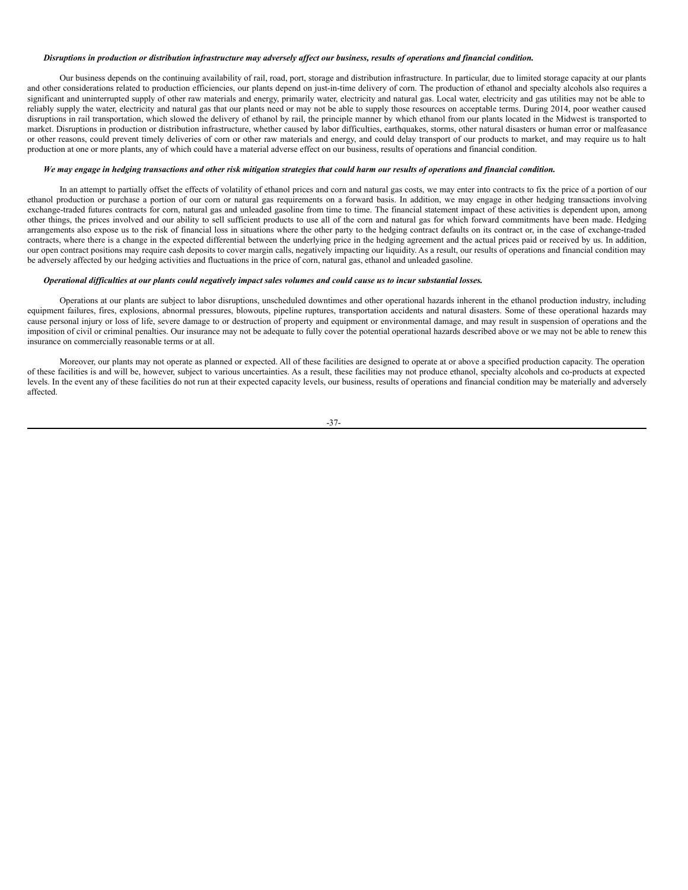#### Disruptions in production or distribution infrastructure may adversely affect our business, results of operations and financial condition.

Our business depends on the continuing availability of rail, road, port, storage and distribution infrastructure. In particular, due to limited storage capacity at our plants and other considerations related to production efficiencies, our plants depend on just-in-time delivery of corn. The production of ethanol and specialty alcohols also requires a significant and uninterrupted supply of other raw materials and energy, primarily water, electricity and natural gas. Local water, electricity and gas utilities may not be able to reliably supply the water, electricity and natural gas that our plants need or may not be able to supply those resources on acceptable terms. During 2014, poor weather caused disruptions in rail transportation, which slowed the delivery of ethanol by rail, the principle manner by which ethanol from our plants located in the Midwest is transported to market. Disruptions in production or distribution infrastructure, whether caused by labor difficulties, earthquakes, storms, other natural disasters or human error or malfeasance or other reasons, could prevent timely deliveries of corn or other raw materials and energy, and could delay transport of our products to market, and may require us to halt production at one or more plants, any of which could have a material adverse effect on our business, results of operations and financial condition.

## We may engage in hedging transactions and other risk mitigation strategies that could harm our results of operations and financial condition.

In an attempt to partially offset the effects of volatility of ethanol prices and corn and natural gas costs, we may enter into contracts to fix the price of a portion of our ethanol production or purchase a portion of our corn or natural gas requirements on a forward basis. In addition, we may engage in other hedging transactions involving exchange-traded futures contracts for corn, natural gas and unleaded gasoline from time to time. The financial statement impact of these activities is dependent upon, among other things, the prices involved and our ability to sell sufficient products to use all of the corn and natural gas for which forward commitments have been made. Hedging arrangements also expose us to the risk of financial loss in situations where the other party to the hedging contract defaults on its contract or, in the case of exchange-traded contracts, where there is a change in the expected differential between the underlying price in the hedging agreement and the actual prices paid or received by us. In addition, our open contract positions may require cash deposits to cover margin calls, negatively impacting our liquidity. As a result, our results of operations and financial condition may be adversely affected by our hedging activities and fluctuations in the price of corn, natural gas, ethanol and unleaded gasoline.

### Operational difficulties at our plants could negatively impact sales volumes and could cause us to incur substantial losses.

Operations at our plants are subject to labor disruptions, unscheduled downtimes and other operational hazards inherent in the ethanol production industry, including equipment failures, fires, explosions, abnormal pressures, blowouts, pipeline ruptures, transportation accidents and natural disasters. Some of these operational hazards may cause personal injury or loss of life, severe damage to or destruction of property and equipment or environmental damage, and may result in suspension of operations and the imposition of civil or criminal penalties. Our insurance may not be adequate to fully cover the potential operational hazards described above or we may not be able to renew this insurance on commercially reasonable terms or at all.

Moreover, our plants may not operate as planned or expected. All of these facilities are designed to operate at or above a specified production capacity. The operation of these facilities is and will be, however, subject to various uncertainties. As a result, these facilities may not produce ethanol, specialty alcohols and co-products at expected levels. In the event any of these facilities do not run at their expected capacity levels, our business, results of operations and financial condition may be materially and adversely affected.

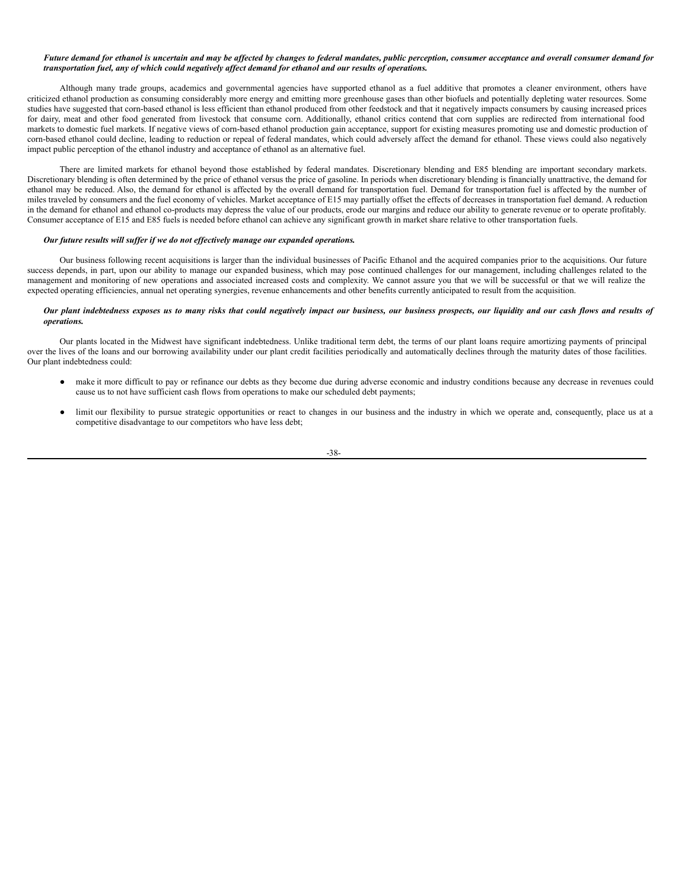### Future demand for ethanol is uncertain and may be affected by changes to federal mandates, public perception, consumer acceptance and overall consumer demand for transportation fuel, any of which could negatively affect demand for ethanol and our results of operations.

Although many trade groups, academics and governmental agencies have supported ethanol as a fuel additive that promotes a cleaner environment, others have criticized ethanol production as consuming considerably more energy and emitting more greenhouse gases than other biofuels and potentially depleting water resources. Some studies have suggested that corn-based ethanol is less efficient than ethanol produced from other feedstock and that it negatively impacts consumers by causing increased prices for dairy, meat and other food generated from livestock that consume corn. Additionally, ethanol critics contend that corn supplies are redirected from international food markets to domestic fuel markets. If negative views of corn-based ethanol production gain acceptance, support for existing measures promoting use and domestic production of corn-based ethanol could decline, leading to reduction or repeal of federal mandates, which could adversely affect the demand for ethanol. These views could also negatively impact public perception of the ethanol industry and acceptance of ethanol as an alternative fuel.

There are limited markets for ethanol beyond those established by federal mandates. Discretionary blending and E85 blending are important secondary markets. Discretionary blending is often determined by the price of ethanol versus the price of gasoline. In periods when discretionary blending is financially unattractive, the demand for ethanol may be reduced. Also, the demand for ethanol is affected by the overall demand for transportation fuel. Demand for transportation fuel is affected by the number of miles traveled by consumers and the fuel economy of vehicles. Market acceptance of E15 may partially offset the effects of decreases in transportation fuel demand. A reduction in the demand for ethanol and ethanol co-products may depress the value of our products, erode our margins and reduce our ability to generate revenue or to operate profitably. Consumer acceptance of E15 and E85 fuels is needed before ethanol can achieve any significant growth in market share relative to other transportation fuels.

## *Our future results will suf er if we do not ef ectively manage our expanded operations.*

Our business following recent acquisitions is larger than the individual businesses of Pacific Ethanol and the acquired companies prior to the acquisitions. Our future success depends, in part, upon our ability to manage our expanded business, which may pose continued challenges for our management, including challenges related to the management and monitoring of new operations and associated increased costs and complexity. We cannot assure you that we will be successful or that we will realize the expected operating efficiencies, annual net operating synergies, revenue enhancements and other benefits currently anticipated to result from the acquisition.

### Our plant indebtedness exposes us to many risks that could negatively impact our business, our business prospects, our liquidity and our cash flows and results of *operations.*

Our plants located in the Midwest have significant indebtedness. Unlike traditional term debt, the terms of our plant loans require amortizing payments of principal over the lives of the loans and our borrowing availability under our plant credit facilities periodically and automatically declines through the maturity dates of those facilities. Our plant indebtedness could:

- make it more difficult to pay or refinance our debts as they become due during adverse economic and industry conditions because any decrease in revenues could cause us to not have sufficient cash flows from operations to make our scheduled debt payments;
- limit our flexibility to pursue strategic opportunities or react to changes in our business and the industry in which we operate and, consequently, place us at a competitive disadvantage to our competitors who have less debt;

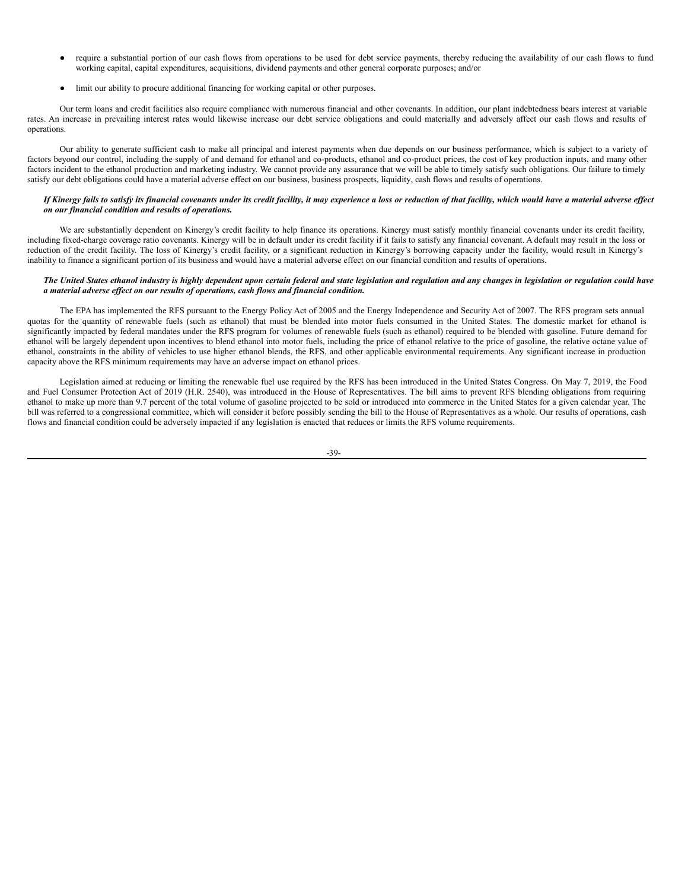- require a substantial portion of our cash flows from operations to be used for debt service payments, thereby reducing the availability of our cash flows to fund working capital, capital expenditures, acquisitions, dividend payments and other general corporate purposes; and/or
- limit our ability to procure additional financing for working capital or other purposes.

Our term loans and credit facilities also require compliance with numerous financial and other covenants. In addition, our plant indebtedness bears interest at variable rates. An increase in prevailing interest rates would likewise increase our debt service obligations and could materially and adversely affect our cash flows and results of operations.

Our ability to generate sufficient cash to make all principal and interest payments when due depends on our business performance, which is subject to a variety of factors beyond our control, including the supply of and demand for ethanol and co-products, ethanol and co-product prices, the cost of key production inputs, and many other factors incident to the ethanol production and marketing industry. We cannot provide any assurance that we will be able to timely satisfy such obligations. Our failure to timely satisfy our debt obligations could have a material adverse effect on our business, business prospects, liquidity, cash flows and results of operations.

## If Kinergy fails to satisfy its financial covenants under its credit facility, it may experience a loss or reduction of that facility, which would have a material adverse effect *on our financial condition and results of operations.*

We are substantially dependent on Kinergy's credit facility to help finance its operations. Kinergy must satisfy monthly financial covenants under its credit facility, including fixed-charge coverage ratio covenants. Kinergy will be in default under its credit facility if it fails to satisfy any financial covenant. A default may result in the loss or reduction of the credit facility. The loss of Kinergy's credit facility, or a significant reduction in Kinergy's borrowing capacity under the facility, would result in Kinergy's inability to finance a significant portion of its business and would have a material adverse effect on our financial condition and results of operations.

## The United States ethanol industry is highly dependent upon certain federal and state legislation and regulation and any changes in legislation or regulation could have *a material adverse ef ect on our results of operations, cash flows and financial condition.*

The EPA has implemented the RFS pursuant to the Energy Policy Act of 2005 and the Energy Independence and Security Act of 2007. The RFS program sets annual quotas for the quantity of renewable fuels (such as ethanol) that must be blended into motor fuels consumed in the United States. The domestic market for ethanol is significantly impacted by federal mandates under the RFS program for volumes of renewable fuels (such as ethanol) required to be blended with gasoline. Future demand for ethanol will be largely dependent upon incentives to blend ethanol into motor fuels, including the price of ethanol relative to the price of gasoline, the relative octane value of ethanol, constraints in the ability of vehicles to use higher ethanol blends, the RFS, and other applicable environmental requirements. Any significant increase in production capacity above the RFS minimum requirements may have an adverse impact on ethanol prices.

Legislation aimed at reducing or limiting the renewable fuel use required by the RFS has been introduced in the United States Congress. On May 7, 2019, the Food and Fuel Consumer Protection Act of 2019 (H.R. 2540), was introduced in the House of Representatives. The bill aims to prevent RFS blending obligations from requiring ethanol to make up more than 9.7 percent of the total volume of gasoline projected to be sold or introduced into commerce in the United States for a given calendar year. The bill was referred to a congressional committee, which will consider it before possibly sending the bill to the House of Representatives as a whole. Our results of operations, cash flows and financial condition could be adversely impacted if any legislation is enacted that reduces or limits the RFS volume requirements.

-39-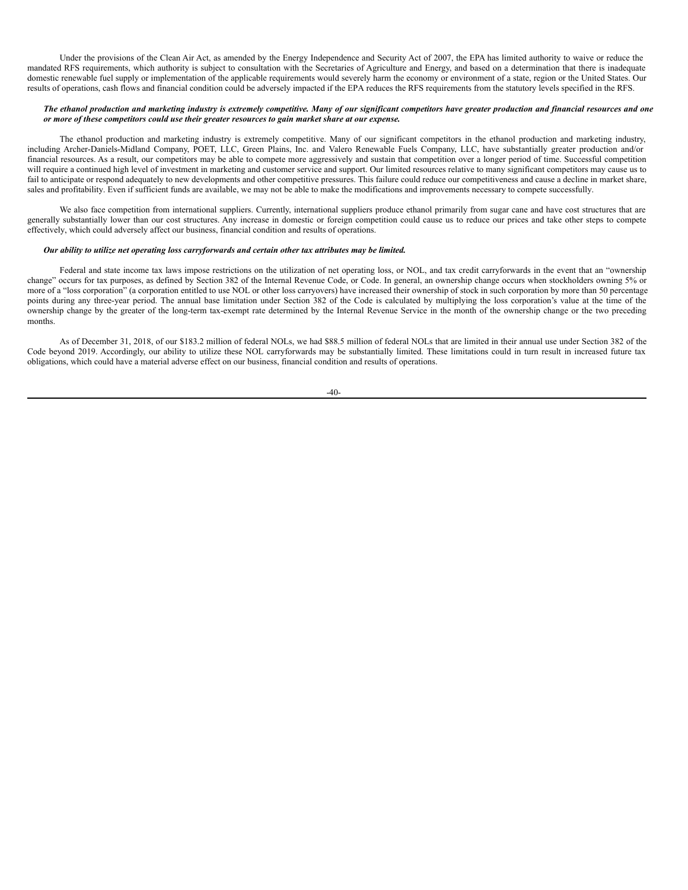Under the provisions of the Clean Air Act, as amended by the Energy Independence and Security Act of 2007, the EPA has limited authority to waive or reduce the mandated RFS requirements, which authority is subject to consultation with the Secretaries of Agriculture and Energy, and based on a determination that there is inadequate domestic renewable fuel supply or implementation of the applicable requirements would severely harm the economy or environment of a state, region or the United States. Our results of operations, cash flows and financial condition could be adversely impacted if the EPA reduces the RFS requirements from the statutory levels specified in the RFS.

### The ethanol production and marketing industry is extremely competitive. Many of our significant competitors have greater production and financial resources and one *or more of these competitors could use their greater resources to gain market share at our expense.*

The ethanol production and marketing industry is extremely competitive. Many of our significant competitors in the ethanol production and marketing industry, including Archer-Daniels-Midland Company, POET, LLC, Green Plains, Inc. and Valero Renewable Fuels Company, LLC, have substantially greater production and/or financial resources. As a result, our competitors may be able to compete more aggressively and sustain that competition over a longer period of time. Successful competition will require a continued high level of investment in marketing and customer service and support. Our limited resources relative to many significant competitors may cause us to fail to anticipate or respond adequately to new developments and other competitive pressures. This failure could reduce our competitiveness and cause a decline in market share, sales and profitability. Even if sufficient funds are available, we may not be able to make the modifications and improvements necessary to compete successfully.

We also face competition from international suppliers. Currently, international suppliers produce ethanol primarily from sugar cane and have cost structures that are generally substantially lower than our cost structures. Any increase in domestic or foreign competition could cause us to reduce our prices and take other steps to compete effectively, which could adversely affect our business, financial condition and results of operations.

## *Our ability to utilize net operating loss carryforwards and certain other tax attributes may be limited.*

Federal and state income tax laws impose restrictions on the utilization of net operating loss, or NOL, and tax credit carryforwards in the event that an "ownership" change" occurs for tax purposes, as defined by Section 382 of the Internal Revenue Code, or Code. In general, an ownership change occurs when stockholders owning 5% or more of a "loss corporation" (a corporation entitled to use NOL or other loss carryovers) have increased their ownership of stock in such corporation by more than 50 percentage points during any three-year period. The annual base limitation under Section 382 of the Code is calculated by multiplying the loss corporation's value at the time of the ownership change by the greater of the long-term tax-exempt rate determined by the Internal Revenue Service in the month of the ownership change or the two preceding months.

As of December 31, 2018, of our \$183.2 million of federal NOLs, we had \$88.5 million of federal NOLs that are limited in their annual use under Section 382 of the Code beyond 2019. Accordingly, our ability to utilize these NOL carryforwards may be substantially limited. These limitations could in turn result in increased future tax obligations, which could have a material adverse effect on our business, financial condition and results of operations.

$$
-40-
$$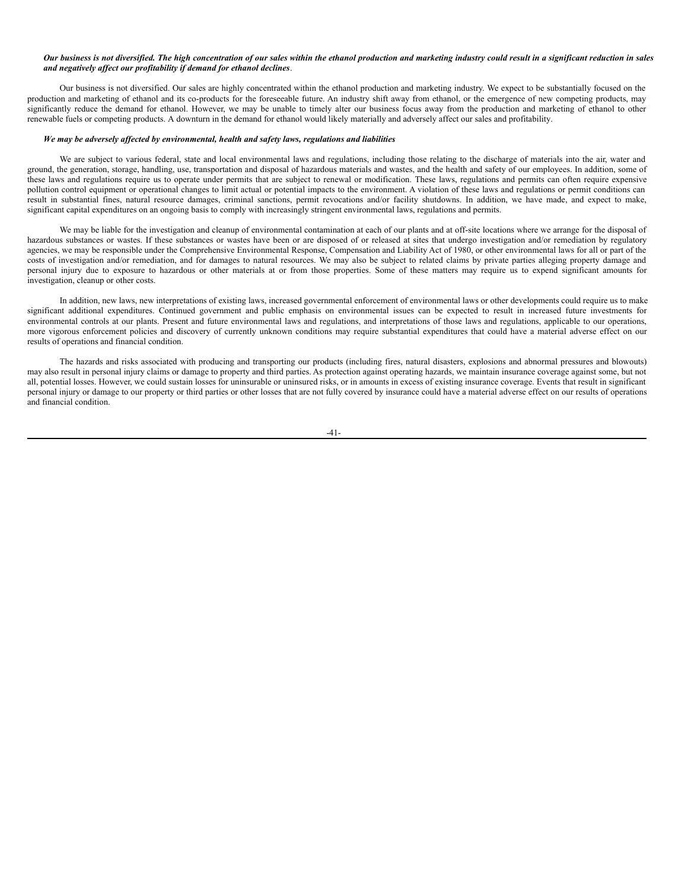## Our business is not diversified. The high concentration of our sales within the ethanol production and marketing industry could result in a significant reduction in sales *and negatively af ect our profitability if demand for ethanol declines*.

Our business is not diversified. Our sales are highly concentrated within the ethanol production and marketing industry. We expect to be substantially focused on the production and marketing of ethanol and its co-products for the foreseeable future. An industry shift away from ethanol, or the emergence of new competing products, may significantly reduce the demand for ethanol. However, we may be unable to timely alter our business focus away from the production and marketing of ethanol to other renewable fuels or competing products. A downturn in the demand for ethanol would likely materially and adversely affect our sales and profitability.

## *We may be adversely af ected by environmental, health and safety laws, regulations and liabilities*.

We are subject to various federal, state and local environmental laws and regulations, including those relating to the discharge of materials into the air, water and ground, the generation, storage, handling, use, transportation and disposal of hazardous materials and wastes, and the health and safety of our employees. In addition, some of these laws and regulations require us to operate under permits that are subject to renewal or modification. These laws, regulations and permits can often require expensive pollution control equipment or operational changes to limit actual or potential impacts to the environment. A violation of these laws and regulations or permit conditions can result in substantial fines, natural resource damages, criminal sanctions, permit revocations and/or facility shutdowns. In addition, we have made, and expect to make, significant capital expenditures on an ongoing basis to comply with increasingly stringent environmental laws, regulations and permits.

We may be liable for the investigation and cleanup of environmental contamination at each of our plants and at off-site locations where we arrange for the disposal of hazardous substances or wastes. If these substances or wastes have been or are disposed of or released at sites that undergo investigation and/or remediation by regulatory agencies, we may be responsible under the Comprehensive Environmental Response, Compensation and Liability Act of 1980, or other environmental laws for all or part of the costs of investigation and/or remediation, and for damages to natural resources. We may also be subject to related claims by private parties alleging property damage and personal injury due to exposure to hazardous or other materials at or from those properties. Some of these matters may require us to expend significant amounts for investigation, cleanup or other costs.

In addition, new laws, new interpretations of existing laws, increased governmental enforcement of environmental laws or other developments could require us to make significant additional expenditures. Continued government and public emphasis on environmental issues can be expected to result in increased future investments for environmental controls at our plants. Present and future environmental laws and regulations, and interpretations of those laws and regulations, applicable to our operations, more vigorous enforcement policies and discovery of currently unknown conditions may require substantial expenditures that could have a material adverse effect on our results of operations and financial condition.

The hazards and risks associated with producing and transporting our products (including fires, natural disasters, explosions and abnormal pressures and blowouts) may also result in personal injury claims or damage to property and third parties. As protection against operating hazards, we maintain insurance coverage against some, but not all, potential losses. However, we could sustain losses for uninsurable or uninsured risks, or in amounts in excess of existing insurance coverage. Events that result in significant personal injury or damage to our property or third parties or other losses that are not fully covered by insurance could have a material adverse effect on our results of operations and financial condition.

$$
-41-
$$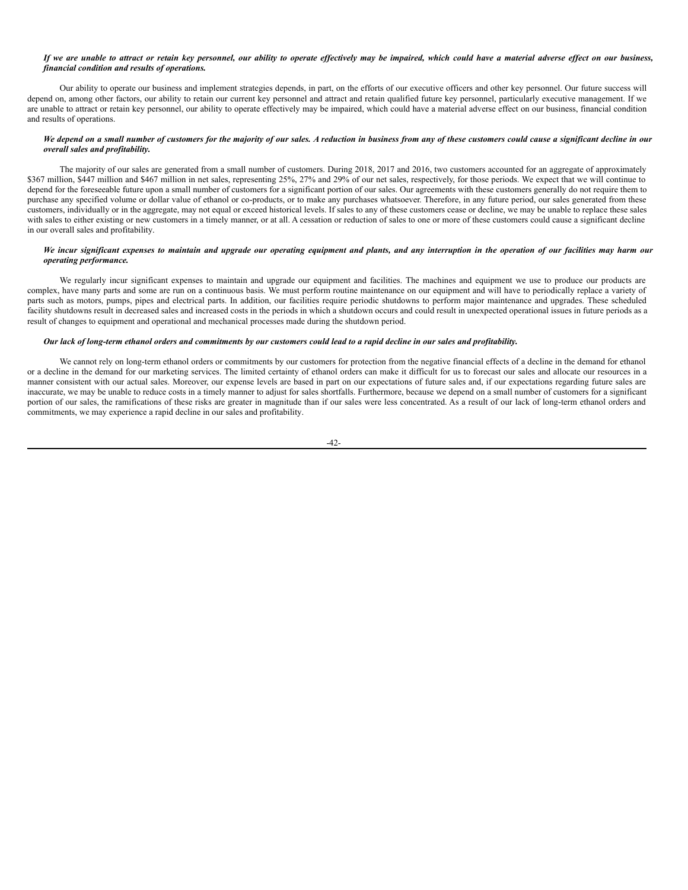### If we are unable to attract or retain key personnel, our ability to operate effectively may be impaired, which could have a material adverse effect on our business, *financial condition and results of operations.*

Our ability to operate our business and implement strategies depends, in part, on the efforts of our executive officers and other key personnel. Our future success will depend on, among other factors, our ability to retain our current key personnel and attract and retain qualified future key personnel, particularly executive management. If we are unable to attract or retain key personnel, our ability to operate effectively may be impaired, which could have a material adverse effect on our business, financial condition and results of operations.

### We depend on a small number of customers for the majority of our sales. A reduction in business from any of these customers could cause a significant decline in our *overall sales and profitability.*

The majority of our sales are generated from a small number of customers. During 2018, 2017 and 2016, two customers accounted for an aggregate of approximately \$367 million, \$447 million and \$467 million in net sales, representing 25%, 27% and 29% of our net sales, respectively, for those periods. We expect that we will continue to depend for the foreseeable future upon a small number of customers for a significant portion of our sales. Our agreements with these customers generally do not require them to purchase any specified volume or dollar value of ethanol or co-products, or to make any purchases whatsoever. Therefore, in any future period, our sales generated from these customers, individually or in the aggregate, may not equal or exceed historical levels. If sales to any of these customers cease or decline, we may be unable to replace these sales with sales to either existing or new customers in a timely manner, or at all. A cessation or reduction of sales to one or more of these customers could cause a significant decline in our overall sales and profitability.

### We incur significant expenses to maintain and upgrade our operating equipment and plants, and any interruption in the operation of our facilities may harm our *operating performance.*

We regularly incur significant expenses to maintain and upgrade our equipment and facilities. The machines and equipment we use to produce our products are complex, have many parts and some are run on a continuous basis. We must perform routine maintenance on our equipment and will have to periodically replace a variety of parts such as motors, pumps, pipes and electrical parts. In addition, our facilities require periodic shutdowns to perform major maintenance and upgrades. These scheduled facility shutdowns result in decreased sales and increased costs in the periods in which a shutdown occurs and could result in unexpected operational issues in future periods as a result of changes to equipment and operational and mechanical processes made during the shutdown period.

## Our lack of long-term ethanol orders and commitments by our customers could lead to a rapid decline in our sales and profitability.

We cannot rely on long-term ethanol orders or commitments by our customers for protection from the negative financial effects of a decline in the demand for ethanol or a decline in the demand for our marketing services. The limited certainty of ethanol orders can make it difficult for us to forecast our sales and allocate our resources in a manner consistent with our actual sales. Moreover, our expense levels are based in part on our expectations of future sales and, if our expectations regarding future sales are inaccurate, we may be unable to reduce costs in a timely manner to adjust for sales shortfalls. Furthermore, because we depend on a small number of customers for a significant portion of our sales, the ramifications of these risks are greater in magnitude than if our sales were less concentrated. As a result of our lack of long-term ethanol orders and commitments, we may experience a rapid decline in our sales and profitability.

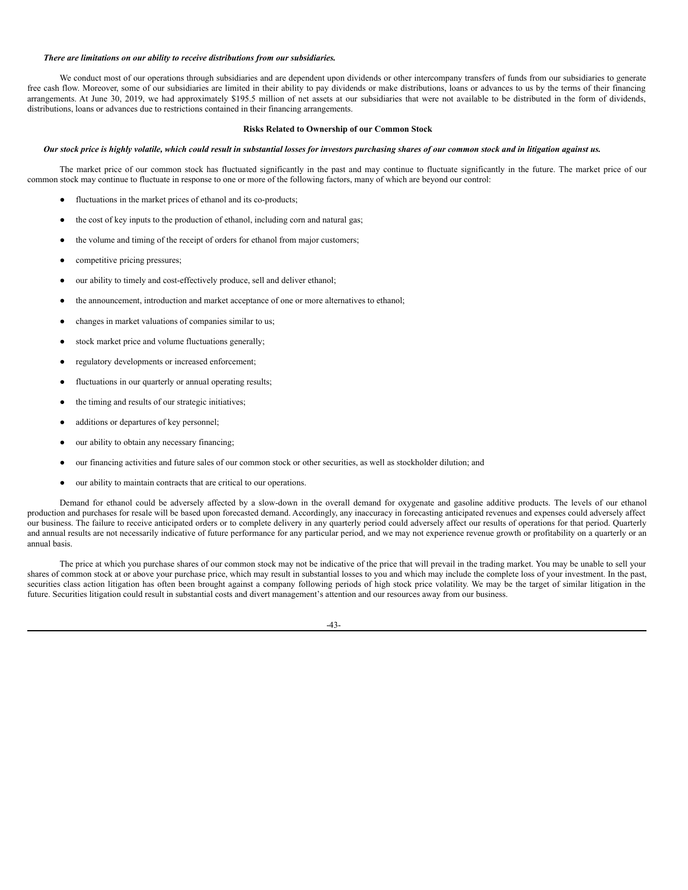#### *There are limitations on our ability to receive distributions from our subsidiaries.*

We conduct most of our operations through subsidiaries and are dependent upon dividends or other intercompany transfers of funds from our subsidiaries to generate free cash flow. Moreover, some of our subsidiaries are limited in their ability to pay dividends or make distributions, loans or advances to us by the terms of their financing arrangements. At June 30, 2019, we had approximately \$195.5 million of net assets at our subsidiaries that were not available to be distributed in the form of dividends, distributions, loans or advances due to restrictions contained in their financing arrangements.

#### **Risks Related to Ownership of our Common Stock**

### Our stock price is highly volatile, which could result in substantial losses for investors purchasing shares of our common stock and in litigation against us.

The market price of our common stock has fluctuated significantly in the past and may continue to fluctuate significantly in the future. The market price of our common stock may continue to fluctuate in response to one or more of the following factors, many of which are beyond our control:

- fluctuations in the market prices of ethanol and its co-products;
- the cost of key inputs to the production of ethanol, including corn and natural gas;
- the volume and timing of the receipt of orders for ethanol from major customers;
- competitive pricing pressures;
- our ability to timely and cost-effectively produce, sell and deliver ethanol;
- the announcement, introduction and market acceptance of one or more alternatives to ethanol;
- changes in market valuations of companies similar to us;
- stock market price and volume fluctuations generally;
- regulatory developments or increased enforcement;
- fluctuations in our quarterly or annual operating results;
- the timing and results of our strategic initiatives;
- additions or departures of key personnel;
- our ability to obtain any necessary financing;
- our financing activities and future sales of our common stock or other securities, as well as stockholder dilution; and
- our ability to maintain contracts that are critical to our operations.

Demand for ethanol could be adversely affected by a slow-down in the overall demand for oxygenate and gasoline additive products. The levels of our ethanol production and purchases for resale will be based upon forecasted demand. Accordingly, any inaccuracy in forecasting anticipated revenues and expenses could adversely affect our business. The failure to receive anticipated orders or to complete delivery in any quarterly period could adversely affect our results of operations for that period. Quarterly and annual results are not necessarily indicative of future performance for any particular period, and we may not experience revenue growth or profitability on a quarterly or an annual basis.

The price at which you purchase shares of our common stock may not be indicative of the price that will prevail in the trading market. You may be unable to sell your shares of common stock at or above your purchase price, which may result in substantial losses to you and which may include the complete loss of your investment. In the past, securities class action litigation has often been brought against a company following periods of high stock price volatility. We may be the target of similar litigation in the future. Securities litigation could result in substantial costs and divert management's attention and our resources away from our business.

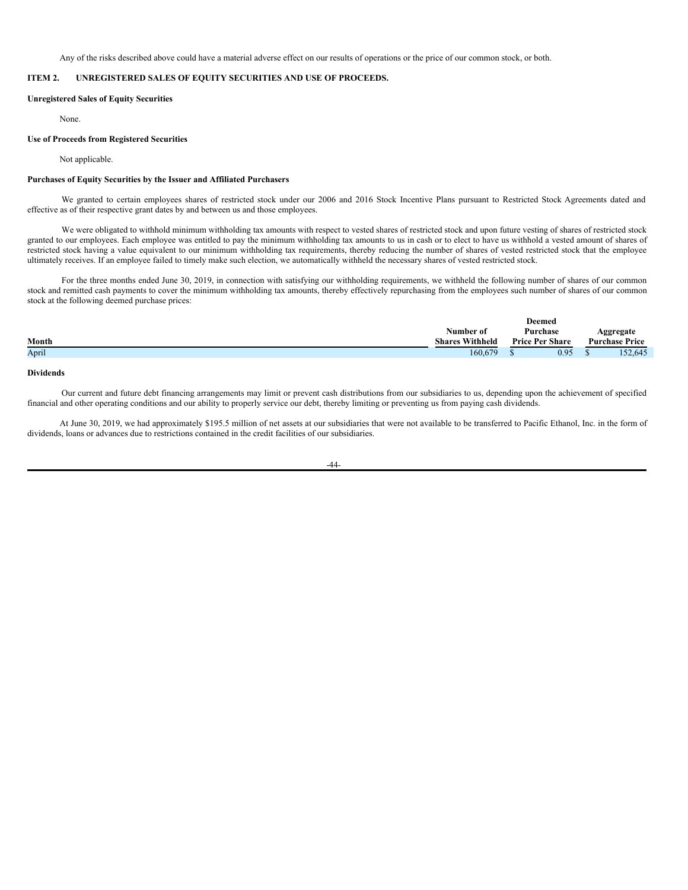Any of the risks described above could have a material adverse effect on our results of operations or the price of our common stock, or both.

## **ITEM 2. UNREGISTERED SALES OF EQUITY SECURITIES AND USE OF PROCEEDS.**

## **Unregistered Sales of Equity Securities**

None.

### **Use of Proceeds from Registered Securities**

Not applicable.

## **Purchases of Equity Securities by the Issuer and Affiliated Purchasers**

We granted to certain employees shares of restricted stock under our 2006 and 2016 Stock Incentive Plans pursuant to Restricted Stock Agreements dated and effective as of their respective grant dates by and between us and those employees.

We were obligated to withhold minimum withholding tax amounts with respect to vested shares of restricted stock and upon future vesting of shares of restricted stock granted to our employees. Each employee was entitled to pay the minimum withholding tax amounts to us in cash or to elect to have us withhold a vested amount of shares of restricted stock having a value equivalent to our minimum withholding tax requirements, thereby reducing the number of shares of vested restricted stock that the employee ultimately receives. If an employee failed to timely make such election, we automatically withheld the necessary shares of vested restricted stock.

For the three months ended June 30, 2019, in connection with satisfying our withholding requirements, we withheld the following number of shares of our common stock and remitted cash payments to cover the minimum withholding tax amounts, thereby effectively repurchasing from the employees such number of shares of our common stock at the following deemed purchase prices:

|       |                        | <b>Deemed</b>          |                       |
|-------|------------------------|------------------------|-----------------------|
|       | Number of              | Purchase               | Aggregate             |
| Month | <b>Shares Withheld</b> | <b>Price Per Share</b> | <b>Purchase Price</b> |
| April | 160,679                | 0.95                   | 152,645               |

#### **Dividends**

Our current and future debt financing arrangements may limit or prevent cash distributions from our subsidiaries to us, depending upon the achievement of specified financial and other operating conditions and our ability to properly service our debt, thereby limiting or preventing us from paying cash dividends.

At June 30, 2019, we had approximately \$195.5 million of net assets at our subsidiaries that were not available to be transferred to Pacific Ethanol, Inc. in the form of dividends, loans or advances due to restrictions contained in the credit facilities of our subsidiaries.

$$
-44-
$$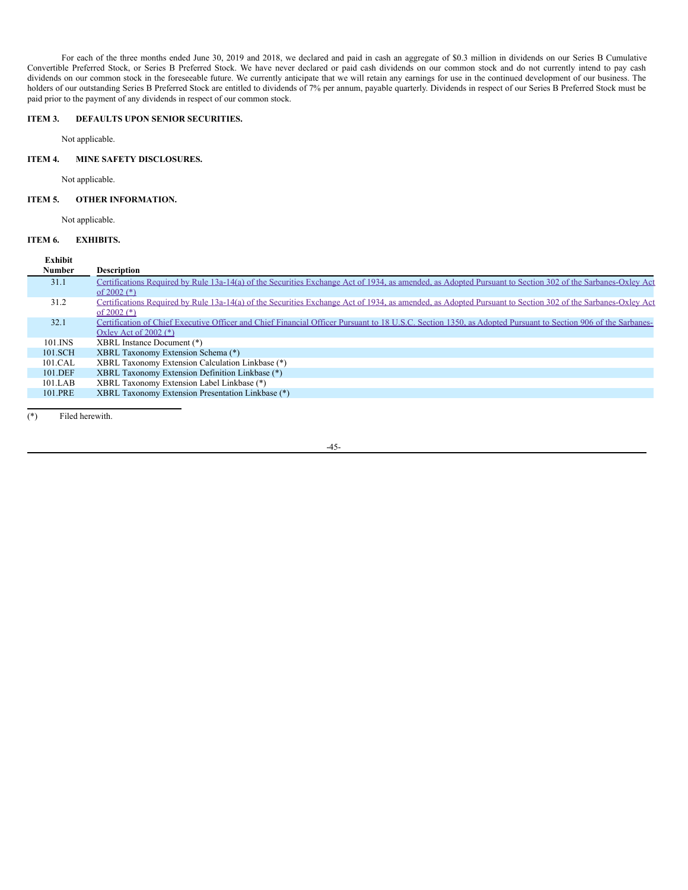For each of the three months ended June 30, 2019 and 2018, we declared and paid in cash an aggregate of \$0.3 million in dividends on our Series B Cumulative Convertible Preferred Stock, or Series B Preferred Stock. We have never declared or paid cash dividends on our common stock and do not currently intend to pay cash dividends on our common stock in the foreseeable future. We currently anticipate that we will retain any earnings for use in the continued development of our business. The holders of our outstanding Series B Preferred Stock are entitled to dividends of 7% per annum, payable quarterly. Dividends in respect of our Series B Preferred Stock must be paid prior to the payment of any dividends in respect of our common stock.

## **ITEM 3. DEFAULTS UPON SENIOR SECURITIES.**

Not applicable.

# **ITEM 4. MINE SAFETY DISCLOSURES.**

Not applicable.

## **ITEM 5. OTHER INFORMATION.**

Not applicable.

# **ITEM 6. EXHIBITS.**

| <b>Exhibit</b> |                                                                                                                                                              |
|----------------|--------------------------------------------------------------------------------------------------------------------------------------------------------------|
| <b>Number</b>  | <b>Description</b>                                                                                                                                           |
| 31.1           | Certifications Required by Rule 13a-14(a) of the Securities Exchange Act of 1934, as amended, as Adopted Pursuant to Section 302 of the Sarbanes-Oxley Act   |
|                | of $2002$ $(*)$                                                                                                                                              |
| 31.2           | Certifications Required by Rule 13a-14(a) of the Securities Exchange Act of 1934, as amended, as Adopted Pursuant to Section 302 of the Sarbanes-Oxley Act   |
|                | of 2002 $(*)$                                                                                                                                                |
| 32.1           | Certification of Chief Executive Officer and Chief Financial Officer Pursuant to 18 U.S.C. Section 1350, as Adopted Pursuant to Section 906 of the Sarbanes- |
|                | Oxley Act of 2002 $(*)$                                                                                                                                      |
| 101.INS        | XBRL Instance Document (*)                                                                                                                                   |
| 101.SCH        | XBRL Taxonomy Extension Schema (*)                                                                                                                           |
| 101.CAL        | XBRL Taxonomy Extension Calculation Linkbase (*)                                                                                                             |
| 101.DEF        | XBRL Taxonomy Extension Definition Linkbase (*)                                                                                                              |
| 101.LAB        | XBRL Taxonomy Extension Label Linkbase (*)                                                                                                                   |
| 101.PRE        | XBRL Taxonomy Extension Presentation Linkbase (*)                                                                                                            |
|                |                                                                                                                                                              |

(\*) Filed herewith.

-45-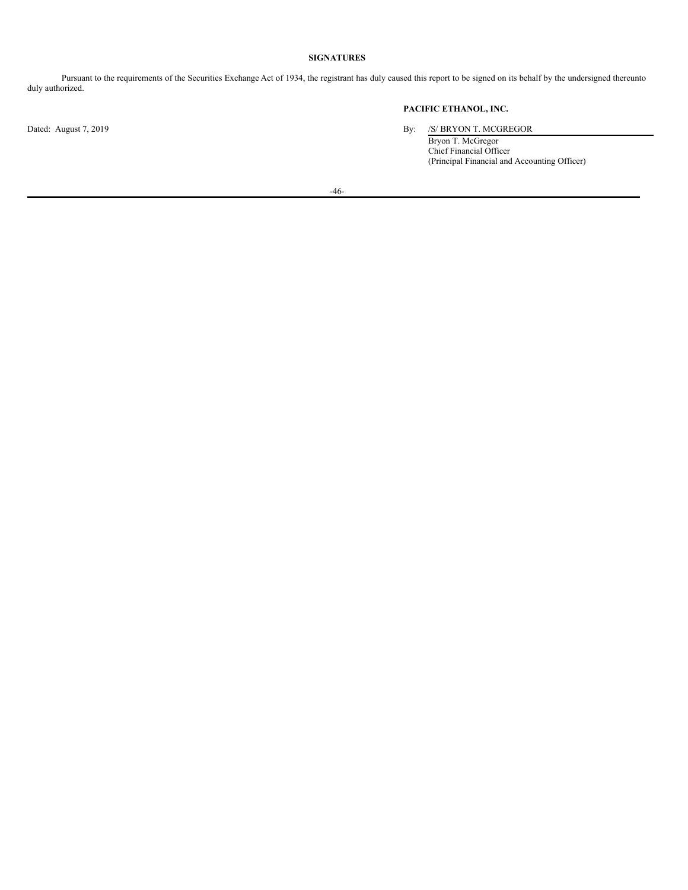# **SIGNATURES**

Pursuant to the requirements of the Securities Exchange Act of 1934, the registrant has duly caused this report to be signed on its behalf by the undersigned thereunto duly authorized.

# **PACIFIC ETHANOL, INC.**

Dated: August 7, 2019 By: /S/ BRYON T. MCGREGOR

Bryon T. McGregor Chief Financial Officer (Principal Financial and Accounting Officer)

-46-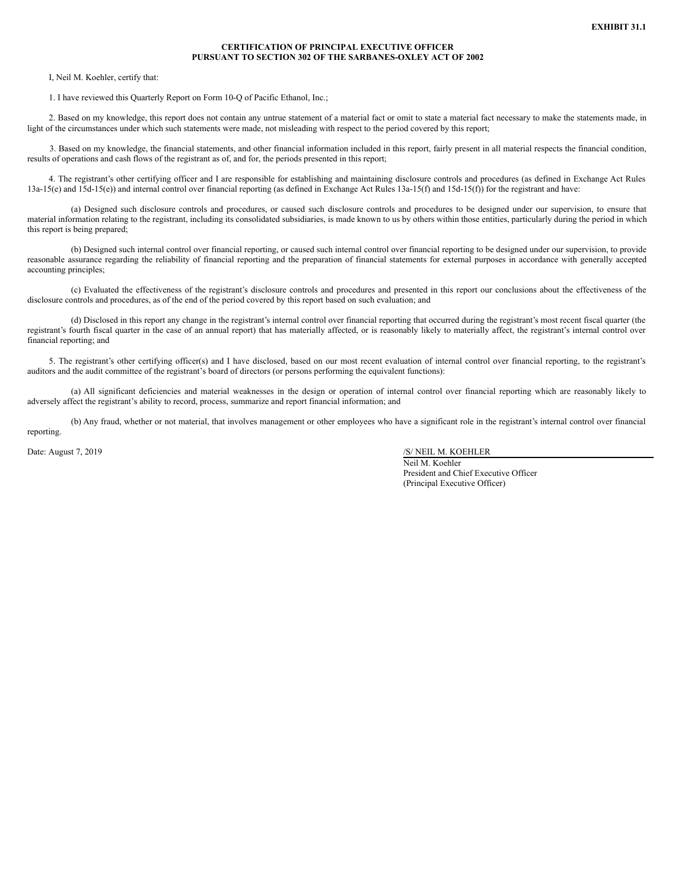## **CERTIFICATION OF PRINCIPAL EXECUTIVE OFFICER PURSUANT TO SECTION 302 OF THE SARBANES-OXLEY ACT OF 2002**

<span id="page-48-0"></span>I, Neil M. Koehler, certify that:

1. I have reviewed this Quarterly Report on Form 10-Q of Pacific Ethanol, Inc.;

2. Based on my knowledge, this report does not contain any untrue statement of a material fact or omit to state a material fact necessary to make the statements made, in light of the circumstances under which such statements were made, not misleading with respect to the period covered by this report;

3. Based on my knowledge, the financial statements, and other financial information included in this report, fairly present in all material respects the financial condition, results of operations and cash flows of the registrant as of, and for, the periods presented in this report;

4. The registrant's other certifying officer and I are responsible for establishing and maintaining disclosure controls and procedures (as defined in Exchange Act Rules 13a-15(e) and 15d-15(e)) and internal control over financial reporting (as defined in Exchange Act Rules 13a-15(f) and 15d-15(f)) for the registrant and have:

(a) Designed such disclosure controls and procedures, or caused such disclosure controls and procedures to be designed under our supervision, to ensure that material information relating to the registrant, including its consolidated subsidiaries, is made known to us by others within those entities, particularly during the period in which this report is being prepared;

(b) Designed such internal control over financial reporting, or caused such internal control over financial reporting to be designed under our supervision, to provide reasonable assurance regarding the reliability of financial reporting and the preparation of financial statements for external purposes in accordance with generally accepted accounting principles;

(c) Evaluated the effectiveness of the registrant's disclosure controls and procedures and presented in this report our conclusions about the effectiveness of the disclosure controls and procedures, as of the end of the period covered by this report based on such evaluation; and

(d) Disclosed in this report any change in the registrant's internal control over financial reporting that occurred during the registrant's most recent fiscal quarter (the registrant's fourth fiscal quarter in the case of an annual report) that has materially affected, or is reasonably likely to materially affect, the registrant's internal control over financial reporting; and

5. The registrant's other certifying officer(s) and I have disclosed, based on our most recent evaluation of internal control over financial reporting, to the registrant's auditors and the audit committee of the registrant's board of directors (or persons performing the equivalent functions):

(a) All significant deficiencies and material weaknesses in the design or operation of internal control over financial reporting which are reasonably likely to adversely affect the registrant's ability to record, process, summarize and report financial information; and

(b) Any fraud, whether or not material, that involves management or other employees who have a significant role in the registrant's internal control over financial reporting.

Date: August 7, 2019 / /S/ NEIL M. KOEHLER

Neil M. Koehler President and Chief Executive Officer (Principal Executive Officer)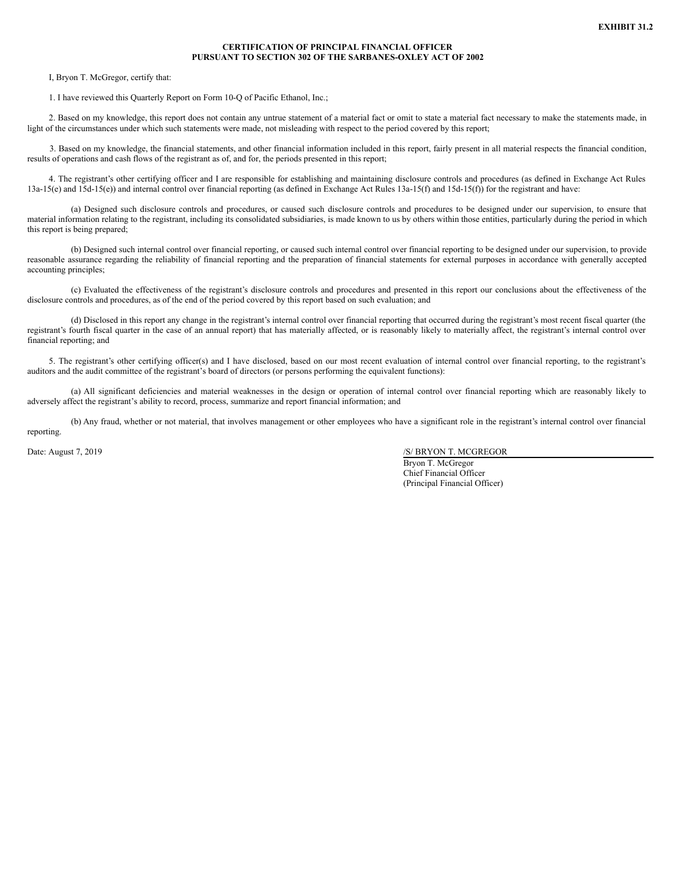## **CERTIFICATION OF PRINCIPAL FINANCIAL OFFICER PURSUANT TO SECTION 302 OF THE SARBANES-OXLEY ACT OF 2002**

<span id="page-49-0"></span>I, Bryon T. McGregor, certify that:

1. I have reviewed this Quarterly Report on Form 10-Q of Pacific Ethanol, Inc.;

2. Based on my knowledge, this report does not contain any untrue statement of a material fact or omit to state a material fact necessary to make the statements made, in light of the circumstances under which such statements were made, not misleading with respect to the period covered by this report;

3. Based on my knowledge, the financial statements, and other financial information included in this report, fairly present in all material respects the financial condition, results of operations and cash flows of the registrant as of, and for, the periods presented in this report;

4. The registrant's other certifying officer and I are responsible for establishing and maintaining disclosure controls and procedures (as defined in Exchange Act Rules 13a-15(e) and 15d-15(e)) and internal control over financial reporting (as defined in Exchange Act Rules 13a-15(f) and 15d-15(f)) for the registrant and have:

(a) Designed such disclosure controls and procedures, or caused such disclosure controls and procedures to be designed under our supervision, to ensure that material information relating to the registrant, including its consolidated subsidiaries, is made known to us by others within those entities, particularly during the period in which this report is being prepared;

(b) Designed such internal control over financial reporting, or caused such internal control over financial reporting to be designed under our supervision, to provide reasonable assurance regarding the reliability of financial reporting and the preparation of financial statements for external purposes in accordance with generally accepted accounting principles;

(c) Evaluated the effectiveness of the registrant's disclosure controls and procedures and presented in this report our conclusions about the effectiveness of the disclosure controls and procedures, as of the end of the period covered by this report based on such evaluation; and

(d) Disclosed in this report any change in the registrant's internal control over financial reporting that occurred during the registrant's most recent fiscal quarter (the registrant's fourth fiscal quarter in the case of an annual report) that has materially affected, or is reasonably likely to materially affect, the registrant's internal control over financial reporting; and

5. The registrant's other certifying officer(s) and I have disclosed, based on our most recent evaluation of internal control over financial reporting, to the registrant's auditors and the audit committee of the registrant's board of directors (or persons performing the equivalent functions):

(a) All significant deficiencies and material weaknesses in the design or operation of internal control over financial reporting which are reasonably likely to adversely affect the registrant's ability to record, process, summarize and report financial information; and

(b) Any fraud, whether or not material, that involves management or other employees who have a significant role in the registrant's internal control over financial reporting.

Date: August 7, 2019 /S/ BRYON T. MCGREGOR

Bryon T. McGregor Chief Financial Officer (Principal Financial Officer)